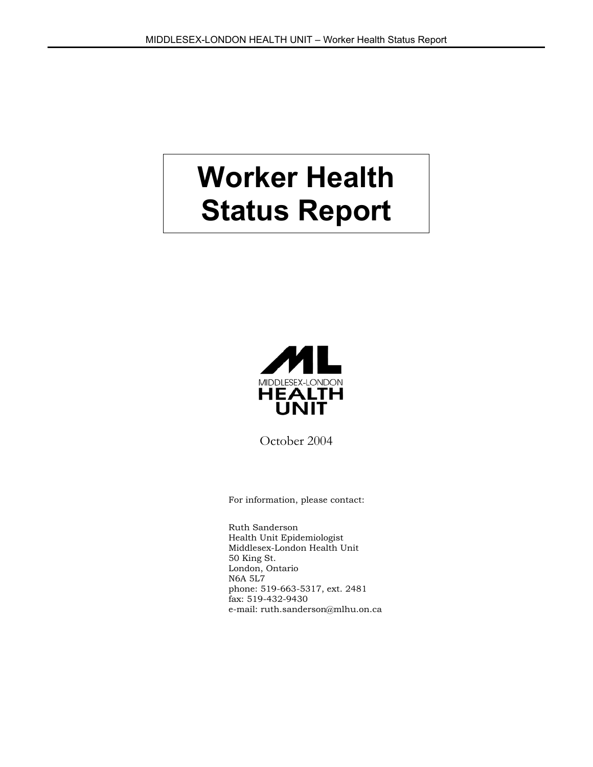# **Worker Health Status Report**



October 2004

For information, please contact:

Ruth Sanderson Health Unit Epidemiologist Middlesex-London Health Unit 50 King St. London, Ontario N6A 5L7 phone: 519-663-5317, ext. 2481 fax: 519-432-9430 e-mail: ruth.sanderson@mlhu.on.ca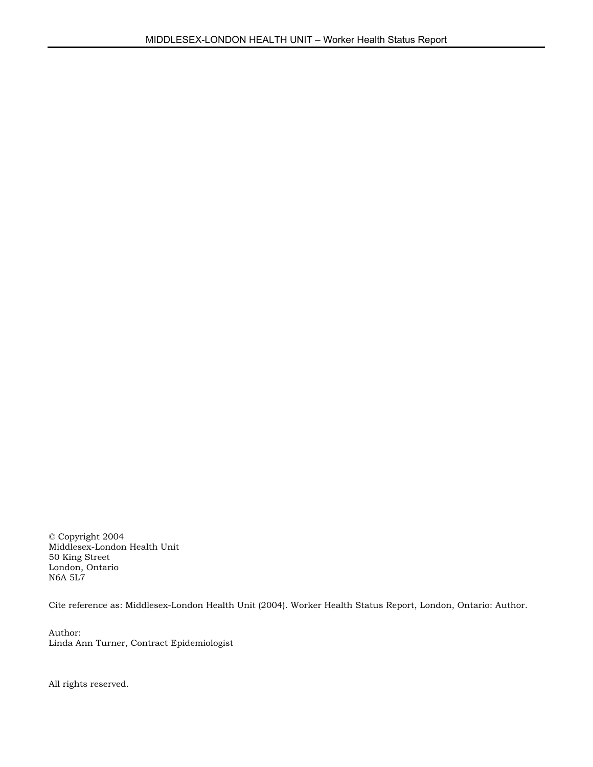© Copyright 2004 Middlesex-London Health Unit 50 King Street London, Ontario N6A 5L7

Cite reference as: Middlesex-London Health Unit (2004). Worker Health Status Report, London, Ontario: Author.

Author: Linda Ann Turner, Contract Epidemiologist

All rights reserved.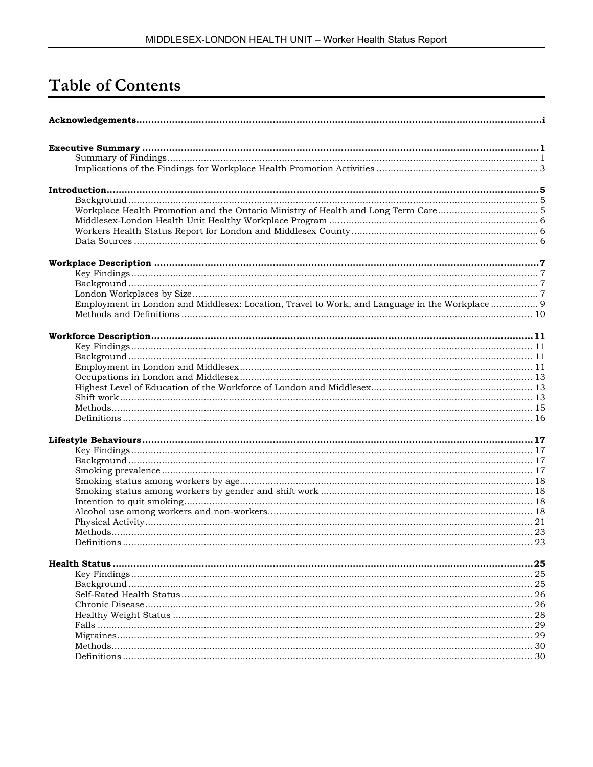# **Table of Contents**

| Employment in London and Middlesex: Location, Travel to Work, and Language in the Workplace  9 |     |
|------------------------------------------------------------------------------------------------|-----|
|                                                                                                |     |
|                                                                                                |     |
|                                                                                                |     |
|                                                                                                |     |
|                                                                                                |     |
|                                                                                                |     |
|                                                                                                |     |
|                                                                                                |     |
|                                                                                                |     |
|                                                                                                |     |
|                                                                                                |     |
|                                                                                                |     |
|                                                                                                |     |
|                                                                                                |     |
|                                                                                                |     |
|                                                                                                |     |
|                                                                                                |     |
|                                                                                                |     |
|                                                                                                |     |
|                                                                                                |     |
|                                                                                                |     |
|                                                                                                |     |
|                                                                                                |     |
|                                                                                                | .25 |
|                                                                                                |     |
|                                                                                                |     |
|                                                                                                |     |
|                                                                                                |     |
|                                                                                                |     |
|                                                                                                |     |
|                                                                                                |     |
|                                                                                                |     |
|                                                                                                |     |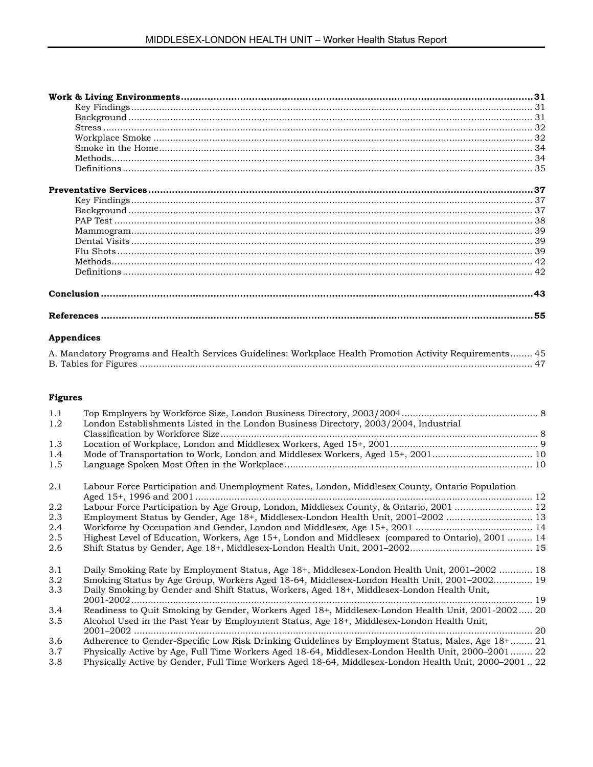# **Appendices**

| A. Mandatory Programs and Health Services Guidelines: Workplace Health Promotion Activity Requirements 45 |  |
|-----------------------------------------------------------------------------------------------------------|--|
|                                                                                                           |  |

# **Figures**

| 1.1 |                                                                                                       |  |
|-----|-------------------------------------------------------------------------------------------------------|--|
| 1.2 | London Establishments Listed in the London Business Directory, 2003/2004, Industrial                  |  |
|     |                                                                                                       |  |
| 1.3 |                                                                                                       |  |
| 1.4 | Mode of Transportation to Work, London and Middlesex Workers, Aged 15+, 2001 10                       |  |
| 1.5 |                                                                                                       |  |
| 2.1 | Labour Force Participation and Unemployment Rates, London, Middlesex County, Ontario Population       |  |
| 2.2 | Labour Force Participation by Age Group, London, Middlesex County, & Ontario, 2001  12                |  |
| 2.3 | Employment Status by Gender, Age 18+, Middlesex-London Health Unit, 2001–2002  13                     |  |
| 2.4 |                                                                                                       |  |
| 2.5 | Highest Level of Education, Workers, Age 15+, London and Middlesex (compared to Ontario), 2001  14    |  |
| 2.6 |                                                                                                       |  |
| 3.1 | Daily Smoking Rate by Employment Status, Age 18+, Middlesex-London Health Unit, 2001-2002  18         |  |
| 3.2 | Smoking Status by Age Group, Workers Aged 18-64, Middlesex-London Health Unit, 2001–2002 19           |  |
| 3.3 | Daily Smoking by Gender and Shift Status, Workers, Aged 18+, Middlesex-London Health Unit,            |  |
|     |                                                                                                       |  |
| 3.4 | Readiness to Quit Smoking by Gender, Workers Aged 18+, Middlesex-London Health Unit, 2001-2002 20     |  |
| 3.5 | Alcohol Used in the Past Year by Employment Status, Age 18+, Middlesex-London Health Unit,            |  |
| 3.6 | Adherence to Gender-Specific Low Risk Drinking Guidelines by Employment Status, Males, Age 18+ 21     |  |
| 3.7 | Physically Active by Age, Full Time Workers Aged 18-64, Middlesex-London Health Unit, 2000–2001 22    |  |
| 3.8 | Physically Active by Gender, Full Time Workers Aged 18-64, Middlesex-London Health Unit, 2000-2001 22 |  |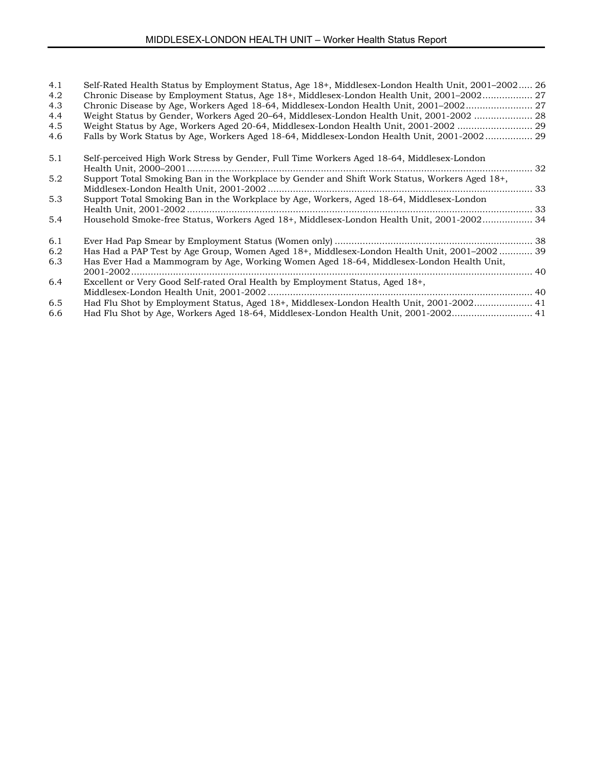| 4.1 | Self-Rated Health Status by Employment Status, Age 18+, Middlesex-London Health Unit, 2001–2002 26 |     |
|-----|----------------------------------------------------------------------------------------------------|-----|
| 4.2 | Chronic Disease by Employment Status, Age 18+, Middlesex-London Health Unit, 2001–2002             |     |
| 4.3 |                                                                                                    |     |
| 4.4 | Weight Status by Gender, Workers Aged 20-64, Middlesex-London Health Unit, 2001-2002  28           |     |
| 4.5 | Weight Status by Age, Workers Aged 20-64, Middlesex-London Health Unit, 2001-2002  29              |     |
| 4.6 | Falls by Work Status by Age, Workers Aged 18-64, Middlesex-London Health Unit, 2001-2002 29        |     |
| 5.1 | Self-perceived High Work Stress by Gender, Full Time Workers Aged 18-64, Middlesex-London          |     |
| 5.2 | Support Total Smoking Ban in the Workplace by Gender and Shift Work Status, Workers Aged 18+,      |     |
| 5.3 | Support Total Smoking Ban in the Workplace by Age, Workers, Aged 18-64, Middlesex-London           |     |
| 5.4 | Household Smoke-free Status, Workers Aged 18+, Middlesex-London Health Unit, 2001-2002 34          |     |
| 6.1 |                                                                                                    |     |
| 6.2 | Has Had a PAP Test by Age Group, Women Aged 18+, Middlesex-London Health Unit, 2001-2002  39       |     |
| 6.3 | Has Ever Had a Mammogram by Age, Working Women Aged 18-64, Middlesex-London Health Unit,           | .40 |
| 6.4 | Excellent or Very Good Self-rated Oral Health by Employment Status, Aged 18+,                      |     |
|     |                                                                                                    |     |
| 6.5 | Had Flu Shot by Employment Status, Aged 18+, Middlesex-London Health Unit, 2001-2002 41            |     |
| 6.6 | Had Flu Shot by Age, Workers Aged 18-64, Middlesex-London Health Unit, 2001-2002 41                |     |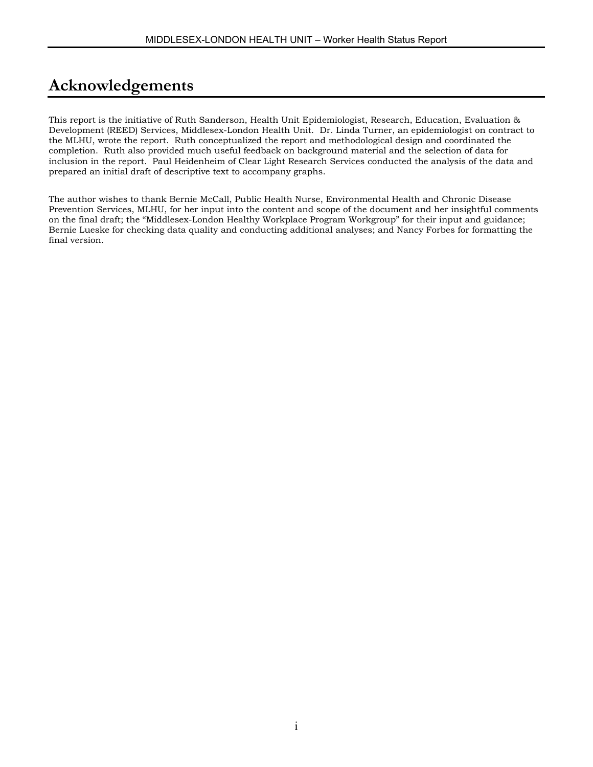# **Acknowledgements**

This report is the initiative of Ruth Sanderson, Health Unit Epidemiologist, Research, Education, Evaluation & Development (REED) Services, Middlesex-London Health Unit. Dr. Linda Turner, an epidemiologist on contract to the MLHU, wrote the report. Ruth conceptualized the report and methodological design and coordinated the completion. Ruth also provided much useful feedback on background material and the selection of data for inclusion in the report. Paul Heidenheim of Clear Light Research Services conducted the analysis of the data and prepared an initial draft of descriptive text to accompany graphs.

The author wishes to thank Bernie McCall, Public Health Nurse, Environmental Health and Chronic Disease Prevention Services, MLHU, for her input into the content and scope of the document and her insightful comments on the final draft; the "Middlesex-London Healthy Workplace Program Workgroup" for their input and guidance; Bernie Lueske for checking data quality and conducting additional analyses; and Nancy Forbes for formatting the final version.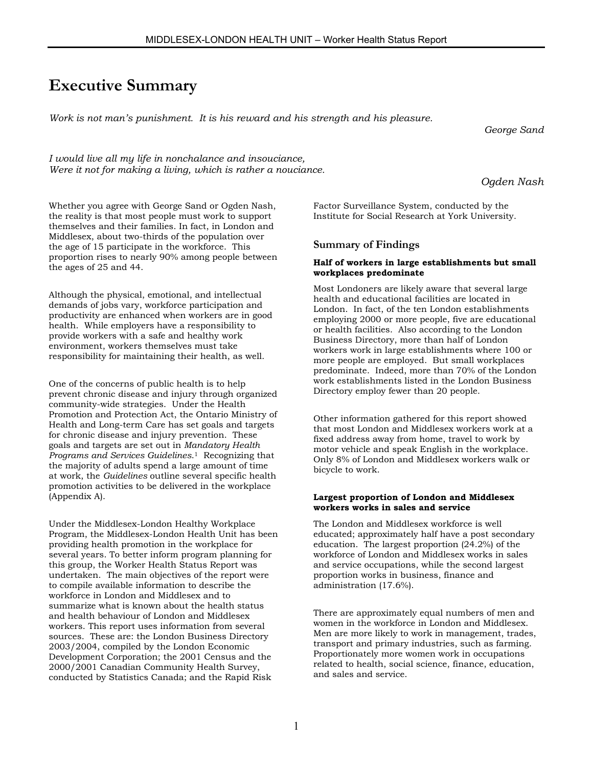# **Executive Summary**

*Work is not man's punishment. It is his reward and his strength and his pleasure.*

*George Sand*

*I would live all my life in nonchalance and insouciance, Were it not for making a living, which is rather a nouciance.*

*Ogden Nash*

Whether you agree with George Sand or Ogden Nash, the reality is that most people must work to support themselves and their families. In fact, in London and Middlesex, about two-thirds of the population over the age of 15 participate in the workforce. This proportion rises to nearly 90% among people between the ages of 25 and 44.

Although the physical, emotional, and intellectual demands of jobs vary, workforce participation and productivity are enhanced when workers are in good health. While employers have a responsibility to provide workers with a safe and healthy work environment, workers themselves must take responsibility for maintaining their health, as well.

One of the concerns of public health is to help prevent chronic disease and injury through organized community-wide strategies. Under the Health Promotion and Protection Act, the Ontario Ministry of Health and Long-term Care has set goals and targets for chronic disease and injury prevention. These goals and targets are set out in *Mandatory Health Programs and Services Guidelines*[.1](#page-64-0) Recognizing that the majority of adults spend a large amount of time at work, the *Guidelines* outline several specific health promotion activities to be delivered in the workplace (Appendix A).

Under the Middlesex-London Healthy Workplace Program, the Middlesex-London Health Unit has been providing health promotion in the workplace for several years. To better inform program planning for this group, the Worker Health Status Report was undertaken. The main objectives of the report were to compile available information to describe the workforce in London and Middlesex and to summarize what is known about the health status and health behaviour of London and Middlesex workers. This report uses information from several sources. These are: the London Business Directory 2003/2004, compiled by the London Economic Development Corporation; the 2001 Census and the 2000/2001 Canadian Community Health Survey, conducted by Statistics Canada; and the Rapid Risk

Factor Surveillance System, conducted by the Institute for Social Research at York University.

### **Summary of Findings**

#### **Half of workers in large establishments but small workplaces predominate**

Most Londoners are likely aware that several large health and educational facilities are located in London. In fact, of the ten London establishments employing 2000 or more people, five are educational or health facilities. Also according to the London Business Directory, more than half of London workers work in large establishments where 100 or more people are employed. But small workplaces predominate. Indeed, more than 70% of the London work establishments listed in the London Business Directory employ fewer than 20 people.

Other information gathered for this report showed that most London and Middlesex workers work at a fixed address away from home, travel to work by motor vehicle and speak English in the workplace. Only 8% of London and Middlesex workers walk or bicycle to work.

#### **Largest proportion of London and Middlesex workers works in sales and service**

The London and Middlesex workforce is well educated; approximately half have a post secondary education. The largest proportion (24.2%) of the workforce of London and Middlesex works in sales and service occupations, while the second largest proportion works in business, finance and administration (17.6%).

There are approximately equal numbers of men and women in the workforce in London and Middlesex. Men are more likely to work in management, trades, transport and primary industries, such as farming. Proportionately more women work in occupations related to health, social science, finance, education, and sales and service.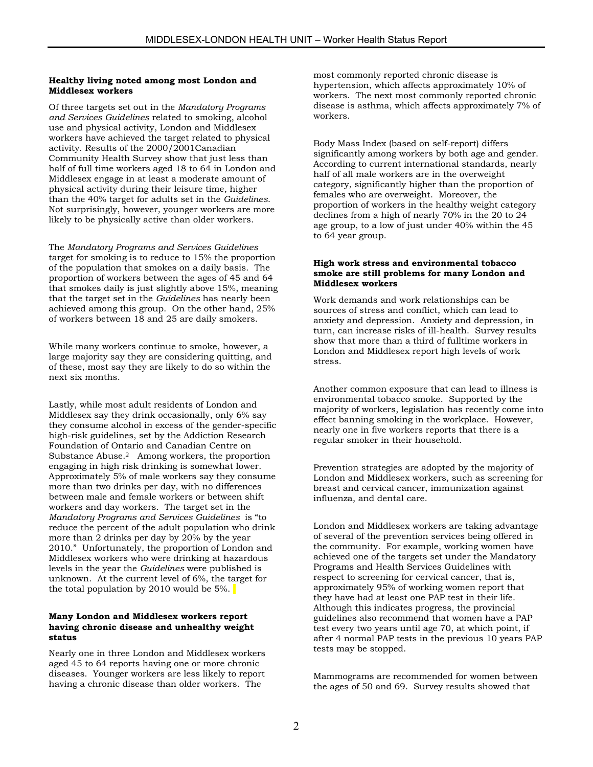#### **Healthy living noted among most London and Middlesex workers**

Of three targets set out in the *Mandatory Programs and Services Guidelines* related to smoking, alcohol use and physical activity, London and Middlesex workers have achieved the target related to physical activity. Results of the 2000/2001Canadian Community Health Survey show that just less than half of full time workers aged 18 to 64 in London and Middlesex engage in at least a moderate amount of physical activity during their leisure time, higher than the 40% target for adults set in the *Guidelines*. Not surprisingly, however, younger workers are more likely to be physically active than older workers.

The *Mandatory Programs and Services Guidelines* target for smoking is to reduce to 15% the proportion of the population that smokes on a daily basis. The proportion of workers between the ages of 45 and 64 that smokes daily is just slightly above 15%, meaning that the target set in the *Guidelines* has nearly been achieved among this group. On the other hand, 25% of workers between 18 and 25 are daily smokers.

While many workers continue to smoke, however, a large majority say they are considering quitting, and of these, most say they are likely to do so within the next six months.

Lastly, while most adult residents of London and Middlesex say they drink occasionally, only 6% say they consume alcohol in excess of the gender-specific high-risk guidelines, set by the Addiction Research Foundation of Ontario and Canadian Centre on Substance Abuse.[2](#page-64-1) Among workers, the proportion engaging in high risk drinking is somewhat lower. Approximately 5% of male workers say they consume more than two drinks per day, with no differences between male and female workers or between shift workers and day workers. The target set in the *Mandatory Programs and Services Guidelines* is "to reduce the percent of the adult population who drink more than 2 drinks per day by 20% by the year 2010." Unfortunately, the proportion of London and Middlesex workers who were drinking at hazardous levels in the year the *Guidelines* were published is unknown. At the current level of 6%, the target for the total population by 2010 would be  $5\%$ .

#### **Many London and Middlesex workers report having chronic disease and unhealthy weight status**

Nearly one in three London and Middlesex workers aged 45 to 64 reports having one or more chronic diseases. Younger workers are less likely to report having a chronic disease than older workers. The

most commonly reported chronic disease is hypertension, which affects approximately 10% of workers. The next most commonly reported chronic disease is asthma, which affects approximately 7% of workers.

Body Mass Index (based on self-report) differs significantly among workers by both age and gender. According to current international standards, nearly half of all male workers are in the overweight category, significantly higher than the proportion of females who are overweight. Moreover, the proportion of workers in the healthy weight category declines from a high of nearly 70% in the 20 to 24 age group, to a low of just under 40% within the 45 to 64 year group.

#### **High work stress and environmental tobacco smoke are still problems for many London and Middlesex workers**

Work demands and work relationships can be sources of stress and conflict, which can lead to anxiety and depression. Anxiety and depression, in turn, can increase risks of ill-health. Survey results show that more than a third of fulltime workers in London and Middlesex report high levels of work stress.

Another common exposure that can lead to illness is environmental tobacco smoke. Supported by the majority of workers, legislation has recently come into effect banning smoking in the workplace. However, nearly one in five workers reports that there is a regular smoker in their household.

Prevention strategies are adopted by the majority of London and Middlesex workers, such as screening for breast and cervical cancer, immunization against influenza, and dental care.

London and Middlesex workers are taking advantage of several of the prevention services being offered in the community. For example, working women have achieved one of the targets set under the Mandatory Programs and Health Services Guidelines with respect to screening for cervical cancer, that is, approximately 95% of working women report that they have had at least one PAP test in their life. Although this indicates progress, the provincial guidelines also recommend that women have a PAP test every two years until age 70, at which point, if after 4 normal PAP tests in the previous 10 years PAP tests may be stopped.

Mammograms are recommended for women between the ages of 50 and 69. Survey results showed that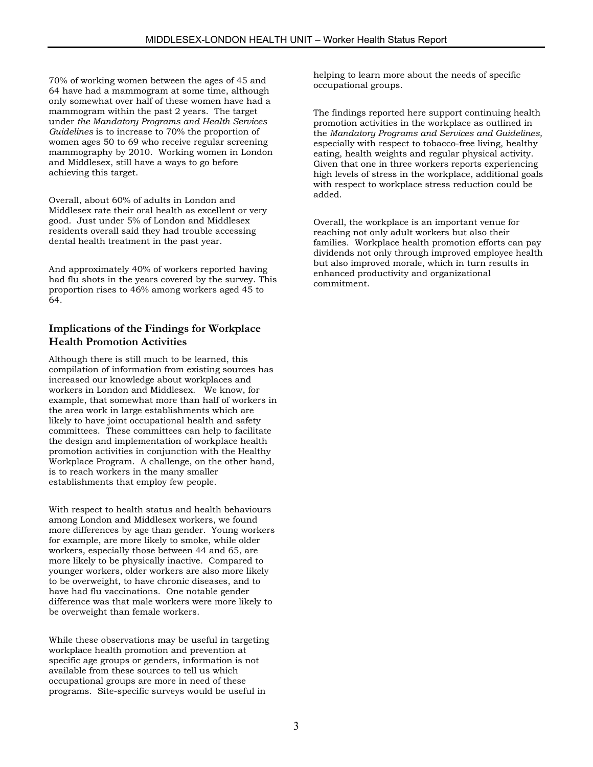70% of working women between the ages of 45 and 64 have had a mammogram at some time, although only somewhat over half of these women have had a mammogram within the past 2 years. The target under *the Mandatory Programs and Health Services Guidelines* is to increase to 70% the proportion of women ages 50 to 69 who receive regular screening mammography by 2010. Working women in London and Middlesex, still have a ways to go before achieving this target.

Overall, about 60% of adults in London and Middlesex rate their oral health as excellent or very good. Just under 5% of London and Middlesex residents overall said they had trouble accessing dental health treatment in the past year.

And approximately 40% of workers reported having had flu shots in the years covered by the survey. This proportion rises to 46% among workers aged 45 to 64.

# **Implications of the Findings for Workplace Health Promotion Activities**

Although there is still much to be learned, this compilation of information from existing sources has increased our knowledge about workplaces and workers in London and Middlesex. We know, for example, that somewhat more than half of workers in the area work in large establishments which are likely to have joint occupational health and safety committees. These committees can help to facilitate the design and implementation of workplace health promotion activities in conjunction with the Healthy Workplace Program. A challenge, on the other hand, is to reach workers in the many smaller establishments that employ few people.

With respect to health status and health behaviours among London and Middlesex workers, we found more differences by age than gender. Young workers for example, are more likely to smoke, while older workers, especially those between 44 and 65, are more likely to be physically inactive. Compared to younger workers, older workers are also more likely to be overweight, to have chronic diseases, and to have had flu vaccinations. One notable gender difference was that male workers were more likely to be overweight than female workers.

While these observations may be useful in targeting workplace health promotion and prevention at specific age groups or genders, information is not available from these sources to tell us which occupational groups are more in need of these programs. Site-specific surveys would be useful in

helping to learn more about the needs of specific occupational groups.

The findings reported here support continuing health promotion activities in the workplace as outlined in the *Mandatory Programs and Services and Guidelines,* especially with respect to tobacco-free living, healthy eating, health weights and regular physical activity. Given that one in three workers reports experiencing high levels of stress in the workplace, additional goals with respect to workplace stress reduction could be added.

Overall, the workplace is an important venue for reaching not only adult workers but also their families. Workplace health promotion efforts can pay dividends not only through improved employee health but also improved morale, which in turn results in enhanced productivity and organizational commitment.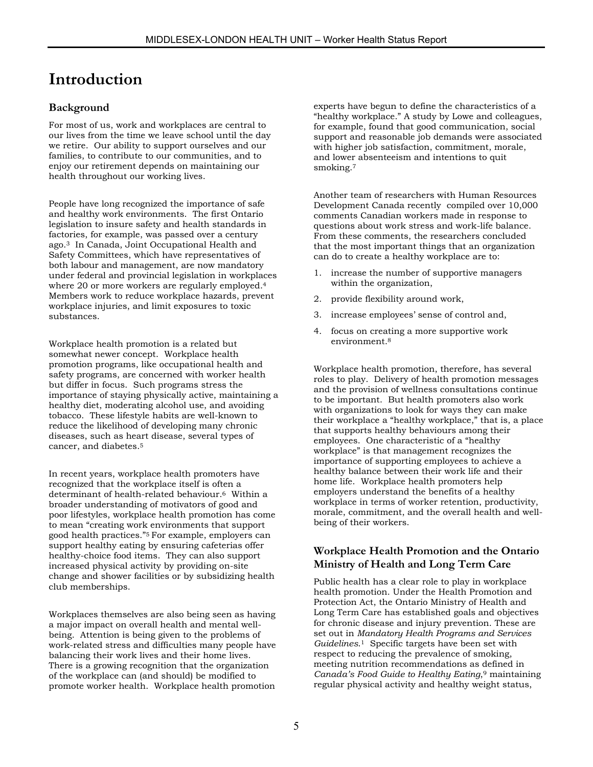# **Introduction**

# **Background**

For most of us, work and workplaces are central to our lives from the time we leave school until the day we retire. Our ability to support ourselves and our families, to contribute to our communities, and to enjoy our retirement depends on maintaining our health throughout our working lives.

People have long recognized the importance of safe and healthy work environments. The first Ontario legislation to insure safety and health standards in factories, for example, was passed over a century ago[.3](#page-64-2) In Canada, Joint Occupational Health and Safety Committees, which have representatives of both labour and management, are now mandatory under federal and provincial legislation in workplaces where 20 or more workers are regularly employed.[4](#page-64-3) Members work to reduce workplace hazards, prevent workplace injuries, and limit exposures to toxic substances.

Workplace health promotion is a related but somewhat newer concept. Workplace health promotion programs, like occupational health and safety programs, are concerned with worker health but differ in focus. Such programs stress the importance of staying physically active, maintaining a healthy diet, moderating alcohol use, and avoiding tobacco. These lifestyle habits are well-known to reduce the likelihood of developing many chronic diseases, such as heart disease, several types of cancer, and diabetes[.5](#page-64-4) 

In recent years, workplace health promoters have recognized that the workplace itself is often a determinant of health-related behaviour.[6](#page-64-5) Within a broader understanding of motivators of good and poor lifestyles, workplace health promotion has come to mean "creating work environments that support good health practices."5 For example, employers can support healthy eating by ensuring cafeterias offer healthy-choice food items. They can also support increased physical activity by providing on-site change and shower facilities or by subsidizing health club memberships.

Workplaces themselves are also being seen as having a major impact on overall health and mental wellbeing. Attention is being given to the problems of work-related stress and difficulties many people have balancing their work lives and their home lives. There is a growing recognition that the organization of the workplace can (and should) be modified to promote worker health. Workplace health promotion

experts have begun to define the characteristics of a "healthy workplace." A study by Lowe and colleagues, for example, found that good communication, social support and reasonable job demands were associated with higher job satisfaction, commitment, morale, and lower absenteeism and intentions to quit smoking.<sup>7</sup>

Another team of researchers with Human Resources Development Canada recently compiled over 10,000 comments Canadian workers made in response to questions about work stress and work-life balance. From these comments, the researchers concluded that the most important things that an organization can do to create a healthy workplace are to:

- 1. increase the number of supportive managers within the organization,
- 2. provide flexibility around work,
- 3. increase employees' sense of control and,
- 4. focus on creating a more supportive work environment.[8](#page-64-7)

Workplace health promotion, therefore, has several roles to play. Delivery of health promotion messages and the provision of wellness consultations continue to be important. But health promoters also work with organizations to look for ways they can make their workplace a "healthy workplace," that is, a place that supports healthy behaviours among their employees. One characteristic of a "healthy workplace" is that management recognizes the importance of supporting employees to achieve a healthy balance between their work life and their home life. Workplace health promoters help employers understand the benefits of a healthy workplace in terms of worker retention, productivity, morale, commitment, and the overall health and wellbeing of their workers.

# **Workplace Health Promotion and the Ontario Ministry of Health and Long Term Care**

Public health has a clear role to play in workplace health promotion. Under the Health Promotion and Protection Act, the Ontario Ministry of Health and Long Term Care has established goals and objectives for chronic disease and injury prevention. These are set out in *Mandatory Health Programs and Services Guidelines*.1 Specific targets have been set with respect to reducing the prevalence of smoking, meeting nutrition recommendations as defined in *Canada's Food Guide to Healthy Eating*,[9](#page-64-8) maintaining regular physical activity and healthy weight status,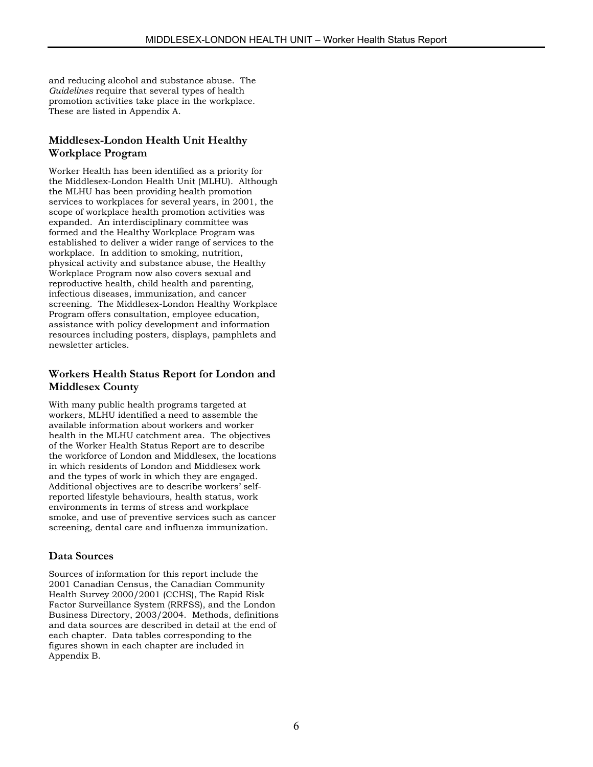and reducing alcohol and substance abuse. The *Guidelines* require that several types of health promotion activities take place in the workplace. These are listed in Appendix A.

# **Middlesex-London Health Unit Healthy Workplace Program**

Worker Health has been identified as a priority for the Middlesex-London Health Unit (MLHU). Although the MLHU has been providing health promotion services to workplaces for several years, in 2001, the scope of workplace health promotion activities was expanded. An interdisciplinary committee was formed and the Healthy Workplace Program was established to deliver a wider range of services to the workplace. In addition to smoking, nutrition, physical activity and substance abuse, the Healthy Workplace Program now also covers sexual and reproductive health, child health and parenting, infectious diseases, immunization, and cancer screening. The Middlesex-London Healthy Workplace Program offers consultation, employee education, assistance with policy development and information resources including posters, displays, pamphlets and newsletter articles.

# **Workers Health Status Report for London and Middlesex County**

With many public health programs targeted at workers, MLHU identified a need to assemble the available information about workers and worker health in the MLHU catchment area. The objectives of the Worker Health Status Report are to describe the workforce of London and Middlesex, the locations in which residents of London and Middlesex work and the types of work in which they are engaged. Additional objectives are to describe workers' selfreported lifestyle behaviours, health status, work environments in terms of stress and workplace smoke, and use of preventive services such as cancer screening, dental care and influenza immunization.

# **Data Sources**

Sources of information for this report include the 2001 Canadian Census, the Canadian Community Health Survey 2000/2001 (CCHS), The Rapid Risk Factor Surveillance System (RRFSS), and the London Business Directory, 2003/2004. Methods, definitions and data sources are described in detail at the end of each chapter. Data tables corresponding to the figures shown in each chapter are included in Appendix B.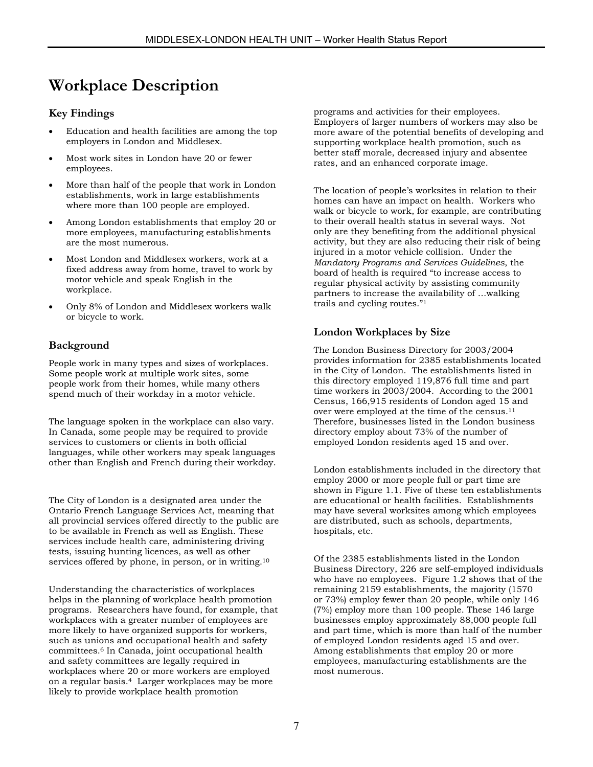# **Workplace Description**

### **Key Findings**

- Education and health facilities are among the top employers in London and Middlesex.
- Most work sites in London have 20 or fewer employees.
- More than half of the people that work in London establishments, work in large establishments where more than 100 people are employed.
- Among London establishments that employ 20 or more employees, manufacturing establishments are the most numerous.
- Most London and Middlesex workers, work at a fixed address away from home, travel to work by motor vehicle and speak English in the workplace.
- Only 8% of London and Middlesex workers walk or bicycle to work.

# **Background**

People work in many types and sizes of workplaces. Some people work at multiple work sites, some people work from their homes, while many others spend much of their workday in a motor vehicle.

The language spoken in the workplace can also vary. In Canada, some people may be required to provide services to customers or clients in both official languages, while other workers may speak languages other than English and French during their workday.

The City of London is a designated area under the Ontario French Language Services Act, meaning that all provincial services offered directly to the public are to be available in French as well as English. These services include health care, administering driving tests, issuing hunting licences, as well as other services offered by phone, in person, or in writing.<sup>10</sup>

Understanding the characteristics of workplaces helps in the planning of workplace health promotion programs. Researchers have found, for example, that workplaces with a greater number of employees are more likely to have organized supports for workers, such as unions and occupational health and safety committees.6 In Canada, joint occupational health and safety committees are legally required in workplaces where 20 or more workers are employed on a regular basis.4 Larger workplaces may be more likely to provide workplace health promotion

programs and activities for their employees. Employers of larger numbers of workers may also be more aware of the potential benefits of developing and supporting workplace health promotion, such as better staff morale, decreased injury and absentee rates, and an enhanced corporate image.

The location of people's worksites in relation to their homes can have an impact on health. Workers who walk or bicycle to work, for example, are contributing to their overall health status in several ways. Not only are they benefiting from the additional physical activity, but they are also reducing their risk of being injured in a motor vehicle collision. Under the *Mandatory Programs and Services Guidelines*, the board of health is required "to increase access to regular physical activity by assisting community partners to increase the availability of …walking trails and cycling routes."1

### **London Workplaces by Size**

The London Business Directory for 2003/2004 provides information for 2385 establishments located in the City of London. The establishments listed in this directory employed 119,876 full time and part time workers in 2003/2004. According to the 2001 Census, 166,915 residents of London aged 1[5 an](#page-64-9)d over were employed at the time of the census.11 Therefore, businesses listed in the London business directory employ about 73% of the number of employed London residents aged 15 and over.

London establishments included in the directory that employ 2000 or more people full or part time are shown in Figure 1.1. Five of these ten establishments are educational or health facilities. Establishments may have several worksites among which employees are distributed, such as schools, departments, hospitals, etc.

Of the 2385 establishments listed in the London Business Directory, 226 are self-employed individuals who have no employees. Figure 1.2 shows that of the remaining 2159 establishments, the majority (1570 or 73%) employ fewer than 20 people, while only 146 (7%) employ more than 100 people. These 146 large businesses employ approximately 88,000 people full and part time, which is more than half of the number of employed London residents aged 15 and over. Among establishments that employ 20 or more employees, manufacturing establishments are the most numerous.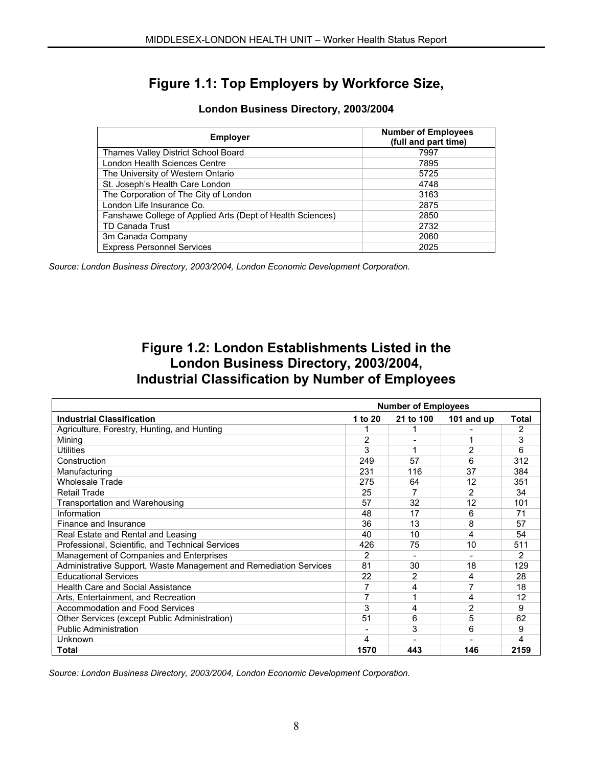# **Figure 1.1: Top Employers by Workforce Size,**

| <b>Employer</b>                                            | <b>Number of Employees</b><br>(full and part time) |
|------------------------------------------------------------|----------------------------------------------------|
| Thames Valley District School Board                        | 7997                                               |
| London Health Sciences Centre                              | 7895                                               |
| The University of Western Ontario                          | 5725                                               |
| St. Joseph's Health Care London                            | 4748                                               |
| The Corporation of The City of London                      | 3163                                               |
| London Life Insurance Co.                                  | 2875                                               |
| Fanshawe College of Applied Arts (Dept of Health Sciences) | 2850                                               |
| <b>TD Canada Trust</b>                                     | 2732                                               |
| 3m Canada Company                                          | 2060                                               |
| <b>Express Personnel Services</b>                          | 2025                                               |

# **London Business Directory, 2003/2004**

*Source: London Business Directory, 2003/2004, London Economic Development Corporation.*

# **Figure 1.2: London Establishments Listed in the London Business Directory, 2003/2004, Industrial Classification by Number of Employees**

|                                                                   | <b>Number of Employees</b> |           |                |       |  |  |  |
|-------------------------------------------------------------------|----------------------------|-----------|----------------|-------|--|--|--|
| <b>Industrial Classification</b>                                  | 1 to 20                    | 21 to 100 | 101 and up     | Total |  |  |  |
| Agriculture, Forestry, Hunting, and Hunting                       |                            |           |                | 2     |  |  |  |
| Mining                                                            | 2                          |           |                | 3     |  |  |  |
| Utilities                                                         | 3                          |           | $\overline{2}$ | 6     |  |  |  |
| Construction                                                      | 249                        | 57        | 6              | 312   |  |  |  |
| Manufacturing                                                     | 231                        | 116       | 37             | 384   |  |  |  |
| Wholesale Trade                                                   | 275                        | 64        | 12             | 351   |  |  |  |
| <b>Retail Trade</b>                                               | 25                         |           | $\overline{2}$ | 34    |  |  |  |
| Transportation and Warehousing                                    | 57                         | 32        | 12             | 101   |  |  |  |
| Information                                                       | 48                         | 17        | 6              | 71    |  |  |  |
| Finance and Insurance                                             | 36                         | 13        | 8              | 57    |  |  |  |
| Real Estate and Rental and Leasing                                | 40                         | 10        | 4              | 54    |  |  |  |
| Professional, Scientific, and Technical Services                  | 426                        | 75        | 10             | 511   |  |  |  |
| Management of Companies and Enterprises                           | 2                          |           |                | 2     |  |  |  |
| Administrative Support, Waste Management and Remediation Services | 81                         | 30        | 18             | 129   |  |  |  |
| <b>Educational Services</b>                                       | 22                         | 2         | 4              | 28    |  |  |  |
| <b>Health Care and Social Assistance</b>                          | 7                          | 4         | 7              | 18    |  |  |  |
| Arts, Entertainment, and Recreation                               | 7                          |           | 4              | 12    |  |  |  |
| Accommodation and Food Services                                   | 3                          | 4         | 2              | 9     |  |  |  |
| Other Services (except Public Administration)                     | 51                         | 6         | 5              | 62    |  |  |  |
| <b>Public Administration</b>                                      |                            | 3         | 6              | 9     |  |  |  |
| Unknown                                                           | 4                          |           |                | 4     |  |  |  |
| <b>Total</b>                                                      | 1570                       | 443       | 146            | 2159  |  |  |  |

*Source: London Business Directory, 2003/2004, London Economic Development Corporation.*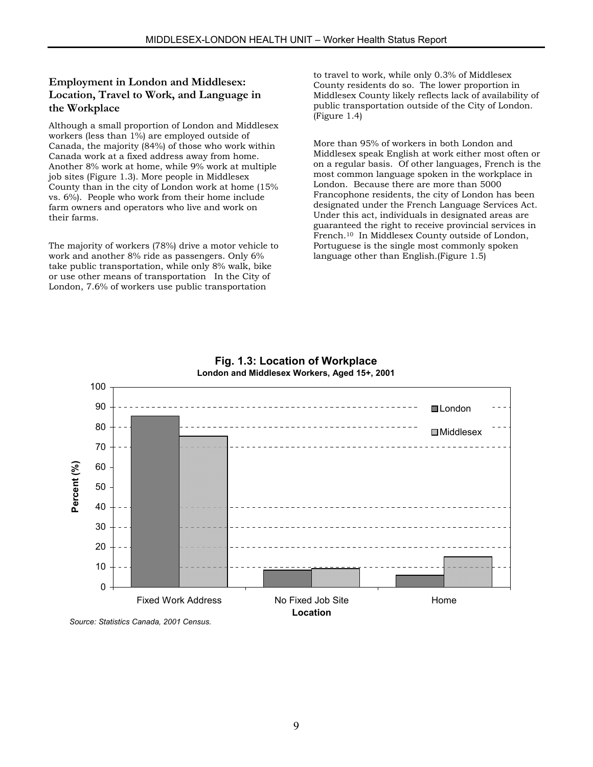# **Employment in London and Middlesex: Location, Travel to Work, and Language in the Workplace**

Although a small proportion of London and Middlesex workers (less than 1%) are employed outside of Canada, the majority (84%) of those who work within Canada work at a fixed address away from home. Another 8% work at home, while 9% work at multiple job sites (Figure 1.3). More people in Middlesex County than in the city of London work at home (15% vs. 6%). People who work from their home include farm owners and operators who live and work on their farms.

The majority of workers (78%) drive a motor vehicle to work and another 8% ride as passengers. Only 6% take public transportation, while only 8% walk, bike or use other means of transportation In the City of London, 7.6% of workers use public transportation

to travel to work, while only 0.3% of Middlesex County residents do so. The lower proportion in Middlesex County likely reflects lack of availability of public transportation outside of the City of London. (Figure 1.4)

More than 95% of workers in both London and Middlesex speak English at work either most often or on a regular basis. Of other languages, French is the most common language spoken in the workplace in London. Because there are more than 5000 Francophone residents, the city of London has been designated under the French Language Services Act. Under this act, individuals in designated areas are guaranteed the right to receive provincial services in French.10 In Middlesex County outside of London, Portuguese is the single most commonly spoken language other than English.(Figure 1.5)



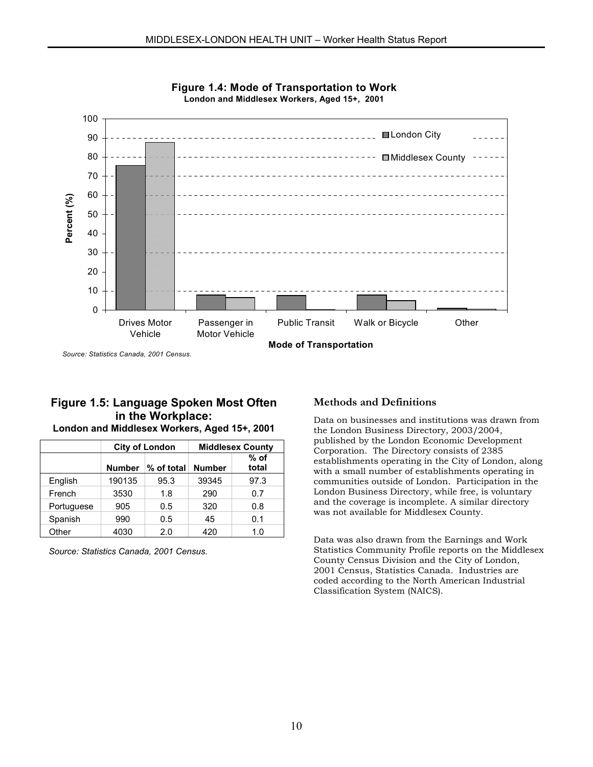



*Source: Statistics Canada, 2001 Census.*

#### **Figure 1.5: Language Spoken Most Often in the Workplace: London and Middlesex Workers, Aged 15+, 2001**

|            |                               | <b>City of London</b> |               | <b>Middlesex County</b> |
|------------|-------------------------------|-----------------------|---------------|-------------------------|
|            | <b>Number</b><br>$%$ of total |                       | <b>Number</b> | $%$ of<br>total         |
| English    | 190135                        | 95.3                  | 39345         | 97.3                    |
| French     | 3530                          | 1.8                   | 290           | 0.7                     |
| Portuguese | 905                           | 0.5                   | 320           | 0.8                     |
| Spanish    | 990                           | 0.5                   | 45            | 0.1                     |
| Other      | 4030                          | 2.0                   | 420           | 1.0                     |

*Source: Statistics Canada, 2001 Census.*

#### **Methods and Definitions**

Data on businesses and institutions was drawn from the London Business Directory, 2003/2004, published by the London Economic Development Corporation. The Directory consists of 2385 establishments operating in the City of London, along with a small number of establishments operating in communities outside of London. Participation in the London Business Directory, while free, is voluntary and the coverage is incomplete. A similar directory was not available for Middlesex County.

Data was also drawn from the Earnings and Work Statistics Community Profile reports on the Middlesex County Census Division and the City of London, 2001 Census, Statistics Canada. Industries are coded according to the North American Industrial Classification System (NAICS).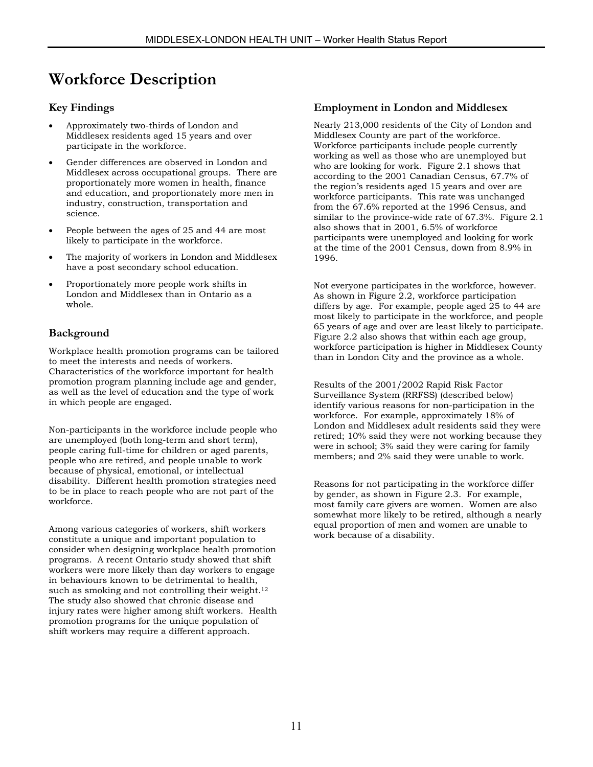# **Workforce Description**

### **Key Findings**

- Approximately two-thirds of London and Middlesex residents aged 15 years and over participate in the workforce.
- Gender differences are observed in London and Middlesex across occupational groups. There are proportionately more women in health, finance and education, and proportionately more men in industry, construction, transportation and science.
- People between the ages of 25 and 44 are most likely to participate in the workforce.
- The majority of workers in London and Middlesex have a post secondary school education.
- Proportionately more people work shifts in London and Middlesex than in Ontario as a whole.

# **Background**

Workplace health promotion programs can be tailored to meet the interests and needs of workers. Characteristics of the workforce important for health promotion program planning include age and gender, as well as the level of education and the type of work in which people are engaged.

Non-participants in the workforce include people who are unemployed (both long-term and short term), people caring full-time for children or aged parents, people who are retired, and people unable to work because of physical, emotional, or intellectual disability. Different health promotion strategies need to be in place to reach people who are not part of the workforce.

Among various categories of workers, shift workers constitute a unique and important population to consider when designing workplace health promotion programs. A recent Ontario study showed that shift workers were more likely than day workers to engage in behaviours known to be detrimental to health, such as smoking and not controlling their weight[.12](#page-64-10) The study also showed that chronic disease and injury rates were higher among shift workers. Health promotion programs for the unique population of shift workers may require a different approach.

### **Employment in London and Middlesex**

Nearly 213,000 residents of the City of London and Middlesex County are part of the workforce. Workforce participants include people currently working as well as those who are unemployed but who are looking for work. Figure 2.1 shows that according to the 2001 Canadian Census, 67.7% of the region's residents aged 15 years and over are workforce participants. This rate was unchanged from the 67.6% reported at the 1996 Census, and similar to the province-wide rate of 67.3%. Figure 2.1 also shows that in 2001, 6.5% of workforce participants were unemployed and looking for work at the time of the 2001 Census, down from 8.9% in 1996.

Not everyone participates in the workforce, however. As shown in Figure 2.2, workforce participation differs by age. For example, people aged 25 to 44 are most likely to participate in the workforce, and people 65 years of age and over are least likely to participate. Figure 2.2 also shows that within each age group, workforce participation is higher in Middlesex County than in London City and the province as a whole.

Results of the 2001/2002 Rapid Risk Factor Surveillance System (RRFSS) (described below) identify various reasons for non-participation in the workforce. For example, approximately 18% of London and Middlesex adult residents said they were retired; 10% said they were not working because they were in school; 3% said they were caring for family members; and 2% said they were unable to work.

Reasons for not participating in the workforce differ by gender, as shown in Figure 2.3. For example, most family care givers are women. Women are also somewhat more likely to be retired, although a nearly equal proportion of men and women are unable to work because of a disability.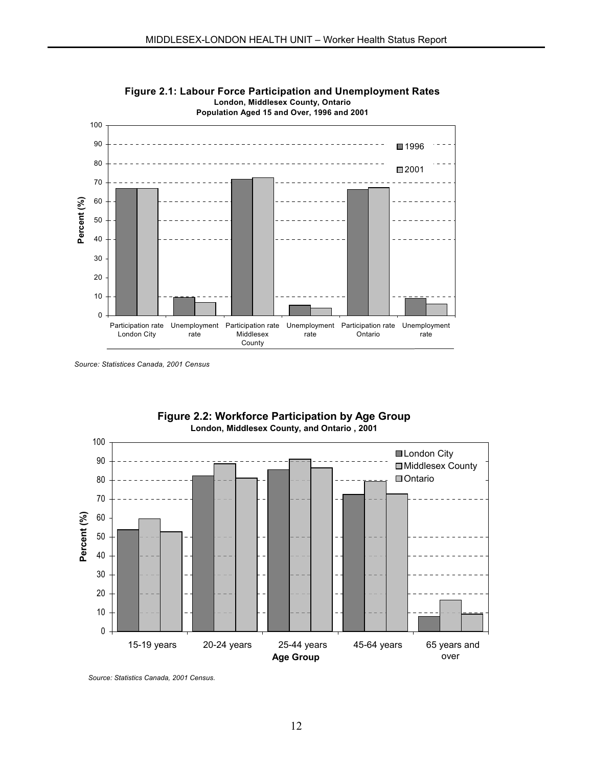

**Figure 2.1: Labour Force Participation and Unemployment Rates London, Middlesex County, Ontario**



**Figure 2.2: Workforce Participation by Age Group**

*Source: Statistics Canada, 2001 Census.*

*Source: Statistices Canada, 2001 Census*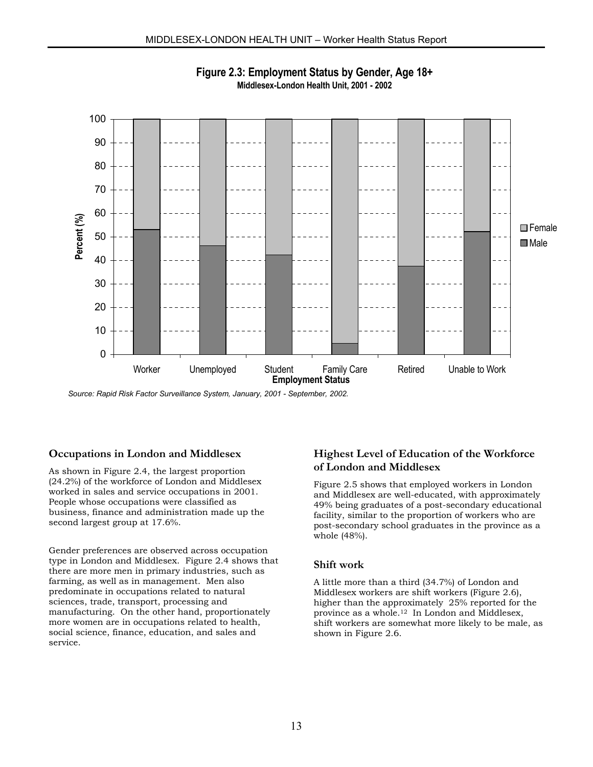

**Figure 2.3: Employment Status by Gender, Age 18+ Middlesex-London Health Unit, 2001 - 2002**

*Source: Rapid Risk Factor Surveillance System, January, 2001 - September, 2002.*

#### **Occupations in London and Middlesex**

As shown in Figure 2.4, the largest proportion (24.2%) of the workforce of London and Middlesex worked in sales and service occupations in 2001. People whose occupations were classified as business, finance and administration made up the second largest group at 17.6%.

Gender preferences are observed across occupation type in London and Middlesex. Figure 2.4 shows that there are more men in primary industries, such as farming, as well as in management. Men also predominate in occupations related to natural sciences, trade, transport, processing and manufacturing. On the other hand, proportionately more women are in occupations related to health, social science, finance, education, and sales and service.

# **Highest Level of Education of the Workforce of London and Middlesex**

Figure 2.5 shows that employed workers in London and Middlesex are well-educated, with approximately 49% being graduates of a post-secondary educational facility, similar to the proportion of workers who are post-secondary school graduates in the province as a whole (48%).

#### **Shift work**

A little more than a third (34.7%) of London and Middlesex workers are shift workers (Figure 2.6), higher than the approximately 25% reported for the province as a whole.12 In London and Middlesex, shift workers are somewhat more likely to be male, as shown in Figure 2.6.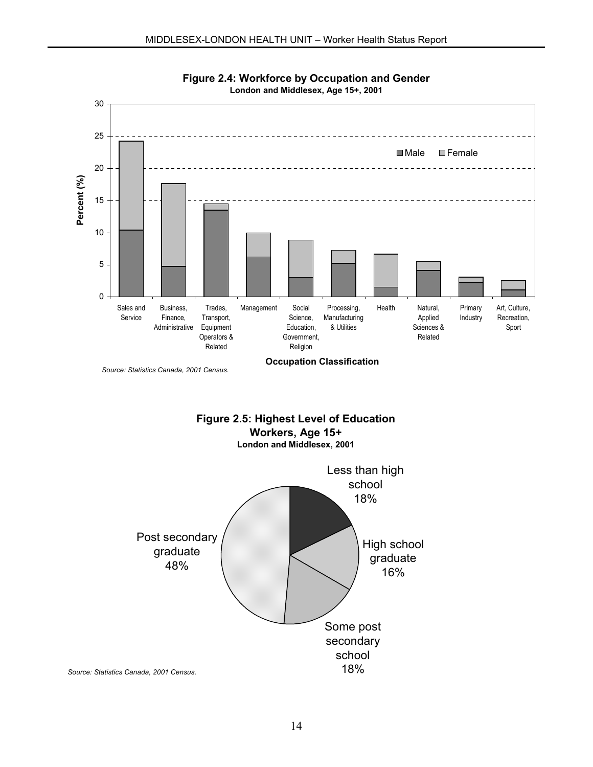



*Source: Statistics Canada, 2001 Census.*



*Source: Statistics Canada, 2001 Census.*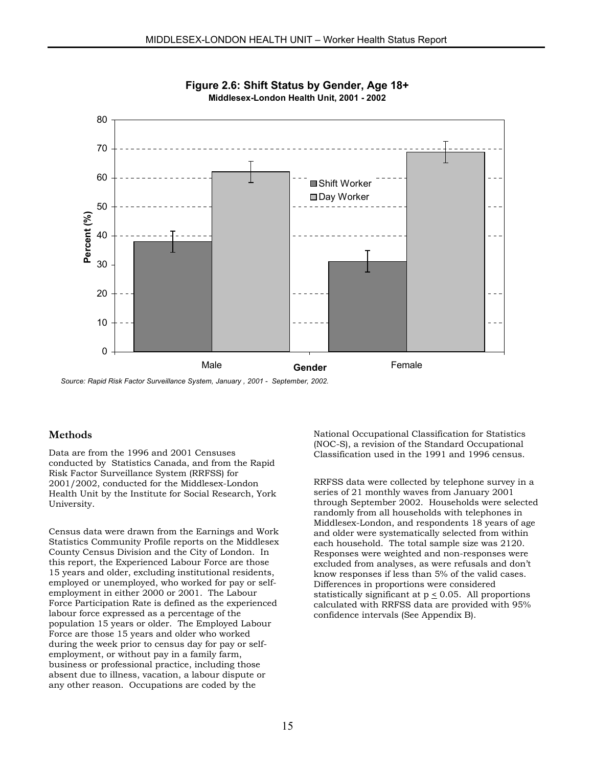

**Figure 2.6: Shift Status by Gender, Age 18+ Middlesex-London Health Unit, 2001 - 2002** 

*Source: Rapid Risk Factor Surveillance System, January , 2001 - September, 2002.*

#### **Methods**

Data are from the 1996 and 2001 Censuses conducted by Statistics Canada, and from the Rapid Risk Factor Surveillance System (RRFSS) for 2001/2002, conducted for the Middlesex-London Health Unit by the Institute for Social Research, York University.

Census data were drawn from the Earnings and Work Statistics Community Profile reports on the Middlesex County Census Division and the City of London. In this report, the Experienced Labour Force are those 15 years and older, excluding institutional residents, employed or unemployed, who worked for pay or selfemployment in either 2000 or 2001. The Labour Force Participation Rate is defined as the experienced labour force expressed as a percentage of the population 15 years or older. The Employed Labour Force are those 15 years and older who worked during the week prior to census day for pay or selfemployment, or without pay in a family farm, business or professional practice, including those absent due to illness, vacation, a labour dispute or any other reason. Occupations are coded by the

National Occupational Classification for Statistics (NOC-S), a revision of the Standard Occupational Classification used in the 1991 and 1996 census.

RRFSS data were collected by telephone survey in a series of 21 monthly waves from January 2001 through September 2002. Households were selected randomly from all households with telephones in Middlesex-London, and respondents 18 years of age and older were systematically selected from within each household. The total sample size was 2120. Responses were weighted and non-responses were excluded from analyses, as were refusals and don't know responses if less than 5% of the valid cases. Differences in proportions were considered statistically significant at p < 0.05. All proportions calculated with RRFSS data are provided with 95% confidence intervals (See Appendix B).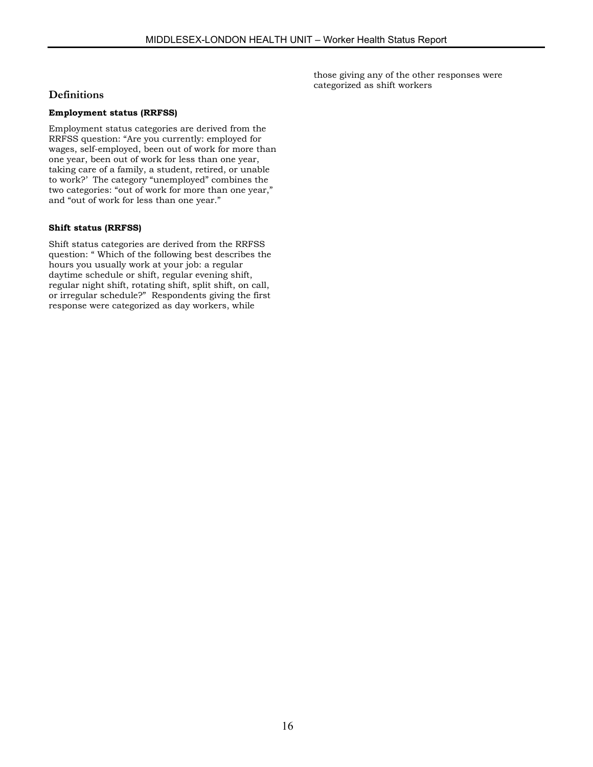those giving any of the other responses were categorized as shift workers

#### **Definitions**

#### **Employment status (RRFSS)**

Employment status categories are derived from the RRFSS question: "Are you currently: employed for wages, self-employed, been out of work for more than one year, been out of work for less than one year, taking care of a family, a student, retired, or unable to work?' The category "unemployed" combines the two categories: "out of work for more than one year," and "out of work for less than one year."

#### **Shift status (RRFSS)**

Shift status categories are derived from the RRFSS question: " Which of the following best describes the hours you usually work at your job: a regular daytime schedule or shift, regular evening shift, regular night shift, rotating shift, split shift, on call, or irregular schedule?" Respondents giving the first response were categorized as day workers, while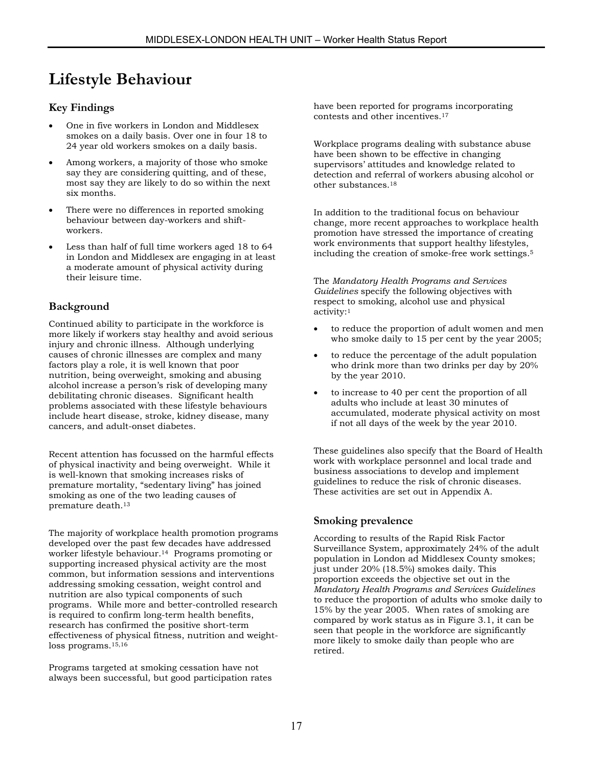# **Lifestyle Behaviour**

# **Key Findings**

- One in five workers in London and Middlesex smokes on a daily basis. Over one in four 18 to 24 year old workers smokes on a daily basis.
- Among workers, a majority of those who smoke say they are considering quitting, and of these, most say they are likely to do so within the next six months.
- There were no differences in reported smoking behaviour between day-workers and shiftworkers.
- Less than half of full time workers aged 18 to 64 in London and Middlesex are engaging in at least a moderate amount of physical activity during their leisure time.

# **Background**

Continued ability to participate in the workforce is more likely if workers stay healthy and avoid serious injury and chronic illness. Although underlying causes of chronic illnesses are complex and many factors play a role, it is well known that poor nutrition, being overweight, smoking and abusing alcohol increase a person's risk of developing many debilitating chronic diseases. Significant health problems associated with these lifestyle behaviours include heart disease, stroke, kidney disease, many cancers, and adult-onset diabetes.

Recent attention has focussed on the harmful effects of physical inactivity and being overweight. While it is well-known that smoking increases risks of premature mortality, "sedentary living" has joined smoking as one of the two leading causes of premature death[.13](#page-64-11) 

The majority of workplace health promotion programs developed over the past few decades have addressed worker lifestyle behaviour.[14](#page-64-12) Programs promoting or supporting increased physical activity are the most common, but information sessions and interventions addressing smoking cessation, weight control and nutrition are also typical components of such programs. While more and better-controlled research is required to confirm long-term health benefits, research has confirmed the positive short-term effectiveness of physical fitness, nutrition and weightloss programs[.15,](#page-64-13)[16](#page-64-14)

Programs targeted at smoking cessation have not always been successful, but good participation rates have been reported for programs incorporating contests and other incentives[.17](#page-64-15)

Workplace programs dealing with substance abuse have been shown to be effective in changing supervisors' attitudes and knowledge related to detection and referral of workers abusing alcohol or other substances.[18](#page-64-16)

In addition to the traditional focus on behaviour change, more recent approaches to workplace health promotion have stressed the importance of creating work environments that support healthy lifestyles, including the creation of smoke-free work settings.5

The *Mandatory Health Programs and Services Guidelines* specify the following objectives with respect to smoking, alcohol use and physical activity:1

- to reduce the proportion of adult women and men who smoke daily to 15 per cent by the year 2005;
- to reduce the percentage of the adult population who drink more than two drinks per day by 20% by the year 2010.
- to increase to 40 per cent the proportion of all adults who include at least 30 minutes of accumulated, moderate physical activity on most if not all days of the week by the year 2010.

These guidelines also specify that the Board of Health work with workplace personnel and local trade and business associations to develop and implement guidelines to reduce the risk of chronic diseases. These activities are set out in Appendix A.

# **Smoking prevalence**

According to results of the Rapid Risk Factor Surveillance System, approximately 24% of the adult population in London ad Middlesex County smokes; just under 20% (18.5%) smokes daily. This proportion exceeds the objective set out in the *Mandatory Health Programs and Services Guidelines* to reduce the proportion of adults who smoke daily to 15% by the year 2005. When rates of smoking are compared by work status as in Figure 3.1, it can be seen that people in the workforce are significantly more likely to smoke daily than people who are retired.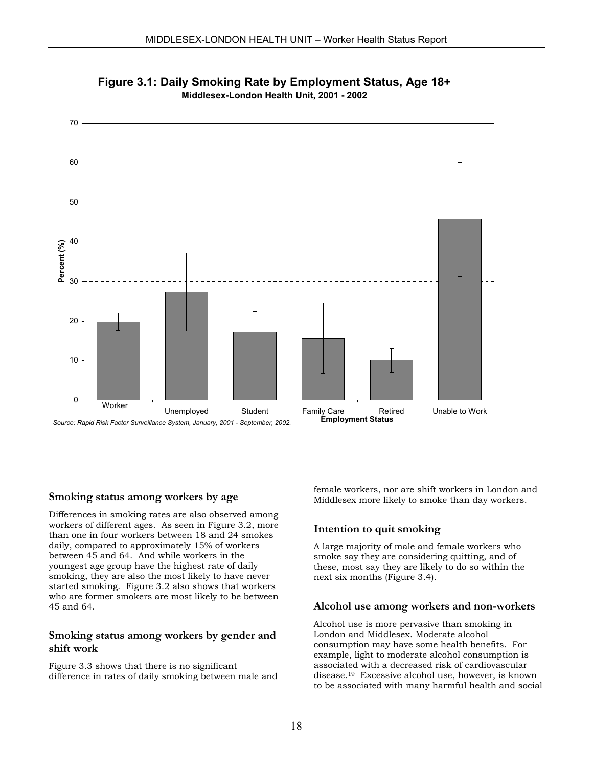

**Figure 3.1: Daily Smoking Rate by Employment Status, Age 18+ Middlesex-London Health Unit, 2001 - 2002**

#### **Smoking status among workers by age**

Differences in smoking rates are also observed among workers of different ages. As seen in Figure 3.2, more than one in four workers between 18 and 24 smokes daily, compared to approximately 15% of workers between 45 and 64. And while workers in the youngest age group have the highest rate of daily smoking, they are also the most likely to have never started smoking. Figure 3.2 also shows that workers who are former smokers are most likely to be between 45 and 64.

#### **Smoking status among workers by gender and shift work**

Figure 3.3 shows that there is no significant difference in rates of daily smoking between male and female workers, nor are shift workers in London and Middlesex more likely to smoke than day workers.

#### **Intention to quit smoking**

A large majority of male and female workers who smoke say they are considering quitting, and of these, most say they are likely to do so within the next six months (Figure 3.4).

#### **Alcohol use among workers and non-workers**

Alcohol use is more pervasive than smoking in London and Middlesex. Moderate alcohol consumption may have some health benefits. For example, light to moderate alcohol consumption is associated with a decreased risk of cardiovascular disease[.19](#page-64-17) Excessive alcohol use, however, is known to be associated with many harmful health and social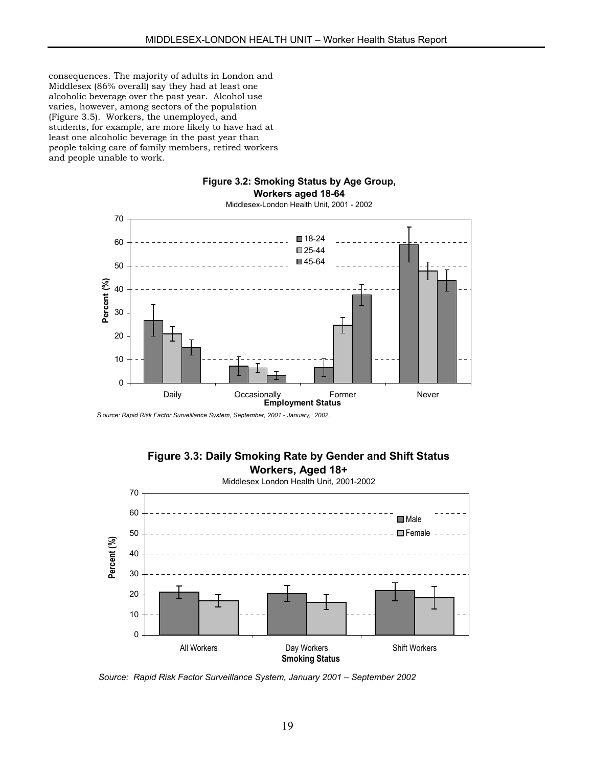consequences. The majority of adults in London and Middlesex (86% overall) say they had at least one alcoholic beverage over the past year. Alcohol use varies, however, among sectors of the population (Figure 3.5). Workers, the unemployed, and students, for example, are more likely to have had at least one alcoholic beverage in the past year than people taking care of family members, retired workers and people unable to work.

#### **Figure 3.2: Smoking Status by Age Group, Workers aged 18-64**



Middlesex-London Health Unit, 2001 - 2002

*S ource: Rapid Risk Factor Surveillance System, September, 2001 - January, 2002.*



*Source: Rapid Risk Factor Surveillance System, January 2001 – September 2002*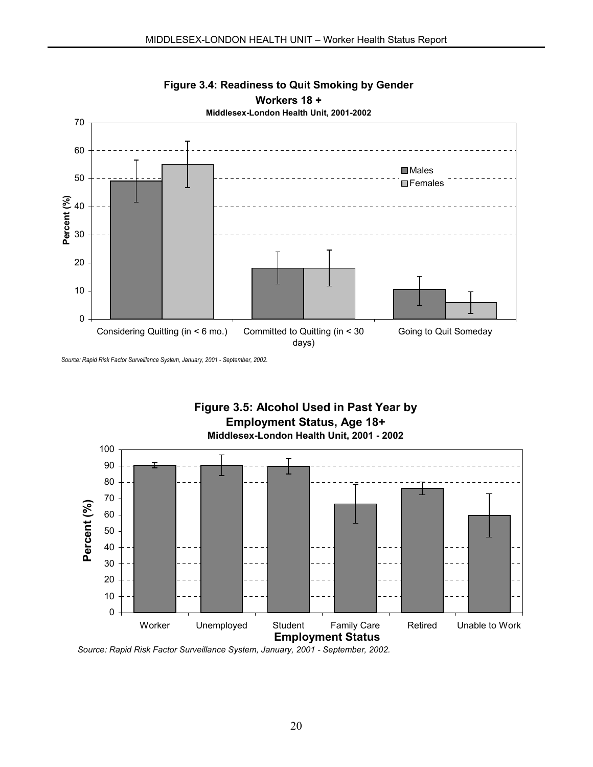

*Source: Rapid Risk Factor Surveillance System, January, 2001 - September, 2002.*



*Source: Rapid Risk Factor Surveillance System, January, 2001 - September, 2002.*

20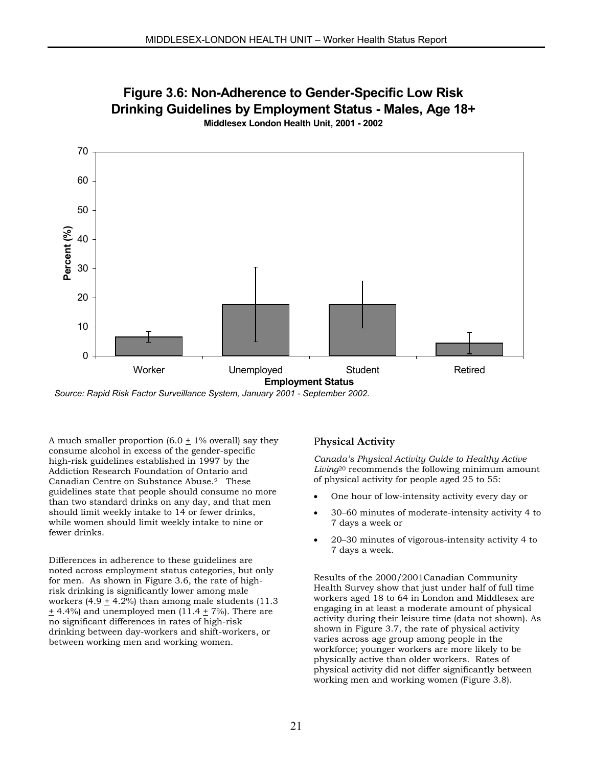

**Figure 3.6: Non-Adherence to Gender-Specific Low Risk Drinking Guidelines by Employment Status - Males, Age 18+**

*Source: Rapid Risk Factor Surveillance System, January 2001 - September 2002.*

A much smaller proportion  $(6.0 \pm 1\%$  overall) say they consume alcohol in excess of the gender-specific high-risk guidelines established in 1997 by the Addiction Research Foundation of Ontario and Canadian Centre on Substance Abuse.2 These guidelines state that people should consume no more than two standard drinks on any day, and that men should limit weekly intake to 14 or fewer drinks, while women should limit weekly intake to nine or fewer drinks.

Differences in adherence to these guidelines are noted across employment status categories, but only for men. As shown in Figure 3.6, the rate of highrisk drinking is significantly lower among male workers  $(4.9 + 4.2\%)$  than among male students  $(11.3)$  $\pm$  4.4%) and unemployed men (11.4  $\pm$  7%). There are no significant differences in rates of high-risk drinking between day-workers and shift-workers, or between working men and working women.

#### P**hysical Activity**

*Canada's Physical Activity Guide to Healthy Active Living*[20](#page-64-18) recommends the following minimum amount of physical activity for people aged 25 to 55:

- One hour of low-intensity activity every day or
- 30–60 minutes of moderate-intensity activity 4 to 7 days a week or
- 20–30 minutes of vigorous-intensity activity 4 to 7 days a week.

Results of the 2000/2001Canadian Community Health Survey show that just under half of full time workers aged 18 to 64 in London and Middlesex are engaging in at least a moderate amount of physical activity during their leisure time (data not shown). As shown in Figure 3.7, the rate of physical activity varies across age group among people in the workforce; younger workers are more likely to be physically active than older workers. Rates of physical activity did not differ significantly between working men and working women (Figure 3.8).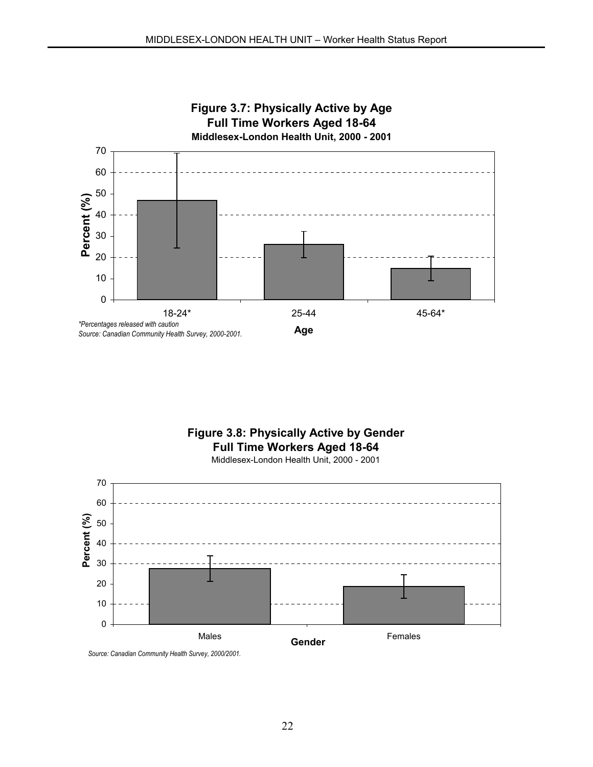

# **Figure 3.8: Physically Active by Gender Full Time Workers Aged 18-64**

Middlesex-London Health Unit, 2000 - 2001



*Source: Canadian Community Health Survey, 2000/2001.*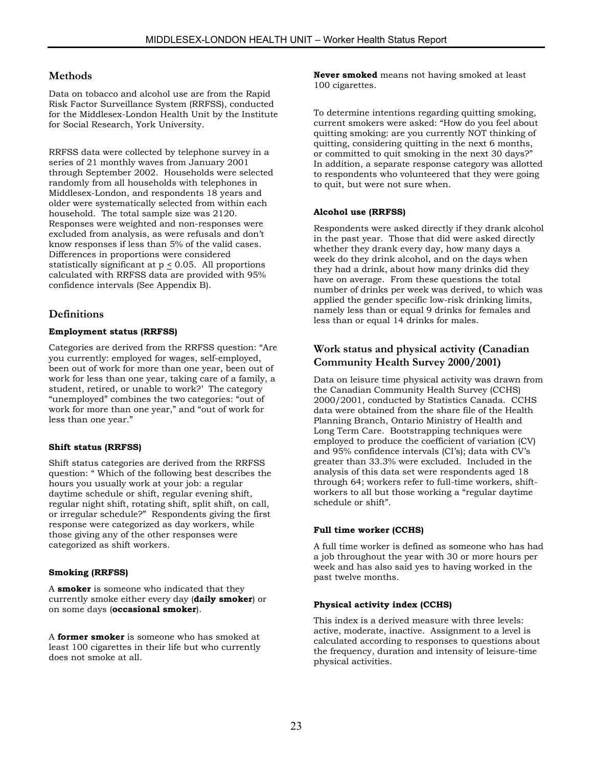#### **Methods**

Data on tobacco and alcohol use are from the Rapid Risk Factor Surveillance System (RRFSS), conducted for the Middlesex-London Health Unit by the Institute for Social Research, York University.

RRFSS data were collected by telephone survey in a series of 21 monthly waves from January 2001 through September 2002. Households were selected randomly from all households with telephones in Middlesex-London, and respondents 18 years and older were systematically selected from within each household. The total sample size was 2120. Responses were weighted and non-responses were excluded from analysis, as were refusals and don't know responses if less than 5% of the valid cases. Differences in proportions were considered statistically significant at  $p \le 0.05$ . All proportions calculated with RRFSS data are provided with 95% confidence intervals (See Appendix B).

# **Definitions**

#### **Employment status (RRFSS)**

Categories are derived from the RRFSS question: "Are you currently: employed for wages, self-employed, been out of work for more than one year, been out of work for less than one year, taking care of a family, a student, retired, or unable to work?' The category "unemployed" combines the two categories: "out of work for more than one year," and "out of work for less than one year."

#### **Shift status (RRFSS)**

Shift status categories are derived from the RRFSS question: " Which of the following best describes the hours you usually work at your job: a regular daytime schedule or shift, regular evening shift, regular night shift, rotating shift, split shift, on call, or irregular schedule?" Respondents giving the first response were categorized as day workers, while those giving any of the other responses were categorized as shift workers.

#### **Smoking (RRFSS)**

A **smoker** is someone who indicated that they currently smoke either every day (**daily smoker**) or on some days (**occasional smoker**).

A **former smoker** is someone who has smoked at least 100 cigarettes in their life but who currently does not smoke at all.

**Never smoked** means not having smoked at least 100 cigarettes.

To determine intentions regarding quitting smoking, current smokers were asked: "How do you feel about quitting smoking: are you currently NOT thinking of quitting, considering quitting in the next 6 months, or committed to quit smoking in the next 30 days?" In addition, a separate response category was allotted to respondents who volunteered that they were going to quit, but were not sure when.

#### **Alcohol use (RRFSS)**

Respondents were asked directly if they drank alcohol in the past year. Those that did were asked directly whether they drank every day, how many days a week do they drink alcohol, and on the days when they had a drink, about how many drinks did they have on average. From these questions the total number of drinks per week was derived, to which was applied the gender specific low-risk drinking limits, namely less than or equal 9 drinks for females and less than or equal 14 drinks for males.

### **Work status and physical activity (Canadian Community Health Survey 2000/2001)**

Data on leisure time physical activity was drawn from the Canadian Community Health Survey (CCHS) 2000/2001, conducted by Statistics Canada. CCHS data were obtained from the share file of the Health Planning Branch, Ontario Ministry of Health and Long Term Care. Bootstrapping techniques were employed to produce the coefficient of variation (CV) and 95% confidence intervals (CI's); data with CV's greater than 33.3% were excluded. Included in the analysis of this data set were respondents aged 18 through 64; workers refer to full-time workers, shiftworkers to all but those working a "regular daytime schedule or shift".

#### **Full time worker (CCHS)**

A full time worker is defined as someone who has had a job throughout the year with 30 or more hours per week and has also said yes to having worked in the past twelve months.

#### **Physical activity index (CCHS)**

This index is a derived measure with three levels: active, moderate, inactive. Assignment to a level is calculated according to responses to questions about the frequency, duration and intensity of leisure-time physical activities.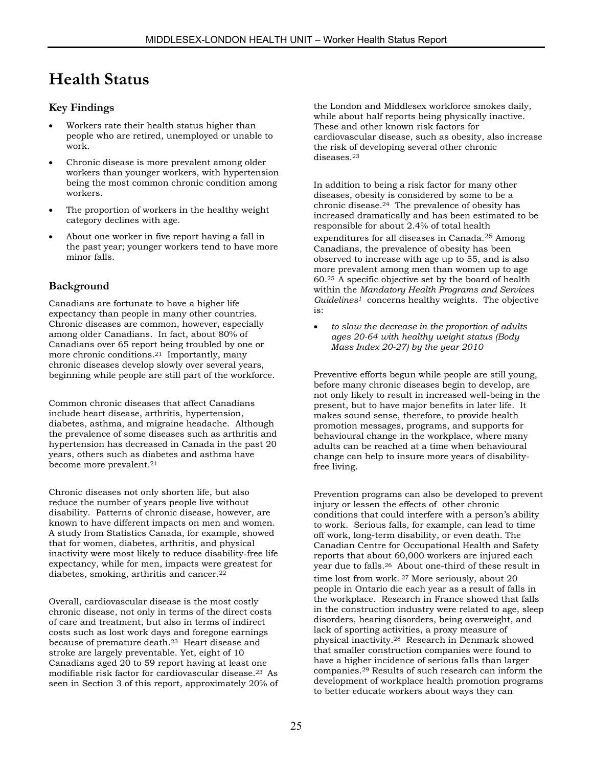# **Health Status**

# **Key Findings**

- Workers rate their health status higher than people who are retired, unemployed or unable to work.
- Chronic disease is more prevalent among older workers than younger workers, with hypertension being the most common chronic condition among workers.
- The proportion of workers in the healthy weight category declines with age.
- About one worker in five report having a fall in the past year; younger workers tend to have more minor falls.

# **Background**

Canadians are fortunate to have a higher life expectancy than people in many other countries. Chronic diseases are common, however, especially among older Canadians. In fact, about 80% of Canadians over 65 report being troubled by one or more chronic conditions.[21](#page-64-19) Importantly, many chronic diseases develop slowly over several years, beginning while people are still part of the workforce.

Common chronic diseases that affect Canadians include heart disease, arthritis, hypertension, diabetes, asthma, and migraine headache. Although the prevalence of some diseases such as arthritis and hypertension has decreased in Canada in the past 20 years, others such as diabetes and asthma have become more prevalent.21

Chronic diseases not only shorten life, but also reduce the number of years people live without disability. Patterns of chronic disease, however, are known to have different impacts on men and women. A study from Statistics Canada, for example, showed that for women, diabetes, arthritis, and physical inactivity were most likely to reduce disability-free life expectancy, while for men, impacts were greatest for diabetes, smoking, arthritis and cancer.<sup>[22](#page-64-20)</sup>

Overall, cardiovascular disease is the most costly chronic disease, not only in terms of the direct costs of care and treatment, but also in terms of indirect costs such as lost work days and foregone earnings because of premature death[.23](#page-64-21) Heart disease and stroke are largely preventable. Yet, eight of 10 Canadians aged 20 to 59 report having at least one modifiable risk factor for cardiovascular disease.23 As seen in Section 3 of this report, approximately 20% of

the London and Middlesex workforce smokes daily, while about half reports being physically inactive. These and other known risk factors for cardiovascular disease, such as obesity, also increase the risk of developing several other chronic diseases.23

In addition to being a risk factor for many other diseases, obesity is considered by some to be a chronic disease.[24](#page-64-22) The prevalence of obesity has increased dramatically and has been estimated to be responsible for about 2.4% of total health expenditures for all diseases in Canada[.25](#page-64-23) Among Canadians, the prevalence of obesity has been observed to increase with age up to 55, and is also more prevalent among men than women up to age 60.25 A specific objective set by the board of health within the *Mandatory Health Programs and Services Guidelines1* concerns healthy weights. The objective is:

• *to slow the decrease in the proportion of adults ages 20-64 with healthy weight status (Body Mass Index 20-27) by the year 2010*

Preventive efforts begun while people are still young, before many chronic diseases begin to develop, are not only likely to result in increased well-being in the present, but to have major benefits in later life. It makes sound sense, therefore, to provide health promotion messages, programs, and supports for behavioural change in the workplace, where many adults can be reached at a time when behavioural change can help to insure more years of disabilityfree living.

Prevention programs can also be developed to prevent injury or lessen the effects of other chronic conditions that could interfere with a person's ability to work. Serious falls, for example, can lead to time off work, long-term disability, or even death. The Canadian Centre for Occupational Health and Safety reports that about 60,000 workers are injured each year due to falls.[26](#page-64-24) About one-third of these result in time lost from work. [27](#page-64-25) More seriously, about 20 people in Ontario die each year as a result of falls in the workplace. Research in France showed that falls in the construction industry were related to age, sleep disorders, hearing disorders, being overweight, and lack of sporting activities, a proxy measure of physical inactivity.[28](#page-64-26) Research in Denmark showed that smaller construction companies were found to have a higher incidence of serious falls than larger companies.[29](#page-64-27) Results of such research can inform the development of workplace health promotion programs to better educate workers about ways they can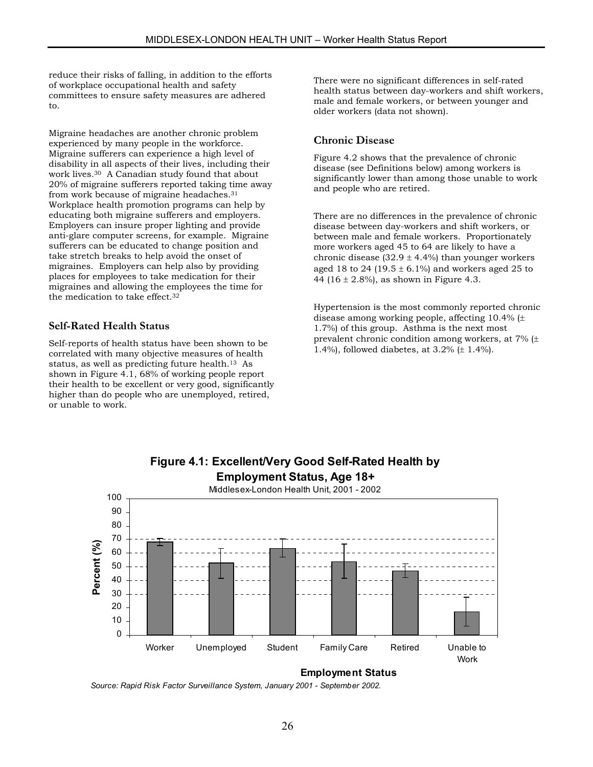reduce their risks of falling, in addition to the efforts of workplace occupational health and safety committees to ensure safety measures are adhered to.

Migraine headaches are another chronic problem experienced by many people in the workforce. Migraine sufferers can experience a high level of disability in all aspects of their lives, including their work lives[.30](#page-64-28) A Canadian study found that about 20% of migraine sufferers reported taking time away from work because of migraine headaches.[31](#page-64-29) Workplace health promotion programs can help by educating both migraine sufferers and employers. Employers can insure proper lighting and provide anti-glare computer screens, for example. Migraine sufferers can be educated to change position and take stretch breaks to help avoid the onset of migraines. Employers can help also by providing places for employees to take medication for their migraines and allowing the employees the time for the medication to take effect.[32](#page-64-30)

### **Self-Rated Health Status**

Self-reports of health status have been shown to be correlated with many objective measures of health status, as well as predicting future health.13 As shown in Figure 4.1, 68% of working people report their health to be excellent or very good, significantly higher than do people who are unemployed, retired, or unable to work.

There were no significant differences in self-rated health status between day-workers and shift workers, male and female workers, or between younger and older workers (data not shown).

#### **Chronic Disease**

Figure 4.2 shows that the prevalence of chronic disease (see Definitions below) among workers is significantly lower than among those unable to work and people who are retired.

There are no differences in the prevalence of chronic disease between day-workers and shift workers, or between male and female workers. Proportionately more workers aged 45 to 64 are likely to have a chronic disease  $(32.9 \pm 4.4\%)$  than younger workers aged 18 to 24 (19.5  $\pm$  6.1%) and workers aged 25 to 44 (16  $\pm$  2.8%), as shown in Figure 4.3.

Hypertension is the most commonly reported chronic disease among working people, affecting 10.4% (± 1.7%) of this group. Asthma is the next most prevalent chronic condition among workers, at 7% (± 1.4%), followed diabetes, at 3.2% (± 1.4%).



**Employment Status**

*Source: Rapid Risk Factor Surveillance System, January 2001 - September 2002.*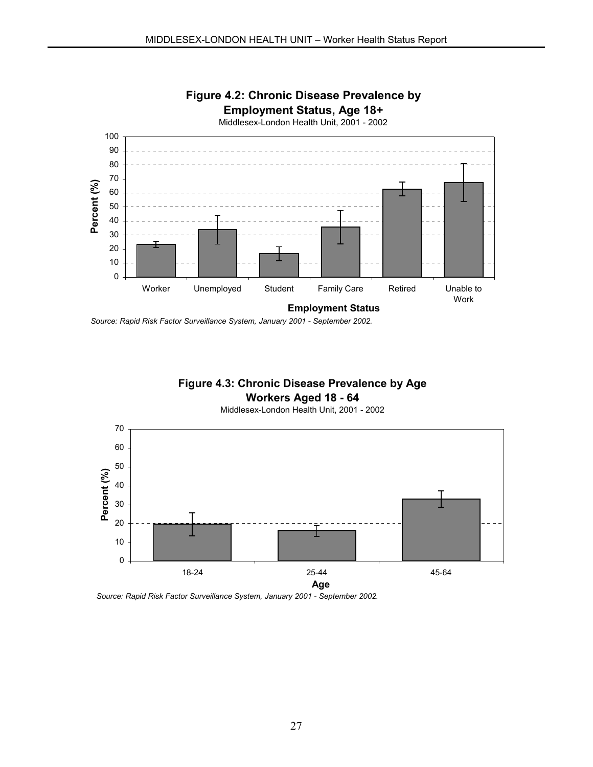

*Source: Rapid Risk Factor Surveillance System, January 2001 - September 2002.*

# **Figure 4.3: Chronic Disease Prevalence by Age**

# **Workers Aged 18 - 64**

Middlesex-London Health Unit, 2001 - 2002



*Source: Rapid Risk Factor Surveillance System, January 2001 - September 2002.*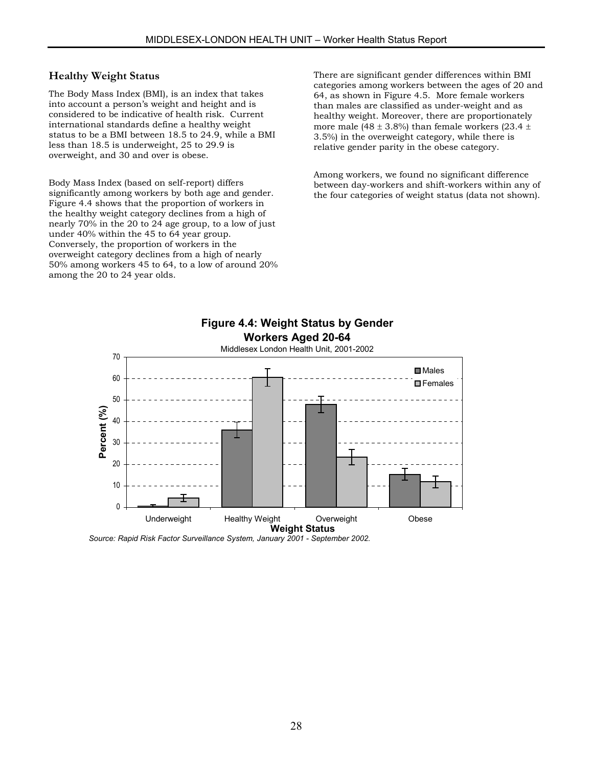### **Healthy Weight Status**

The Body Mass Index (BMI), is an index that takes into account a person's weight and height and is considered to be indicative of health risk. Current international standards define a healthy weight status to be a BMI between 18.5 to 24.9, while a BMI less than 18.5 is underweight, 25 to 29.9 is overweight, and 30 and over is obese.

Body Mass Index (based on self-report) differs significantly among workers by both age and gender. Figure 4.4 shows that the proportion of workers in the healthy weight category declines from a high of nearly 70% in the 20 to 24 age group, to a low of just under 40% within the 45 to 64 year group. Conversely, the proportion of workers in the overweight category declines from a high of nearly 50% among workers 45 to 64, to a low of around 20% among the 20 to 24 year olds.

There are significant gender differences within BMI categories among workers between the ages of 20 and 64, as shown in Figure 4.5. More female workers than males are classified as under-weight and as healthy weight. Moreover, there are proportionately more male (48  $\pm$  3.8%) than female workers (23.4  $\pm$ 3.5%) in the overweight category, while there is relative gender parity in the obese category.

Among workers, we found no significant difference between day-workers and shift-workers within any of the four categories of weight status (data not shown).



*Source: Rapid Risk Factor Surveillance System, January 2001 - September 2002.*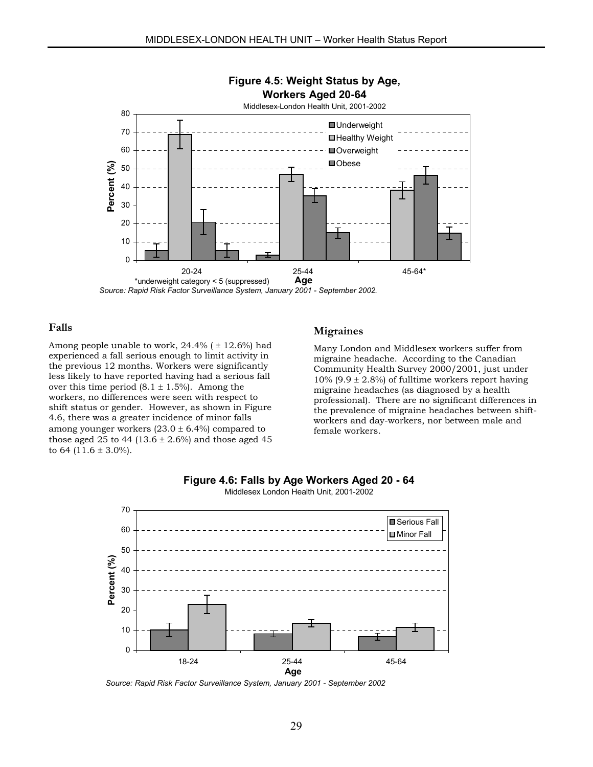

#### **Falls**

Among people unable to work,  $24.4\%$  ( $\pm$  12.6%) had experienced a fall serious enough to limit activity in the previous 12 months. Workers were significantly less likely to have reported having had a serious fall over this time period  $(8.1 \pm 1.5\%)$ . Among the workers, no differences were seen with respect to shift status or gender. However, as shown in Figure 4.6, there was a greater incidence of minor falls among younger workers  $(23.0 \pm 6.4\%)$  compared to those aged 25 to 44 (13.6  $\pm$  2.6%) and those aged 45 to 64  $(11.6 \pm 3.0\%)$ .

#### **Migraines**

Many London and Middlesex workers suffer from migraine headache. According to the Canadian Community Health Survey 2000/2001, just under 10% (9.9  $\pm$  2.8%) of fulltime workers report having migraine headaches (as diagnosed by a health professional). There are no significant differences in the prevalence of migraine headaches between shiftworkers and day-workers, nor between male and female workers.





Middlesex London Health Unit, 2001-2002

*Source: Rapid Risk Factor Surveillance System, January 2001 - September 2002*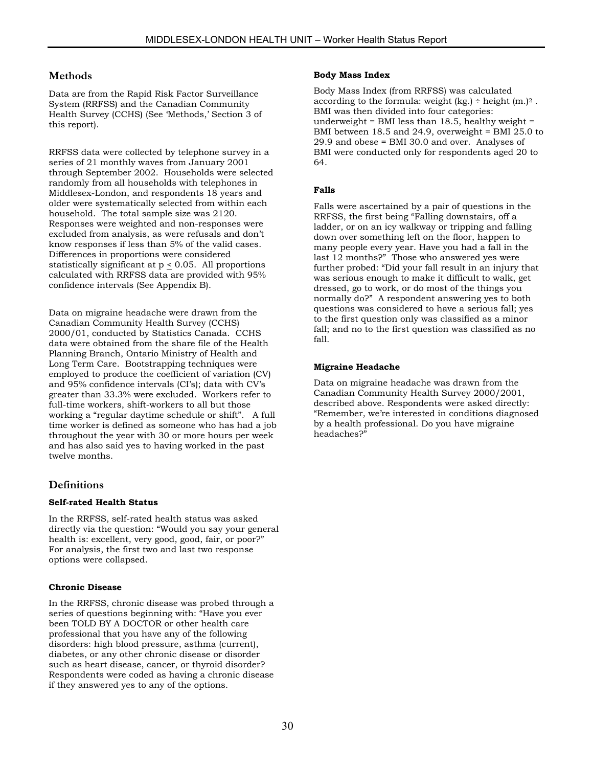### **Methods**

Data are from the Rapid Risk Factor Surveillance System (RRFSS) and the Canadian Community Health Survey (CCHS) (See 'Methods,' Section 3 of this report).

RRFSS data were collected by telephone survey in a series of 21 monthly waves from January 2001 through September 2002. Households were selected randomly from all households with telephones in Middlesex-London, and respondents 18 years and older were systematically selected from within each household. The total sample size was 2120. Responses were weighted and non-responses were excluded from analysis, as were refusals and don't know responses if less than 5% of the valid cases. Differences in proportions were considered statistically significant at  $p \le 0.05$ . All proportions calculated with RRFSS data are provided with 95% confidence intervals (See Appendix B).

Data on migraine headache were drawn from the Canadian Community Health Survey (CCHS) 2000/01, conducted by Statistics Canada. CCHS data were obtained from the share file of the Health Planning Branch, Ontario Ministry of Health and Long Term Care. Bootstrapping techniques were employed to produce the coefficient of variation (CV) and 95% confidence intervals (CI's); data with CV's greater than 33.3% were excluded. Workers refer to full-time workers, shift-workers to all but those working a "regular daytime schedule or shift". A full time worker is defined as someone who has had a job throughout the year with 30 or more hours per week and has also said yes to having worked in the past twelve months.

# **Definitions**

#### **Self-rated Health Status**

In the RRFSS, self-rated health status was asked directly via the question: "Would you say your general health is: excellent, very good, good, fair, or poor?" For analysis, the first two and last two response options were collapsed.

#### **Chronic Disease**

In the RRFSS, chronic disease was probed through a series of questions beginning with: "Have you ever been TOLD BY A DOCTOR or other health care professional that you have any of the following disorders: high blood pressure, asthma (current), diabetes, or any other chronic disease or disorder such as heart disease, cancer, or thyroid disorder? Respondents were coded as having a chronic disease if they answered yes to any of the options.

#### **Body Mass Index**

Body Mass Index (from RRFSS) was calculated according to the formula: weight  $(kg)$  ÷ height  $(m!)^2$ . BMI was then divided into four categories: underweight = BMI less than  $18.5$ , healthy weight = BMI between 18.5 and 24.9, overweight = BMI 25.0 to 29.9 and obese = BMI 30.0 and over. Analyses of BMI were conducted only for respondents aged 20 to 64.

#### **Falls**

Falls were ascertained by a pair of questions in the RRFSS, the first being "Falling downstairs, off a ladder, or on an icy walkway or tripping and falling down over something left on the floor, happen to many people every year. Have you had a fall in the last 12 months?" Those who answered yes were further probed: "Did your fall result in an injury that was serious enough to make it difficult to walk, get dressed, go to work, or do most of the things you normally do?" A respondent answering yes to both questions was considered to have a serious fall; yes to the first question only was classified as a minor fall; and no to the first question was classified as no fall.

#### **Migraine Headache**

Data on migraine headache was drawn from the Canadian Community Health Survey 2000/2001, described above. Respondents were asked directly: "Remember, we're interested in conditions diagnosed by a health professional. Do you have migraine headaches?"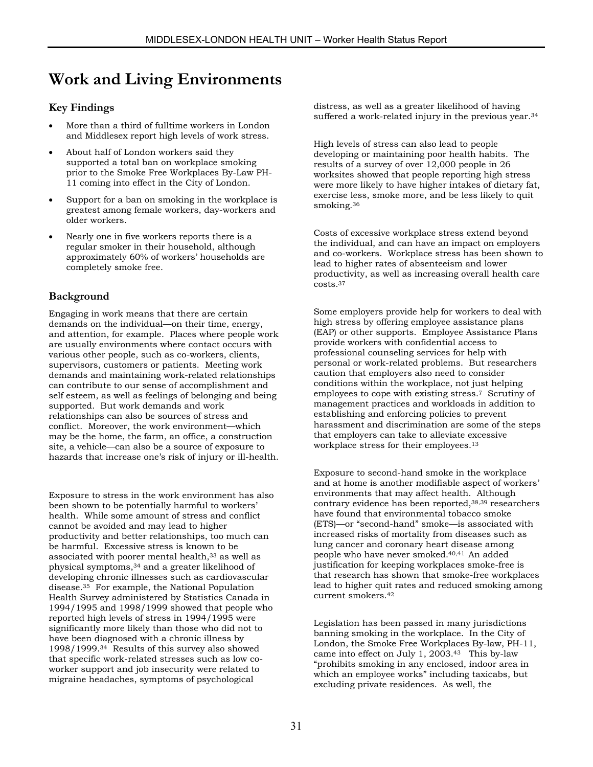# **Work and Living Environments**

# **Key Findings**

- More than a third of fulltime workers in London and Middlesex report high levels of work stress.
- About half of London workers said they supported a total ban on workplace smoking prior to the Smoke Free Workplaces By-Law PH-11 coming into effect in the City of London.
- Support for a ban on smoking in the workplace is greatest among female workers, day-workers and older workers.
- Nearly one in five workers reports there is a regular smoker in their household, although approximately 60% of workers' households are completely smoke free.

# **Background**

Engaging in work means that there are certain demands on the individual—on their time, energy, and attention, for example. Places where people work are usually environments where contact occurs with various other people, such as co-workers, clients, supervisors, customers or patients. Meeting work demands and maintaining work-related relationships can contribute to our sense of accomplishment and self esteem, as well as feelings of belonging and being supported. But work demands and work relationships can also be sources of stress and conflict. Moreover, the work environment—which may be the home, the farm, an office, a construction site, a vehicle—can also be a source of exposure to hazards that increase one's risk of injury or ill-health.

Exposure to stress in the work environment has also been shown to be potentially harmful to workers' health. While some amount of stress and conflict cannot be avoided and may lead to higher productivity and better relationships, too much can be harmful. Excessive stress is know[n t](#page-64-31)o be associated with poo[rer](#page-64-32) mental health,33 as well as physical symptoms,34 and a greater likelihood of develop[ing](#page-64-33) chronic illnesses such as cardiovascular disease.35 For example, the National Population Health Survey administered by Statistics Canada in 1994/1995 and 1998/1999 showed that people who reported high levels of stress in 1994/1995 were significantly more likely than those who did not to have been diagnosed with a chronic illness by 1998/1999.34 Results of this survey also showed that specific work-related stresses such as low coworker support and job insecurity were related to migraine headaches, symptoms of psychological

distress, as well as a greater likelihood of having suffered a work-related injury in the previous year.<sup>34</sup>

High levels of stress can also lead to people developing or maintaining poor health habits. The results of a survey of over 12,000 people in 26 worksite[s sh](#page-64-34)owed that people reporting high stress were more likely to have higher intakes of dietary fat, exercise less, smoke more, and be less likely to quit smoking.36

Costs of excessive workplace stress extend beyond the individual, and can have an impact on employers and c[o-w](#page-64-35)orkers. Workplace stress has been shown to lead to higher rates of absenteeism and lower productivity, as well as increasing overall health care costs.37

Some employers provide help for workers to deal with high stress by offering employee assistance plans (EAP) or other supports. Employee Assistance Plans provide workers with confidential access to professional counseling services for help with personal or work-related problems. But researchers caution that employers also need to consider conditions within the workplace, not just helping employees to cope with existing stress.7 Scrutiny of management practices and workloads in addition to establishing and enforcing policies to prevent harassment and discrimination are some of the steps that employers can take to alleviate excessive workplace stress for their employees.13

Exposure to second-hand smoke in t[he](#page-64-36) [w](#page-64-18)orkplace and at home is another modifiable aspect of workers' environments that may affect health. Although contrary evidence has been reported,38,39 researchers have found that environmental tobacco smoke (ETS)—or "second-hand" smoke[—](#page-64-37)[is](#page-64-38) associated with increased risks of mortality from diseases such as lung cancer and coronary heart disease among people who have never smoked.40,41 An added justification for k[eep](#page-64-39)ing workplaces smoke-free is that research has shown that smoke-free workplaces lead to higher quit rates and reduced smoking among current smokers.42

Legislation has been passed in [man](#page-64-40)y jurisdictions banning smoking in the workplace. In the City of London, the Smoke Free Workplaces By-law, PH-11, came into effect on July 1, 2003.43 This by-law "prohibits smoking in any enclosed, indoor area in which an employee works" including taxicabs, but excluding private residences. As well, the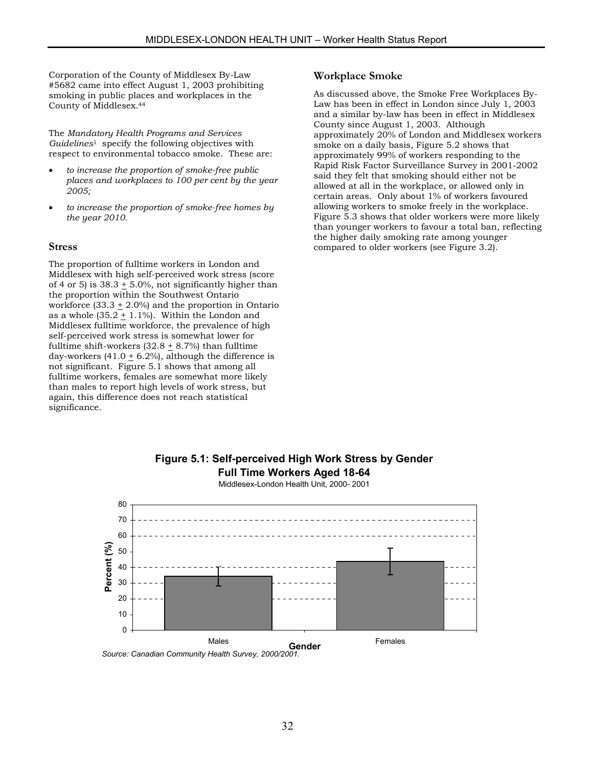Corporation of the County of Middlesex By-Law #5682 came into effe[ct](#page-64-41) August 1, 2003 prohibiting smoking in public places and workplaces in the County of Middlesex.44

The *Mandatory Health Programs and Services Guidelines*1 specify the following objectives with respect to environmental tobacco smoke. These are:

- *to increase the proportion of smoke-free public places and workplaces to 100 per cent by the year 2005;*
- *to increase the proportion of smoke-free homes by the year 2010.*

#### **Stress**

The proportion of fulltime workers in London and Middlesex with high self-perceived work stress (score of 4 or 5) is  $38.3 \pm 5.0$ %, not significantly higher than the proportion within the Southwest Ontario workforce (33.3  $\pm$  2.0%) and the proportion in Ontario as a whole  $(35.2 \pm 1.1\%)$ . Within the London and Middlesex fulltime workforce, the prevalence of high self-perceived work stress is somewhat lower for fulltime shift-workers  $(32.8 + 8.7%)$  than fulltime day-workers (41.0  $\pm$  6.2%), although the difference is not significant. Figure 5.1 shows that among all fulltime workers, females are somewhat more likely than males to report high levels of work stress, but again, this difference does not reach statistical significance.

#### **Workplace Smoke**

As discussed above, the Smoke Free Workplaces By-Law has been in effect in London since July 1, 2003 and a similar by-law has been in effect in Middlesex County since August 1, 2003. Although approximately 20% of London and Middlesex workers smoke on a daily basis, Figure 5.2 shows that approximately 99% of workers responding to the Rapid Risk Factor Surveillance Survey in 2001-2002 said they felt that smoking should either not be allowed at all in the workplace, or allowed only in certain areas. Only about 1% of workers favoured allowing workers to smoke freely in the workplace. Figure 5.3 shows that older workers were more likely than younger workers to favour a total ban, reflecting the higher daily smoking rate among younger compared to older workers (see Figure 3.2).





*Source: Canadian Community Health Survey, 2000/2001.*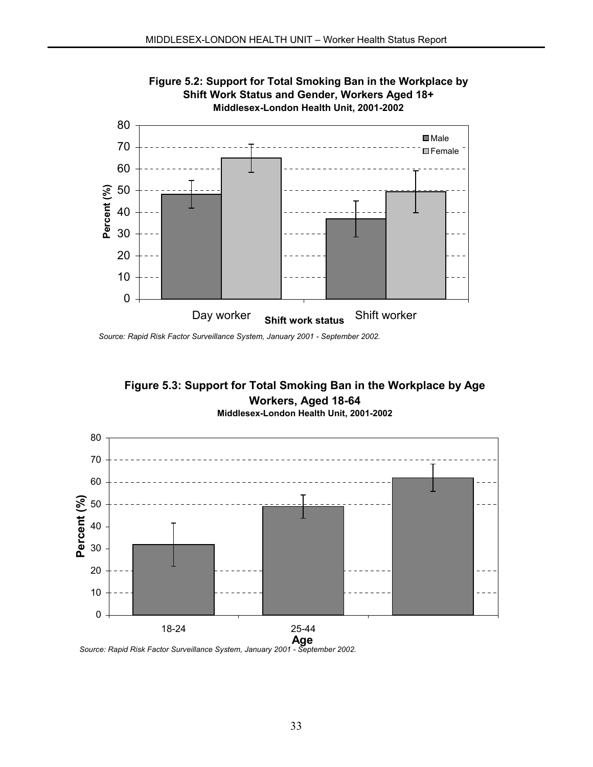

**Figure 5.2: Support for Total Smoking Ban in the Workplace by** 

*Source: Rapid Risk Factor Surveillance System, January 2001 - September 2002.*



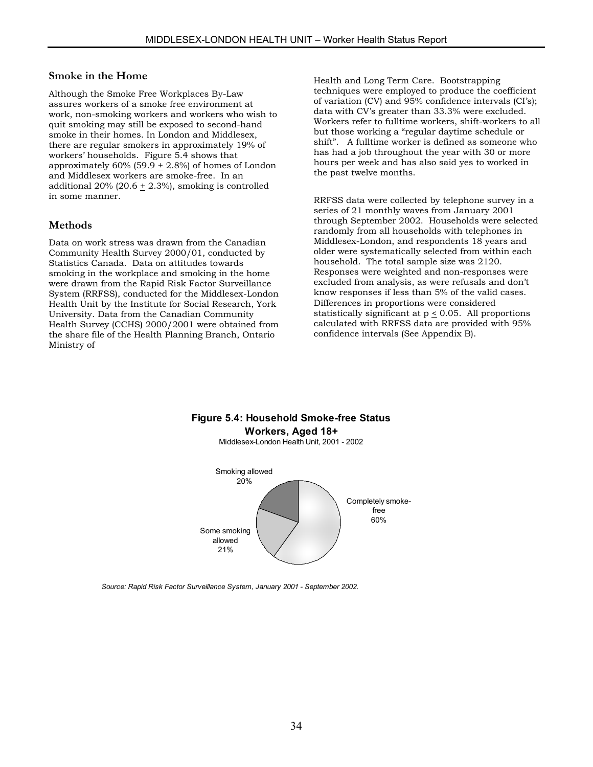#### **Smoke in the Home**

Although the Smoke Free Workplaces By-Law assures workers of a smoke free environment at work, non-smoking workers and workers who wish to quit smoking may still be exposed to second-hand smoke in their homes. In London and Middlesex, there are regular smokers in approximately 19% of workers' households. Figure 5.4 shows that approximately 60% (59.9  $\pm$  2.8%) of homes of London and Middlesex workers are smoke-free. In an additional 20% (20.6  $\pm$  2.3%), smoking is controlled in some manner.

### **Methods**

Data on work stress was drawn from the Canadian Community Health Survey 2000/01, conducted by Statistics Canada. Data on attitudes towards smoking in the workplace and smoking in the home were drawn from the Rapid Risk Factor Surveillance System (RRFSS), conducted for the Middlesex-London Health Unit by the Institute for Social Research, York University. Data from the Canadian Community Health Survey (CCHS) 2000/2001 were obtained from the share file of the Health Planning Branch, Ontario Ministry of

Health and Long Term Care. Bootstrapping techniques were employed to produce the coefficient of variation (CV) and 95% confidence intervals (CI's); data with CV's greater than 33.3% were excluded. Workers refer to fulltime workers, shift-workers to all but those working a "regular daytime schedule or shift". A fulltime worker is defined as someone who has had a job throughout the year with 30 or more hours per week and has also said yes to worked in the past twelve months.

RRFSS data were collected by telephone survey in a series of 21 monthly waves from January 2001 through September 2002. Households were selected randomly from all households with telephones in Middlesex-London, and respondents 18 years and older were systematically selected from within each household. The total sample size was 2120. Responses were weighted and non-responses were excluded from analysis, as were refusals and don't know responses if less than 5% of the valid cases. Differences in proportions were considered statistically significant at  $p \le 0.05$ . All proportions calculated with RRFSS data are provided with 95% confidence intervals (See Appendix B).

# **Figure 5.4: Household Smoke-free Status Workers, Aged 18+**

Middlesex-London Health Unit, 2001 - 2002



*Source: Rapid Risk Factor Surveillance System, January 2001 - September 2002.*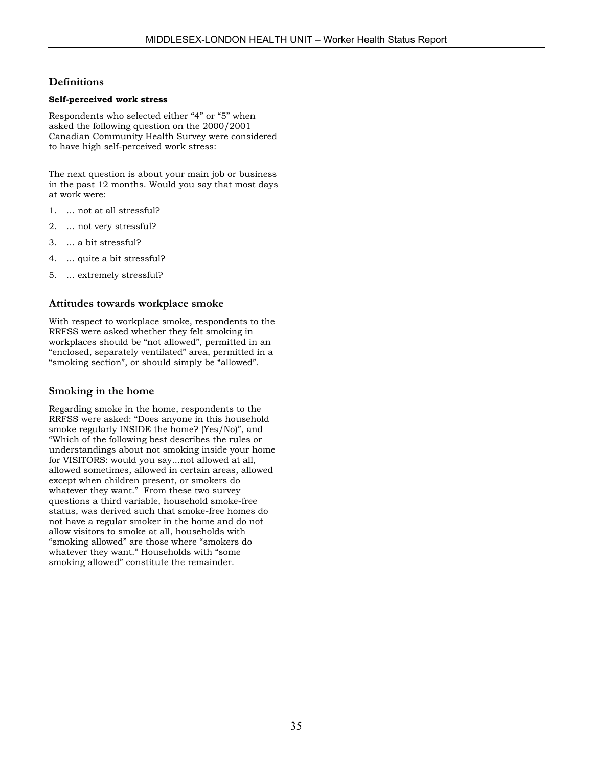# **Definitions**

#### **Self-perceived work stress**

Respondents who selected either "4" or "5" when asked the following question on the 2000/2001 Canadian Community Health Survey were considered to have high self-perceived work stress:

The next question is about your main job or business in the past 12 months. Would you say that most days at work were:

- 1. … not at all stressful?
- 2. … not very stressful?
- 3. … a bit stressful?
- 4. … quite a bit stressful?
- 5. … extremely stressful?

### **Attitudes towards workplace smoke**

With respect to workplace smoke, respondents to the RRFSS were asked whether they felt smoking in workplaces should be "not allowed", permitted in an "enclosed, separately ventilated" area, permitted in a "smoking section", or should simply be "allowed".

#### **Smoking in the home**

Regarding smoke in the home, respondents to the RRFSS were asked: "Does anyone in this household smoke regularly INSIDE the home? (Yes/No)", and "Which of the following best describes the rules or understandings about not smoking inside your home for VISITORS: would you say...not allowed at all, allowed sometimes, allowed in certain areas, allowed except when children present, or smokers do whatever they want." From these two survey questions a third variable, household smoke-free status, was derived such that smoke-free homes do not have a regular smoker in the home and do not allow visitors to smoke at all, households with "smoking allowed" are those where "smokers do whatever they want." Households with "some smoking allowed" constitute the remainder.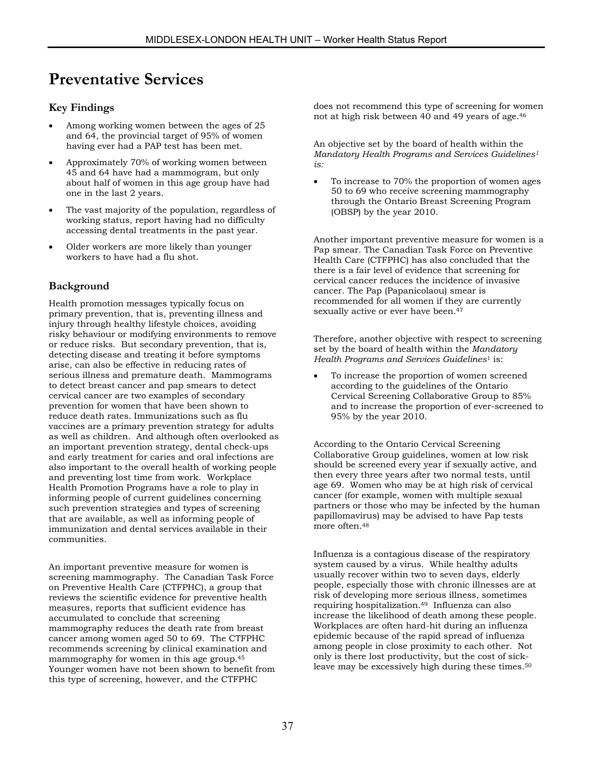# **Preventative Services**

# **Key Findings**

- Among working women between the ages of 25 and 64, the provincial target of 95% of women having ever had a PAP test has been met.
- Approximately 70% of working women between 45 and 64 have had a mammogram, but only about half of women in this age group have had one in the last 2 years.
- The vast majority of the population, regardless of working status, report having had no difficulty accessing dental treatments in the past year.
- Older workers are more likely than younger workers to have had a flu shot.

# **Background**

Health promotion messages typically focus on primary prevention, that is, preventing illness and injury through healthy lifestyle choices, avoiding risky behaviour or modifying environments to remove or reduce risks. But secondary prevention, that is, detecting disease and treating it before symptoms arise, can also be effective in reducing rates of serious illness and premature death. Mammograms to detect breast cancer and pap smears to detect cervical cancer are two examples of secondary prevention for women that have been shown to reduce death rates. Immunizations such as flu vaccines are a primary prevention strategy for adults as well as children. And although often overlooked as an important prevention strategy, dental check-ups and early treatment for caries and oral infections are also important to the overall health of working people and preventing lost time from work. Workplace Health Promotion Programs have a role to play in informing people of current guidelines concerning such prevention strategies and types of screening that are available, as well as informing people of immunization and dental services available in their communities.

An important preventive measure for women is screening mammography. The Canadian Task Force on Preventive Health Care (CTFPHC), a group that reviews the scientific evidence for preventive health measures, reports that sufficient evidence has accumulated to conclude that screening mammography reduces the death rate from breast cancer among women aged 50 to 69. The CTFPHC recommends screening by clinical examination and mammography for women in this age group[.45](#page-64-25) Younger women have not been shown to benefit from this type of screening, however, and the CTFPHC

does not recommend this type of screening for women not at high risk between 40 and 49 years of age[.46](#page-64-42) 

An objective set by the board of health within the *Mandatory Health Programs and Services Guidelines1 is:*

• To increase to 70% the proportion of women ages 50 to 69 who receive screening mammography through the Ontario Breast Screening Program (OBSP) by the year 2010.

Another important preventive measure for women is a Pap smear. The Canadian Task Force on Preventive Health Care (CTFPHC) has also concluded that the there is a fair level of evidence that screening for cervical cancer reduces the incidence of invasive cancer. The Pap (Papanicolaou) smear is recommended for all women if they are currently sexually active or ever have been.<sup>47</sup>

Therefore, another objective with respect to screening set by the board of health within the *Mandatory Health Programs and Services Guidelines*1 is:

• To increase the proportion of women screened according to the guidelines of the Ontario Cervical Screening Collaborative Group to 85% and to increase the proportion of ever-screened to 95% by the year 2010.

According to the Ontario Cervical Screening Collaborative Group guidelines, women at low risk should be screened every year if sexually active, and then every three years after two normal tests, until age 69. Women who may be at high risk of cervical cancer (for example, women with multiple sexual partners or those who may be infected by the human papillomavirus) may be advised to have Pap tests more often.[48](#page-64-44) 

Influenza is a contagious disease of the respiratory system caused by a virus. While healthy adults usually recover within two to seven days, elderly people, especially those with chronic illnesses are at risk of developing more serious illness, sometimes requiring hospitalization[.49](#page-64-45) Influenza can also increase the likelihood of death among these people. Workplaces are often hard-hit during an influenza epidemic because of the rapid spread of influenza among people in close proximity to each other. Not only is there lost productivity, but the cost of sickleave may be excessively high during these times.[50](#page-64-10)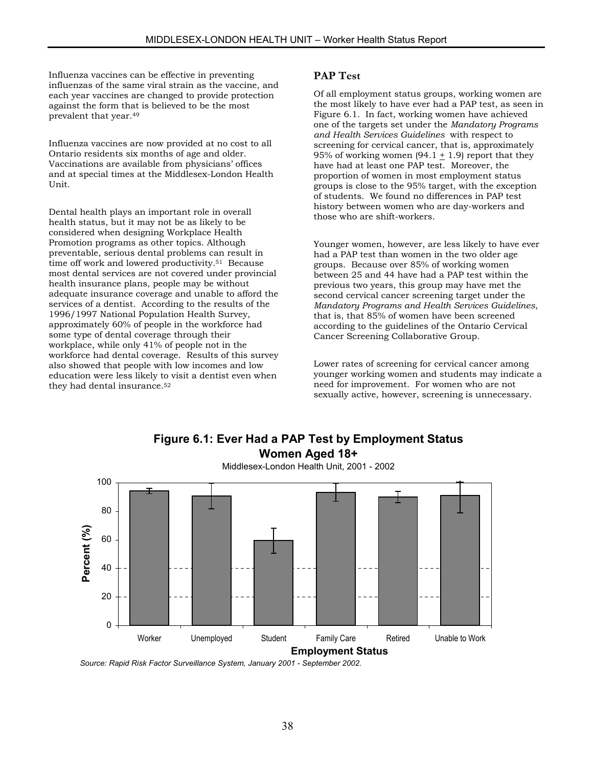Influenza vaccines can be effective in preventing influenzas of the same viral strain as the vaccine, and each year vaccines are changed to provide protection against the form that is believed to be the most prevalent that year.49

Influenza vaccines are now provided at no cost to all Ontario residents six months of age and older. Vaccinations are available from physicians' offices and at special times at the Middlesex-London Health Unit.

Dental health plays an important role in overall health status, but it may not be as likely to be considered when designing Workplace Health Promotion programs as other topics. Although preventable, serious dental problems can result in time off work and lowered productivity.[51](#page-64-11) Because most dental services are not covered under provincial health insurance plans, people may be without adequate insurance coverage and unable to afford the services of a dentist. According to the results of the 1996/1997 National Population Health Survey, approximately 60% of people in the workforce had some type of dental coverage through their workplace, while only 41% of people not in the workforce had dental coverage. Results of this survey also showed that people with low incomes and low education were less likely to visit a dentist even when they had dental insurance[.52](#page-64-46) 

#### **PAP Test**

Of all employment status groups, working women are the most likely to have ever had a PAP test, as seen in Figure 6.1. In fact, working women have achieved one of the targets set under the *Mandatory Programs and Health Services Guidelines* with respect to screening for cervical cancer, that is, approximately 95% of working women (94.1  $\pm$  1.9) report that they have had at least one PAP test. Moreover, the proportion of women in most employment status groups is close to the 95% target, with the exception of students. We found no differences in PAP test history between women who are day-workers and those who are shift-workers.

Younger women, however, are less likely to have ever had a PAP test than women in the two older age groups. Because over 85% of working women between 25 and 44 have had a PAP test within the previous two years, this group may have met the second cervical cancer screening target under the *Mandatory Programs and Health Services Guidelines*, that is, that 85% of women have been screened according to the guidelines of the Ontario Cervical Cancer Screening Collaborative Group.

Lower rates of screening for cervical cancer among younger working women and students may indicate a need for improvement. For women who are not sexually active, however, screening is unnecessary.



**Figure 6.1: Ever Had a PAP Test by Employment Status Women Aged 18+**

*Source: Rapid Risk Factor Surveillance System, January 2001 - September 2002.*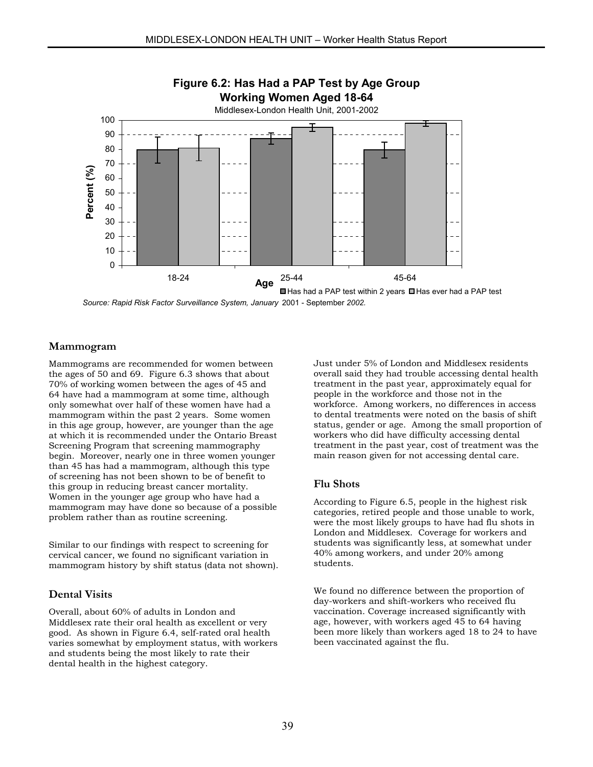

*Source: Rapid Risk Factor Surveillance System, January* 2001 - September *2002.*

# **Mammogram**

Mammograms are recommended for women between the ages of 50 and 69. Figure 6.3 shows that about 70% of working women between the ages of 45 and 64 have had a mammogram at some time, although only somewhat over half of these women have had a mammogram within the past 2 years. Some women in this age group, however, are younger than the age at which it is recommended under the Ontario Breast Screening Program that screening mammography begin. Moreover, nearly one in three women younger than 45 has had a mammogram, although this type of screening has not been shown to be of benefit to this group in reducing breast cancer mortality. Women in the younger age group who have had a mammogram may have done so because of a possible problem rather than as routine screening.

Similar to our findings with respect to screening for cervical cancer, we found no significant variation in mammogram history by shift status (data not shown).

#### **Dental Visits**

Overall, about 60% of adults in London and Middlesex rate their oral health as excellent or very good. As shown in Figure 6.4, self-rated oral health varies somewhat by employment status, with workers and students being the most likely to rate their dental health in the highest category.

Just under 5% of London and Middlesex residents overall said they had trouble accessing dental health treatment in the past year, approximately equal for people in the workforce and those not in the workforce. Among workers, no differences in access to dental treatments were noted on the basis of shift status, gender or age. Among the small proportion of workers who did have difficulty accessing dental treatment in the past year, cost of treatment was the main reason given for not accessing dental care.

#### **Flu Shots**

According to Figure 6.5, people in the highest risk categories, retired people and those unable to work, were the most likely groups to have had flu shots in London and Middlesex. Coverage for workers and students was significantly less, at somewhat under 40% among workers, and under 20% among students.

We found no difference between the proportion of day-workers and shift-workers who received flu vaccination. Coverage increased significantly with age, however, with workers aged 45 to 64 having been more likely than workers aged 18 to 24 to have been vaccinated against the flu.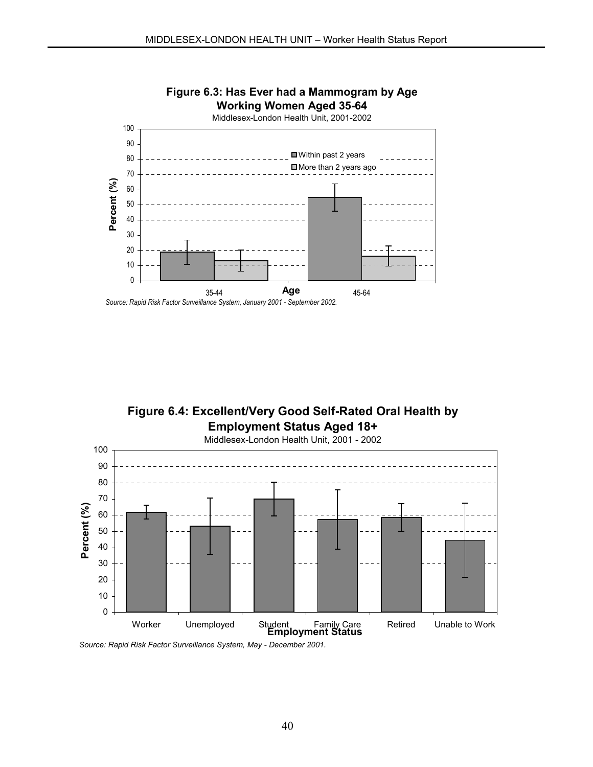



*Source: Rapid Risk Factor Surveillance System, May - December 2001.*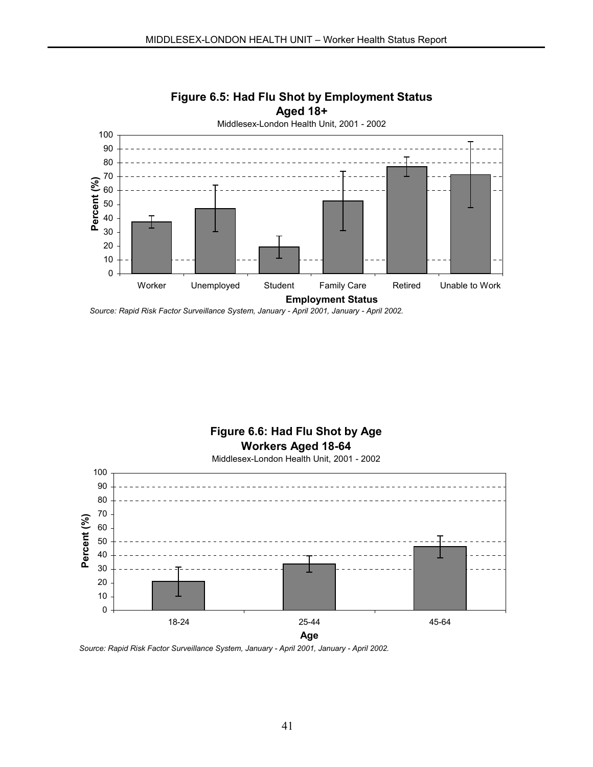

# **Figure 6.5: Had Flu Shot by Employment Status Aged 18+**

*Source: Rapid Risk Factor Surveillance System, January - April 2001, January - April 2002.*

**Figure 6.6: Had Flu Shot by Age Workers Aged 18-64** Middlesex-London Health Unit, 2001 - 2002



*Source: Rapid Risk Factor Surveillance System, January - April 2001, January - April 2002.*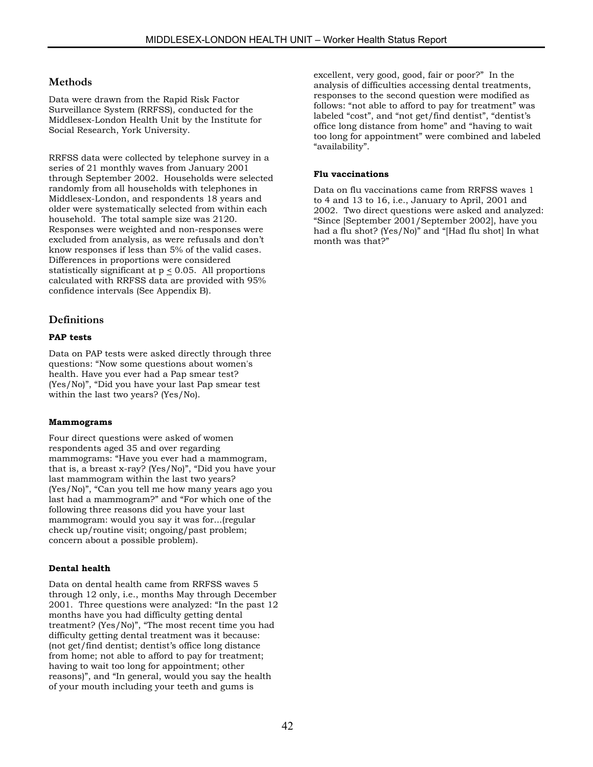### **Methods**

Data were drawn from the Rapid Risk Factor Surveillance System (RRFSS), conducted for the Middlesex-London Health Unit by the Institute for Social Research, York University.

RRFSS data were collected by telephone survey in a series of 21 monthly waves from January 2001 through September 2002. Households were selected randomly from all households with telephones in Middlesex-London, and respondents 18 years and older were systematically selected from within each household. The total sample size was 2120. Responses were weighted and non-responses were excluded from analysis, as were refusals and don't know responses if less than 5% of the valid cases. Differences in proportions were considered statistically significant at  $p < 0.05$ . All proportions calculated with RRFSS data are provided with 95% confidence intervals (See Appendix B).

### **Definitions**

#### **PAP tests**

Data on PAP tests were asked directly through three questions: "Now some questions about women's health. Have you ever had a Pap smear test? (Yes/No)", "Did you have your last Pap smear test within the last two years? (Yes/No).

#### **Mammograms**

Four direct questions were asked of women respondents aged 35 and over regarding mammograms: "Have you ever had a mammogram, that is, a breast x-ray? (Yes/No)", "Did you have your last mammogram within the last two years? (Yes/No)", "Can you tell me how many years ago you last had a mammogram?" and "For which one of the following three reasons did you have your last mammogram: would you say it was for...(regular check up/routine visit; ongoing/past problem; concern about a possible problem).

#### **Dental health**

Data on dental health came from RRFSS waves 5 through 12 only, i.e., months May through December 2001. Three questions were analyzed: "In the past 12 months have you had difficulty getting dental treatment? (Yes/No)", "The most recent time you had difficulty getting dental treatment was it because: (not get/find dentist; dentist's office long distance from home; not able to afford to pay for treatment; having to wait too long for appointment; other reasons)", and "In general, would you say the health of your mouth including your teeth and gums is

excellent, very good, good, fair or poor?" In the analysis of difficulties accessing dental treatments, responses to the second question were modified as follows: "not able to afford to pay for treatment" was labeled "cost", and "not get/find dentist", "dentist's office long distance from home" and "having to wait too long for appointment" were combined and labeled "availability".

#### **Flu vaccinations**

Data on flu vaccinations came from RRFSS waves 1 to 4 and 13 to 16, i.e., January to April, 2001 and 2002. Two direct questions were asked and analyzed: "Since [September 2001/September 2002], have you had a flu shot? (Yes/No)" and "[Had flu shot] In what month was that?"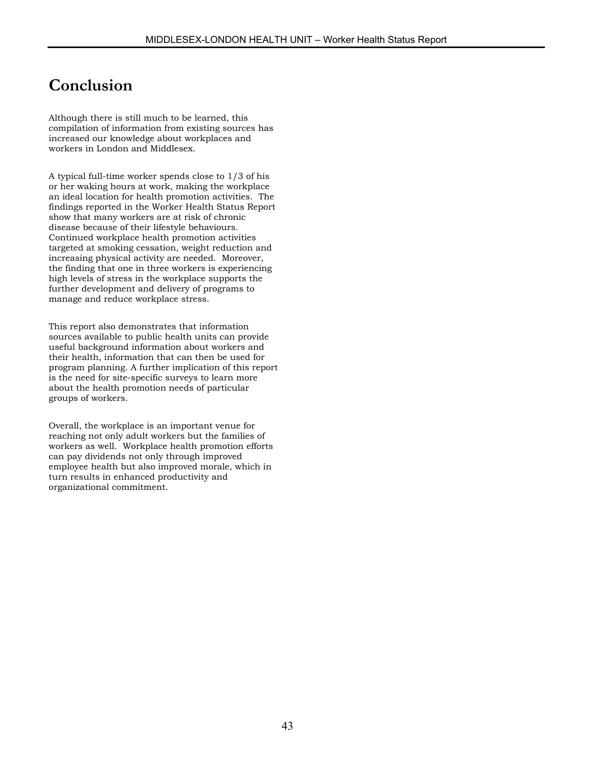# **Conclusion**

Although there is still much to be learned, this compilation of information from existing sources has increased our knowledge about workplaces and workers in London and Middlesex.

A typical full-time worker spends close to 1/3 of his or her waking hours at work, making the workplace an ideal location for health promotion activities. The findings reported in the Worker Health Status Report show that many workers are at risk of chronic disease because of their lifestyle behaviours. Continued workplace health promotion activities targeted at smoking cessation, weight reduction and increasing physical activity are needed. Moreover, the finding that one in three workers is experiencing high levels of stress in the workplace supports the further development and delivery of programs to manage and reduce workplace stress.

This report also demonstrates that information sources available to public health units can provide useful background information about workers and their health, information that can then be used for program planning. A further implication of this report is the need for site-specific surveys to learn more about the health promotion needs of particular groups of workers.

Overall, the workplace is an important venue for reaching not only adult workers but the families of workers as well. Workplace health promotion efforts can pay dividends not only through improved employee health but also improved morale, which in turn results in enhanced productivity and organizational commitment.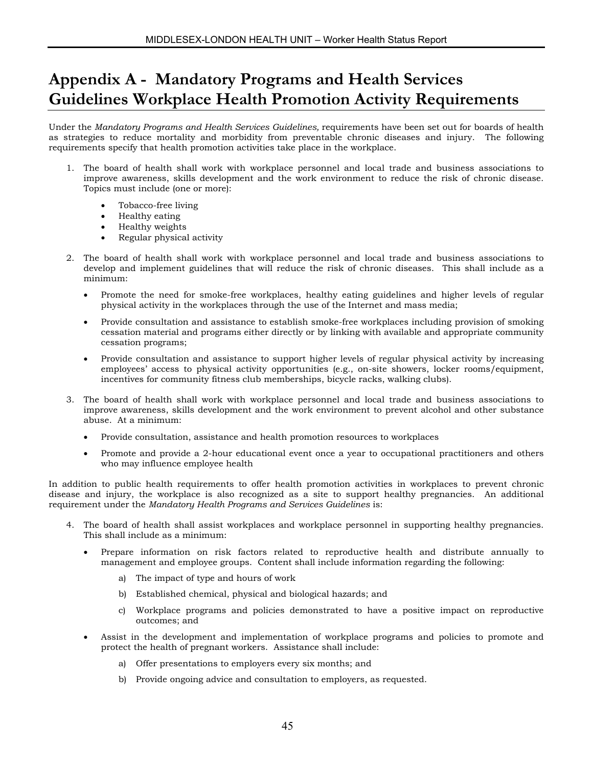# **Appendix A - Mandatory Programs and Health Services Guidelines Workplace Health Promotion Activity Requirements**

Under the *Mandatory Programs and Health Services Guidelines,* requirements have been set out for boards of health as strategies to reduce mortality and morbidity from preventable chronic diseases and injury. The following requirements specify that health promotion activities take place in the workplace.

- 1. The board of health shall work with workplace personnel and local trade and business associations to improve awareness, skills development and the work environment to reduce the risk of chronic disease. Topics must include (one or more):
	- Tobacco-free living
	- Healthy eating
	- Healthy weights
	- Regular physical activity
- 2. The board of health shall work with workplace personnel and local trade and business associations to develop and implement guidelines that will reduce the risk of chronic diseases. This shall include as a minimum:
	- Promote the need for smoke-free workplaces, healthy eating guidelines and higher levels of regular physical activity in the workplaces through the use of the Internet and mass media;
	- Provide consultation and assistance to establish smoke-free workplaces including provision of smoking cessation material and programs either directly or by linking with available and appropriate community cessation programs;
	- Provide consultation and assistance to support higher levels of regular physical activity by increasing employees' access to physical activity opportunities (e.g., on-site showers, locker rooms/equipment, incentives for community fitness club memberships, bicycle racks, walking clubs).
- 3. The board of health shall work with workplace personnel and local trade and business associations to improve awareness, skills development and the work environment to prevent alcohol and other substance abuse. At a minimum:
	- Provide consultation, assistance and health promotion resources to workplaces
	- Promote and provide a 2-hour educational event once a year to occupational practitioners and others who may influence employee health

In addition to public health requirements to offer health promotion activities in workplaces to prevent chronic disease and injury, the workplace is also recognized as a site to support healthy pregnancies. An additional requirement under the *Mandatory Health Programs and Services Guidelines* is:

- 4. The board of health shall assist workplaces and workplace personnel in supporting healthy pregnancies. This shall include as a minimum:
	- Prepare information on risk factors related to reproductive health and distribute annually to management and employee groups. Content shall include information regarding the following:
		- a) The impact of type and hours of work
		- b) Established chemical, physical and biological hazards; and
		- c) Workplace programs and policies demonstrated to have a positive impact on reproductive outcomes; and
	- Assist in the development and implementation of workplace programs and policies to promote and protect the health of pregnant workers. Assistance shall include:
		- a) Offer presentations to employers every six months; and
		- b) Provide ongoing advice and consultation to employers, as requested.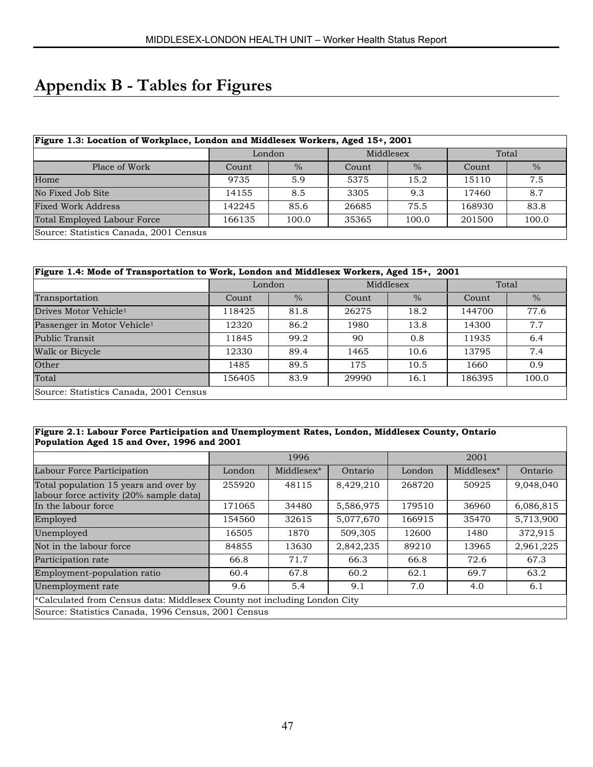# **Appendix B - Tables for Figures**

| Figure 1.3: Location of Workplace, London and Middlesex Workers, Aged 15+, 2001 |        |        |       |                        |        |               |  |  |  |  |
|---------------------------------------------------------------------------------|--------|--------|-------|------------------------|--------|---------------|--|--|--|--|
|                                                                                 |        | London |       | Middlesex              | Total  |               |  |  |  |  |
| Place of Work                                                                   | Count  | $\%$   |       | $\frac{0}{0}$<br>Count |        | $\frac{0}{0}$ |  |  |  |  |
| Home                                                                            | 9735   | 5.9    | 5375  | 15.2                   | 15110  | 7.5           |  |  |  |  |
| No Fixed Job Site                                                               | 14155  | 8.5    | 3305  | 9.3                    | 17460  | 8.7           |  |  |  |  |
| <b>Fixed Work Address</b>                                                       | 142245 | 85.6   | 26685 | 75.5                   | 168930 | 83.8          |  |  |  |  |
| <b>Total Employed Labour Force</b>                                              | 166135 | 100.0  | 35365 | 100.0                  | 201500 | 100.0         |  |  |  |  |
| Source: Statistics Canada, 2001 Census                                          |        |        |       |                        |        |               |  |  |  |  |

| Figure 1.4: Mode of Transportation to Work, London and Middlesex Workers, Aged 15+, 2001 |        |               |       |                        |        |               |  |  |  |
|------------------------------------------------------------------------------------------|--------|---------------|-------|------------------------|--------|---------------|--|--|--|
|                                                                                          |        | London        |       | Middlesex              | Total  |               |  |  |  |
| Transportation                                                                           | Count  | $\frac{0}{6}$ |       | $\frac{0}{0}$<br>Count |        | $\frac{0}{0}$ |  |  |  |
| Drives Motor Vehicle <sup>1</sup>                                                        | 118425 | 81.8          | 26275 | 18.2                   | 144700 | 77.6          |  |  |  |
| Passenger in Motor Vehicle <sup>1</sup>                                                  | 12320  | 86.2          | 1980  | 13.8                   | 14300  | 7.7           |  |  |  |
| Public Transit                                                                           | 11845  | 99.2          | 90    | 0.8                    | 11935  | 6.4           |  |  |  |
| Walk or Bicycle                                                                          | 12330  | 89.4          | 1465  | 10.6                   | 13795  | 7.4           |  |  |  |
| Other                                                                                    | 1485   | 89.5          | 175   | 10.5                   | 1660   | 0.9           |  |  |  |
| Total                                                                                    | 156405 | 83.9          | 29990 | 16.1                   | 186395 | 100.0         |  |  |  |
| Source: Statistics Canada, 2001 Census                                                   |        |               |       |                        |        |               |  |  |  |

#### **Figure 2.1: Labour Force Participation and Unemployment Rates, London, Middlesex County, Ontario Population Aged 15 and Over, 1996 and 2001**

|                                                                                  |            | 1996               |           | 2001   |            |           |  |  |  |
|----------------------------------------------------------------------------------|------------|--------------------|-----------|--------|------------|-----------|--|--|--|
| Labour Force Participation                                                       | London     | Middlesex*         | Ontario   | London | Middlesex* | Ontario   |  |  |  |
| Total population 15 years and over by<br>labour force activity (20% sample data) | 255920     | 48115              | 8,429,210 | 268720 | 50925      | 9,048,040 |  |  |  |
| In the labour force                                                              | 171065     | 34480              | 5,586,975 | 179510 | 36960      | 6,086,815 |  |  |  |
| Employed                                                                         | 154560     | 5,077,670<br>32615 |           | 166915 | 35470      | 5,713,900 |  |  |  |
| Unemployed                                                                       | 16505      | 1870               | 509,305   | 12600  | 1480       | 372,915   |  |  |  |
| Not in the labour force                                                          | 84855      | 13630              | 2,842,235 | 89210  | 13965      | 2,961,225 |  |  |  |
| Participation rate                                                               | 66.8       | 71.7               | 66.3      | 66.8   | 72.6       | 67.3      |  |  |  |
| Employment-population ratio                                                      | 60.4       | 67.8               | 60.2      | 62.1   | 69.7       | 63.2      |  |  |  |
| Unemployment rate                                                                | 5.4<br>9.6 |                    | 9.1       | 7.0    | 4.0        | 6.1       |  |  |  |
| *Calculated from Census data: Middlesex County not including London City         |            |                    |           |        |            |           |  |  |  |
| Source: Statistics Canada, 1996 Census, 2001 Census                              |            |                    |           |        |            |           |  |  |  |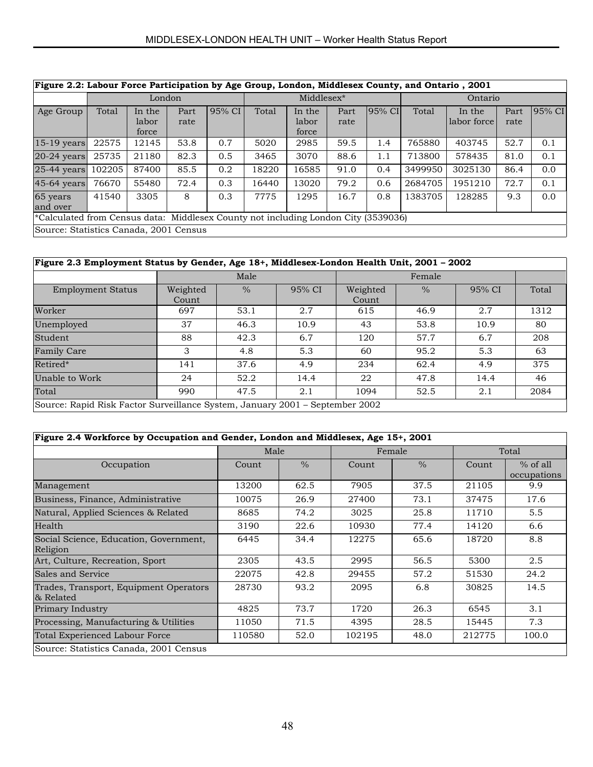| Figure 2.2: Labour Force Participation by Age Group, London, Middlesex County, and Ontario, 2001 |        |                          |              |        |            |                          |              |        |         |                       |              |        |
|--------------------------------------------------------------------------------------------------|--------|--------------------------|--------------|--------|------------|--------------------------|--------------|--------|---------|-----------------------|--------------|--------|
|                                                                                                  |        | London                   |              |        | Middlesex* |                          |              |        | Ontario |                       |              |        |
| Age Group                                                                                        | Total  | In the<br>labor<br>force | Part<br>rate | 95% CI | Total      | In the<br>labor<br>force | Part<br>rate | 95% CI | Total   | In the<br>labor force | Part<br>rate | 95% CI |
| 15-19 years                                                                                      | 22575  | 12145                    | 53.8         | 0.7    | 5020       | 2985                     | 59.5         | 1.4    | 765880  | 403745                | 52.7         | 0.1    |
| $20-24$ years                                                                                    | 25735  | 21180                    | 82.3         | 0.5    | 3465       | 3070                     | 88.6         | 1.1    | 713800  | 578435                | 81.0         | 0.1    |
| 25-44 years                                                                                      | 102205 | 87400                    | 85.5         | 0.2    | 18220      | 16585                    | 91.0         | 0.4    | 3499950 | 3025130               | 86.4         | 0.0    |
| 45-64 years                                                                                      | 76670  | 55480                    | 72.4         | 0.3    | 16440      | 13020                    | 79.2         | 0.6    | 2684705 | 1951210               | 72.7         | 0.1    |
| 65 years<br>and over                                                                             | 41540  | 3305                     | 8            | 0.3    | 7775       | 1295                     | 16.7         | 0.8    | 1383705 | 128285                | 9.3          | 0.0    |
| *Calculated from Census data: Middlesex County not including London City (3539036)               |        |                          |              |        |            |                          |              |        |         |                       |              |        |
| Source: Statistics Canada, 2001 Census                                                           |        |                          |              |        |            |                          |              |        |         |                       |              |        |

# **Figure 2.3 Employment Status by Gender, Age 18+, Middlesex-London Health Unit, 2001 – 2002**

|                                                                              |                   | Male |        |                   | Female        |        |       |
|------------------------------------------------------------------------------|-------------------|------|--------|-------------------|---------------|--------|-------|
| <b>Employment Status</b>                                                     | Weighted<br>Count | $\%$ | 95% CI | Weighted<br>Count | $\frac{0}{6}$ | 95% CI | Total |
| Worker                                                                       | 697               | 53.1 | 2.7    | 615               | 46.9          | 2.7    | 1312  |
| Unemployed                                                                   | 37                | 46.3 | 10.9   | 43                | 53.8          | 10.9   | 80    |
| Student                                                                      | 88                | 42.3 | 6.7    | 120               | 57.7          | 6.7    | 208   |
| <b>Family Care</b>                                                           | 3                 | 4.8  | 5.3    | 60                | 95.2          | 5.3    | 63    |
| Retired*                                                                     | 141               | 37.6 | 4.9    | 234               | 62.4          | 4.9    | 375   |
| Unable to Work                                                               | 24                | 52.2 | 14.4   | 22                | 47.8          | 14.4   | 46    |
| Total                                                                        | 990               | 47.5 | 2.1    | 1094              | 52.5          | 2.1    | 2084  |
| Source: Rapid Risk Factor Surveillance System, January 2001 – September 2002 |                   |      |        |                   |               |        |       |

| Figure 2.4 Workforce by Occupation and Gender, London and Middlesex, Age 15+, 2001 |        |               |        |               |        |                           |
|------------------------------------------------------------------------------------|--------|---------------|--------|---------------|--------|---------------------------|
|                                                                                    | Male   |               |        | Female        |        | Total                     |
| Occupation                                                                         | Count  | $\frac{0}{0}$ | Count  | $\frac{0}{0}$ | Count  | $%$ of all<br>occupations |
| Management                                                                         | 13200  | 62.5          | 7905   | 37.5          | 21105  | 9.9                       |
| Business, Finance, Administrative                                                  | 10075  | 26.9          | 27400  | 73.1          | 37475  | 17.6                      |
| Natural, Applied Sciences & Related                                                | 8685   | 74.2          | 3025   | 25.8          | 11710  | 5.5                       |
| Health                                                                             | 3190   | 22.6          | 10930  | 77.4          | 14120  | 6.6                       |
| Social Science, Education, Government,<br>Religion                                 | 6445   | 34.4          | 12275  | 65.6          | 18720  | 8.8                       |
| Art, Culture, Recreation, Sport                                                    | 2305   | 43.5          | 2995   | 56.5          | 5300   | 2.5                       |
| Sales and Service                                                                  | 22075  | 42.8          | 29455  | 57.2          | 51530  | 24.2                      |
| Trades, Transport, Equipment Operators<br>& Related                                | 28730  | 93.2          | 2095   | 6.8           | 30825  | 14.5                      |
| Primary Industry                                                                   | 4825   | 73.7          | 1720   | 26.3          | 6545   | 3.1                       |
| Processing, Manufacturing & Utilities                                              | 11050  | 71.5          | 4395   | 28.5          | 15445  | 7.3                       |
| Total Experienced Labour Force                                                     | 110580 | 52.0          | 102195 | 48.0          | 212775 | 100.0                     |
| Source: Statistics Canada, 2001 Census                                             |        |               |        |               |        |                           |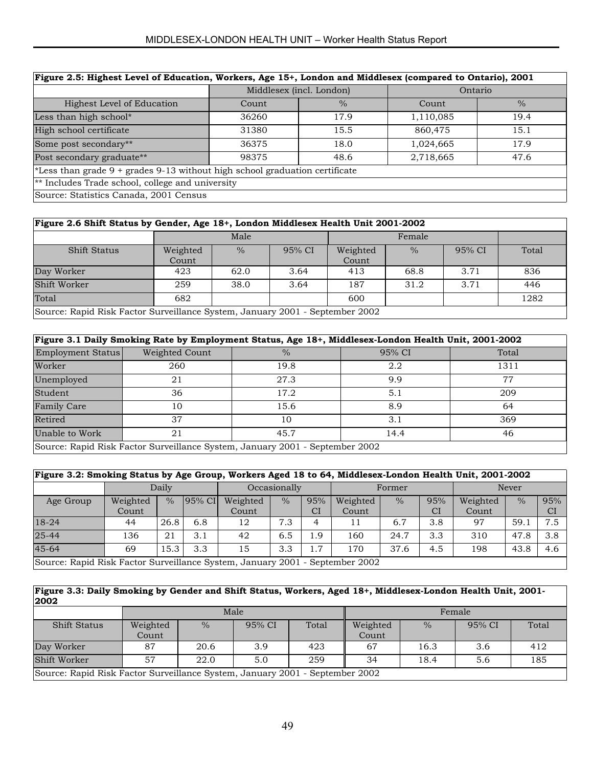| Figure 2.5: Highest Level of Education, Workers, Age 15+, London and Middlesex (compared to Ontario), 2001 |       |                          |           |               |  |  |  |  |  |  |
|------------------------------------------------------------------------------------------------------------|-------|--------------------------|-----------|---------------|--|--|--|--|--|--|
|                                                                                                            |       | Middlesex (incl. London) | Ontario   |               |  |  |  |  |  |  |
| Highest Level of Education                                                                                 | Count | $\frac{0}{0}$            | Count     | $\frac{0}{0}$ |  |  |  |  |  |  |
| Less than high school*                                                                                     | 36260 | 17.9                     | 1,110,085 | 19.4          |  |  |  |  |  |  |
| High school certificate                                                                                    | 31380 | 15.5                     | 860,475   | 15.1          |  |  |  |  |  |  |
| Some post secondary**                                                                                      | 36375 | 18.0                     | 1,024,665 | 17.9          |  |  |  |  |  |  |
| Post secondary graduate**                                                                                  | 98375 | 48.6                     | 2,718,665 | 47.6          |  |  |  |  |  |  |
| *Less than grade $9 +$ grades $9-13$ without high school graduation certificate                            |       |                          |           |               |  |  |  |  |  |  |
| $*$ Includes Trade school, college and university                                                          |       |                          |           |               |  |  |  |  |  |  |
| Source: Statistics Canada, 2001 Census                                                                     |       |                          |           |               |  |  |  |  |  |  |

|  |  | Figure 2.6 Shift Status by Gender, Age 18+, London Middlesex Health Unit 2001-2002 |
|--|--|------------------------------------------------------------------------------------|
|--|--|------------------------------------------------------------------------------------|

| $\sim$ -gain and the state of the state of the state of $\sim$ , bounded minutes in the state boys boys |                   |      |        |                   |               |        |       |
|---------------------------------------------------------------------------------------------------------|-------------------|------|--------|-------------------|---------------|--------|-------|
|                                                                                                         |                   | Male |        |                   | Female        |        |       |
| <b>Shift Status</b>                                                                                     | Weighted<br>Count | $\%$ | 95% CI | Weighted<br>Count | $\frac{0}{6}$ | 95% CI | Total |
| Day Worker                                                                                              | 423               | 62.0 | 3.64   | 413               | 68.8          | 3.71   | 836   |
| Shift Worker                                                                                            | 259               | 38.0 | 3.64   | 187               | 31.2          | 3.71   | 446   |
| Total                                                                                                   | 682               |      |        | 600               |               |        | 1282  |
| Source: Rapid Risk Factor Surveillance System, January 2001 - September 2002                            |                   |      |        |                   |               |        |       |

| Figure 3.1 Daily Smoking Rate by Employment Status, Age 18+, Middlesex-London Health Unit, 2001-2002 |                |                                                                              |        |       |  |  |  |  |  |  |
|------------------------------------------------------------------------------------------------------|----------------|------------------------------------------------------------------------------|--------|-------|--|--|--|--|--|--|
| Employment Status                                                                                    | Weighted Count | $\frac{0}{0}$                                                                | 95% CI | Total |  |  |  |  |  |  |
| Worker                                                                                               | 260            | 19.8                                                                         | 2.2    | 1311  |  |  |  |  |  |  |
| Unemployed                                                                                           | 21             | 27.3                                                                         | 9.9    | 77    |  |  |  |  |  |  |
| Student                                                                                              | 36             | 17.2                                                                         | 5.1    | 209   |  |  |  |  |  |  |
| <b>Family Care</b>                                                                                   | 10             | 15.6                                                                         | 8.9    | 64    |  |  |  |  |  |  |
| Retired                                                                                              | 37             | 10                                                                           | 3.1    | 369   |  |  |  |  |  |  |
| Unable to Work                                                                                       | 21             | 45.7                                                                         | 14.4   | 46    |  |  |  |  |  |  |
|                                                                                                      |                | Source: Rapid Risk Factor Surveillance System, January 2001 - September 2002 |        |       |  |  |  |  |  |  |

|                                                                              | Figure 3.2: Smoking Status by Age Group, Workers Aged 18 to 64, Middlesex-London Health Unit, 2001-2002 |               |          |              |               |        |          |      |              |          |               |           |  |
|------------------------------------------------------------------------------|---------------------------------------------------------------------------------------------------------|---------------|----------|--------------|---------------|--------|----------|------|--------------|----------|---------------|-----------|--|
|                                                                              |                                                                                                         | Daily         |          | Occasionally |               | Former |          |      | <b>Never</b> |          |               |           |  |
| Age Group                                                                    | Weighted                                                                                                | $\frac{0}{0}$ | $95%$ CI | Weighted     | $\frac{0}{0}$ | 95%    | Weighted | $\%$ | 95%          | Weighted | $\frac{0}{0}$ | 95%       |  |
|                                                                              | Count                                                                                                   |               |          | Count        |               | СI     | Count    |      | <b>CI</b>    | Count    |               | <b>CI</b> |  |
| $18-24$                                                                      | 44                                                                                                      | 26.8          | 6.8      | 12           | 7.3           | 4      | 11       | 6.7  | 3.8          | 97       | 59.1          | 7.5       |  |
| $25 - 44$                                                                    | 136                                                                                                     | 21            | 3.1      | 42           | 6.5           | 1.9    | 160      | 24.7 | 3.3          | 310      | 47.8          | 3.8       |  |
| $45 - 64$                                                                    | 69                                                                                                      | 15.3          | 3.3      | 15           | 3.3           | 1.7    | 170      | 37.6 | 4.5          | 198      | 43.8          | 4.6       |  |
| Source: Rapid Risk Factor Surveillance System, January 2001 - September 2002 |                                                                                                         |               |          |              |               |        |          |      |              |          |               |           |  |

**Figure 3.3: Daily Smoking by Gender and Shift Status, Workers, Aged 18+, Middlesex-London Health Unit, 2001- 2002**

| .                                                                            |          |      |        |       |          |      |        |       |  |
|------------------------------------------------------------------------------|----------|------|--------|-------|----------|------|--------|-------|--|
|                                                                              |          |      | Male   |       | Female   |      |        |       |  |
| <b>Shift Status</b>                                                          | Weighted | $\%$ | 95% CI | Total | Weighted | $\%$ | 95% CI | Total |  |
|                                                                              | Count    |      |        |       | Count    |      |        |       |  |
| Day Worker                                                                   | 87       | 20.6 | 3.9    | 423   | 67       | 16.3 | 3.6    | 412   |  |
| Shift Worker                                                                 | 57       | 22.0 | 5.0    | 259   | 34       | 18.4 | 5.6    | 185   |  |
| Source: Rapid Risk Factor Surveillance System, January 2001 - September 2002 |          |      |        |       |          |      |        |       |  |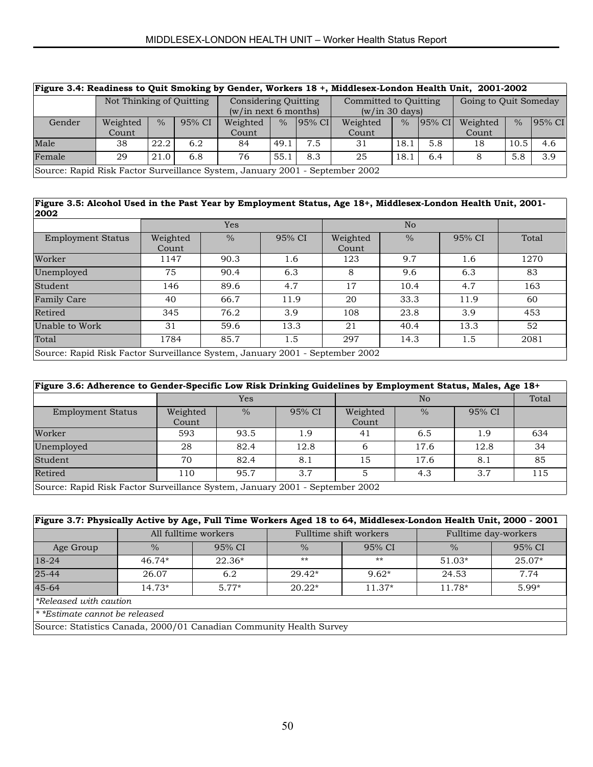| Figure 3.4: Readiness to Quit Smoking by Gender, Workers 18 +, Middlesex-London Health Unit, 2001-2002 |                          |               |        |                                              |               |                                         |          |      |                       |          |               |        |
|--------------------------------------------------------------------------------------------------------|--------------------------|---------------|--------|----------------------------------------------|---------------|-----------------------------------------|----------|------|-----------------------|----------|---------------|--------|
|                                                                                                        | Not Thinking of Quitting |               |        | Considering Quitting<br>(w/in next 6 months) |               | Committed to Ouitting<br>(w/in 30 days) |          |      | Going to Quit Someday |          |               |        |
| Gender                                                                                                 | Weighted                 | $\frac{0}{0}$ | 95% CI | Weighted                                     | $\frac{0}{0}$ | $95%$ CI                                | Weighted | $\%$ | $ 95\% \text{ CI} $   | Weighted | $\frac{0}{0}$ | 95% CI |
|                                                                                                        | Count                    |               |        | Count                                        |               |                                         | Count    |      |                       | Count    |               |        |
| Male                                                                                                   | 38                       | 22.2          | 6.2    | 84                                           | 49.1          | 7.5                                     | 31       | 18.1 | 5.8                   | 18       | 10.5          | 4.6    |
| Female                                                                                                 | 29                       | 21.0          | 6.8    | 76                                           | 55.1          | 8.3                                     | 25       | 18.1 | 6.4                   |          | 5.8           | 3.9    |
| Source: Rapid Risk Factor Surveillance System, January 2001 - September 2002                           |                          |               |        |                                              |               |                                         |          |      |                       |          |               |        |

#### **Figure 3.5: Alcohol Used in the Past Year by Employment Status, Age 18+, Middlesex-London Health Unit, 2001- 2002**

|                                                                              |                   | <b>Yes</b> |        |                   | No            |        |       |
|------------------------------------------------------------------------------|-------------------|------------|--------|-------------------|---------------|--------|-------|
| <b>Employment Status</b>                                                     | Weighted<br>Count | $\%$       | 95% CI | Weighted<br>Count | $\frac{0}{6}$ | 95% CI | Total |
| Worker                                                                       | 1147              | 90.3       | 1.6    | 123               | 9.7           | 1.6    | 1270  |
| Unemployed                                                                   | 75                | 90.4       | 6.3    | 8                 | 9.6           | 6.3    | 83    |
| Student                                                                      | 146               | 89.6       | 4.7    | 17                | 10.4          | 4.7    | 163   |
| <b>Family Care</b>                                                           | 40                | 66.7       | 11.9   | 20                | 33.3          | 11.9   | 60    |
| Retired                                                                      | 345               | 76.2       | 3.9    | 108               | 23.8          | 3.9    | 453   |
| Unable to Work                                                               | 31                | 59.6       | 13.3   | 21                | 40.4          | 13.3   | 52    |
| Total                                                                        | 1784              | 85.7       | 1.5    | 297               | 14.3          | 1.5    | 2081  |
| Source: Rapid Risk Factor Surveillance System, January 2001 - September 2002 |                   |            |        |                   |               |        |       |

|                                                                              | Figure 3.6: Adherence to Gender-Specific Low Risk Drinking Guidelines by Employment Status, Males, Age 18+ |               |        |                   |               |        |     |  |  |  |  |  |  |
|------------------------------------------------------------------------------|------------------------------------------------------------------------------------------------------------|---------------|--------|-------------------|---------------|--------|-----|--|--|--|--|--|--|
|                                                                              |                                                                                                            | <b>Yes</b>    |        |                   | Total         |        |     |  |  |  |  |  |  |
| <b>Employment Status</b>                                                     | Weighted<br>Count                                                                                          | $\frac{0}{0}$ | 95% CI | Weighted<br>Count | $\frac{0}{0}$ | 95% CI |     |  |  |  |  |  |  |
| Worker                                                                       | 593                                                                                                        | 93.5          | 1.9    | 41                | 6.5           | 1.9    | 634 |  |  |  |  |  |  |
| Unemployed                                                                   | 28                                                                                                         | 82.4          | 12.8   | 6                 | 17.6          | 12.8   | 34  |  |  |  |  |  |  |
| Student                                                                      | 70                                                                                                         | 82.4          | 8.1    | 15                | 17.6          | 8.1    | 85  |  |  |  |  |  |  |
| Retired                                                                      | 110                                                                                                        | 95.7          | 3.7    | 5                 | 4.3           | 3.7    | 115 |  |  |  |  |  |  |
| Source: Rapid Risk Factor Surveillance System, January 2001 - September 2002 |                                                                                                            |               |        |                   |               |        |     |  |  |  |  |  |  |

#### **Figure 3.7: Physically Active by Age, Full Time Workers Aged 18 to 64, Middlesex-London Health Unit, 2000 - 2001**

|                                                                     |               | All fulltime workers |               | Fulltime shift workers |               | Fulltime day-workers |  |  |  |
|---------------------------------------------------------------------|---------------|----------------------|---------------|------------------------|---------------|----------------------|--|--|--|
| Age Group                                                           | $\frac{0}{6}$ | 95% CI               | $\frac{0}{6}$ | 95% CI                 | $\frac{0}{0}$ | 95% CI               |  |  |  |
| 18-24                                                               | $46.74*$      | $22.36*$             | $***$         | $**$                   | $51.03*$      | $25.07*$             |  |  |  |
| 25-44                                                               | 26.07         | 6.2                  | $29.42*$      | $9.62*$                | 24.53         | 7.74                 |  |  |  |
| 45-64                                                               | $14.73*$      | $5.77*$              | $20.22*$      | $11.37*$               | $11.78*$      | $5.99*$              |  |  |  |
| *Released with caution                                              |               |                      |               |                        |               |                      |  |  |  |
| <sup>*</sup> *Estimate cannot be released                           |               |                      |               |                        |               |                      |  |  |  |
| Source: Statistics Canada, 2000/01 Canadian Community Health Survey |               |                      |               |                        |               |                      |  |  |  |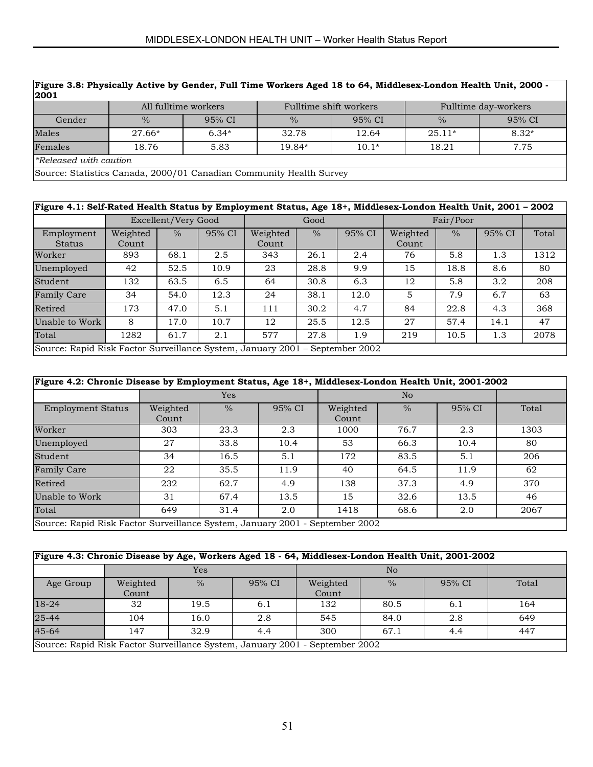| Figure 3.8: Physically Active by Gender, Full Time Workers Aged 18 to 64, Middlesex-London Health Unit, 2000 -<br> 2001 |               |                      |               |                        |                      |         |  |  |  |  |
|-------------------------------------------------------------------------------------------------------------------------|---------------|----------------------|---------------|------------------------|----------------------|---------|--|--|--|--|
|                                                                                                                         |               | All fulltime workers |               | Fulltime shift workers | Fulltime day-workers |         |  |  |  |  |
| Gender                                                                                                                  | $\frac{0}{0}$ | 95% CI               | $\frac{0}{0}$ | 95% CI                 | $\%$                 | 95% CI  |  |  |  |  |
| Males                                                                                                                   | $27.66*$      | $6.34*$              | 32.78         | 12.64                  | $25.11*$             | $8.32*$ |  |  |  |  |
| Females                                                                                                                 | 18.76         | 5.83                 | 19.84*        | $10.1*$                | 18.21                | 7.75    |  |  |  |  |
| <i><b>Released with caution</b></i>                                                                                     |               |                      |               |                        |                      |         |  |  |  |  |
| Source: Statistics Canada, 2000/01 Canadian Community Health Survey                                                     |               |                      |               |                        |                      |         |  |  |  |  |

| Figure 4.1: Self-Rated Health Status by Employment Status, Age 18+, Middlesex-London Health Unit, 2001 - 2002 |                                                                              |                     |        |                   |               |        |                   |               |        |       |
|---------------------------------------------------------------------------------------------------------------|------------------------------------------------------------------------------|---------------------|--------|-------------------|---------------|--------|-------------------|---------------|--------|-------|
|                                                                                                               |                                                                              | Excellent/Very Good |        |                   | Good          |        |                   | Fair/Poor     |        |       |
| Employment<br><b>Status</b>                                                                                   | Weighted<br>Count                                                            | $\frac{0}{0}$       | 95% CI | Weighted<br>Count | $\frac{0}{0}$ | 95% CI | Weighted<br>Count | $\frac{0}{0}$ | 95% CI | Total |
| Worker                                                                                                        | 893                                                                          | 68.1                | 2.5    | 343               | 26.1          | 2.4    | 76                | 5.8           | 1.3    | 1312  |
| Unemployed                                                                                                    | 42                                                                           | 52.5                | 10.9   | 23                | 28.8          | 9.9    | 15                | 18.8          | 8.6    | 80    |
| Student                                                                                                       | 132                                                                          | 63.5                | 6.5    | 64                | 30.8          | 6.3    | 12                | 5.8           | 3.2    | 208   |
| <b>Family Care</b>                                                                                            | 34                                                                           | 54.0                | 12.3   | 24                | 38.1          | 12.0   | 5                 | 7.9           | 6.7    | 63    |
| Retired                                                                                                       | 173                                                                          | 47.0                | 5.1    | 111               | 30.2          | 4.7    | 84                | 22.8          | 4.3    | 368   |
| Unable to Work                                                                                                | 8                                                                            | 17.0                | 10.7   | 12                | 25.5          | 12.5   | 27                | 57.4          | 14.1   | 47    |
| 577<br>2078<br>61.7<br>27.8<br>1282<br>2.1<br>1.9<br>219<br>10.5<br>Total<br>1.3                              |                                                                              |                     |        |                   |               |        |                   |               |        |       |
|                                                                                                               | Source: Rapid Risk Factor Surveillance System, January 2001 – September 2002 |                     |        |                   |               |        |                   |               |        |       |

|  |  |  |  |  |  | Figure 4.2: Chronic Disease by Employment Status, Age 18+, Middlesex-London Health Unit, 2001-2002 |
|--|--|--|--|--|--|----------------------------------------------------------------------------------------------------|
|  |  |  |  |  |  |                                                                                                    |
|  |  |  |  |  |  |                                                                                                    |

|                                                                              |                   | Yes           |        |                   | N <sub>o</sub> |        |       |  |  |
|------------------------------------------------------------------------------|-------------------|---------------|--------|-------------------|----------------|--------|-------|--|--|
| <b>Employment Status</b>                                                     | Weighted<br>Count | $\frac{0}{0}$ | 95% CI | Weighted<br>Count | $\frac{0}{0}$  | 95% CI | Total |  |  |
| Worker                                                                       | 303               | 23.3          | 2.3    | 1000              | 76.7           | 2.3    | 1303  |  |  |
| Unemployed                                                                   | 27                | 33.8          | 10.4   | 53                | 66.3           | 10.4   | 80    |  |  |
| Student                                                                      | 34                | 16.5          | 5.1    | 172               | 83.5           | 5.1    | 206   |  |  |
| <b>Family Care</b>                                                           | 22                | 35.5          | 11.9   | 40                | 64.5           | 11.9   | 62    |  |  |
| Retired                                                                      | 232               | 62.7          | 4.9    | 138               | 37.3           | 4.9    | 370   |  |  |
| Unable to Work                                                               | 31                | 67.4          | 13.5   | 15                | 32.6           | 13.5   | 46    |  |  |
| Total                                                                        | 649               | 31.4          | 2.0    | 1418              | 68.6           | 2.0    | 2067  |  |  |
| Source: Rapid Risk Factor Surveillance System, January 2001 - September 2002 |                   |               |        |                   |                |        |       |  |  |

|                                                                              | Figure 4.3: Chronic Disease by Age, Workers Aged 18 - 64, Middlesex-London Health Unit, 2001-2002 |               |        |          |               |        |       |  |  |  |  |  |
|------------------------------------------------------------------------------|---------------------------------------------------------------------------------------------------|---------------|--------|----------|---------------|--------|-------|--|--|--|--|--|
|                                                                              |                                                                                                   | Yes           |        |          |               |        |       |  |  |  |  |  |
| Age Group                                                                    | Weighted                                                                                          | $\frac{0}{0}$ | 95% CI | Weighted | $\frac{0}{0}$ | 95% CI | Total |  |  |  |  |  |
|                                                                              | Count                                                                                             |               |        | Count    |               |        |       |  |  |  |  |  |
| 18-24                                                                        | 32                                                                                                | 19.5          | 6.1    | 132      | 80.5          | 6.1    | 164   |  |  |  |  |  |
| $25 - 44$                                                                    | 104                                                                                               | 16.0          | 2.8    | 545      | 84.0          | 2.8    | 649   |  |  |  |  |  |
| 45-64                                                                        | 32.9<br>67.1<br>147<br>300<br>447<br>4.4<br>4.4                                                   |               |        |          |               |        |       |  |  |  |  |  |
| Source: Rapid Risk Factor Surveillance System, January 2001 - September 2002 |                                                                                                   |               |        |          |               |        |       |  |  |  |  |  |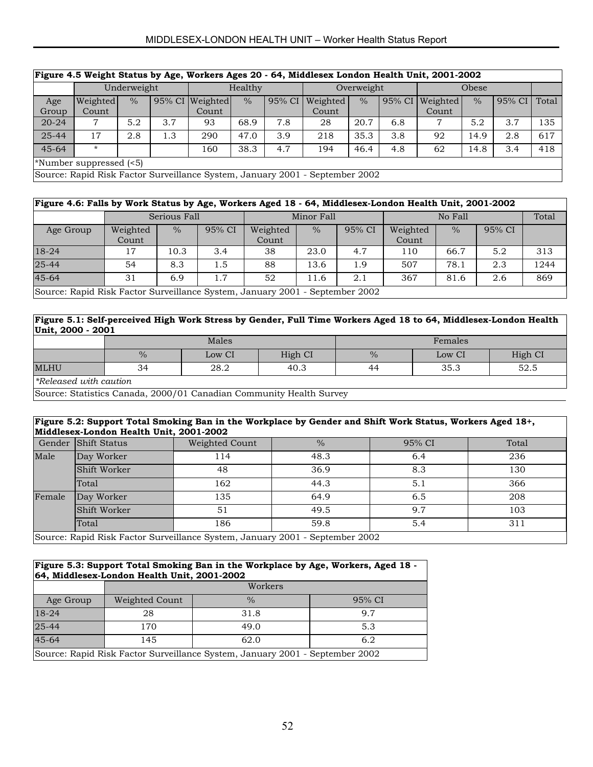# MIDDLESEX-LONDON HEALTH UNIT – Worker Health Status Report

| Figure 4.5 Weight Status by Age, Workers Ages 20 - 64, Middlesex London Health Unit, 2001-2002 |                                                                              |               |     |                 |               |        |            |               |        |          |               |        |       |
|------------------------------------------------------------------------------------------------|------------------------------------------------------------------------------|---------------|-----|-----------------|---------------|--------|------------|---------------|--------|----------|---------------|--------|-------|
|                                                                                                | Underweight                                                                  |               |     | Healthy         |               |        | Overweight |               |        | Obese    |               |        |       |
| Age                                                                                            | Weighted                                                                     | $\frac{0}{0}$ |     | 95% CI Weighted | $\frac{0}{2}$ | 95% CI | Weighted   | $\frac{0}{0}$ | 95% CI | Weighted | $\frac{0}{0}$ | 95% CI | Total |
| Group                                                                                          | Count                                                                        |               |     | Count           |               |        | Count      |               |        | Count    |               |        |       |
| $20 - 24$                                                                                      | 7                                                                            | 5.2           | 3.7 | 93              | 68.9          | 7.8    | 28         | 20.7          | 6.8    | 7        | 5.2           | 3.7    | 135   |
| 25-44                                                                                          | 17                                                                           | 2.8           | 1.3 | 290             | 47.0          | 3.9    | 218        | 35.3          | 3.8    | 92       | 14.9          | 2.8    | 617   |
| $45 - 64$                                                                                      | $\star$                                                                      |               |     | 160             | 38.3          | 4.7    | 194        | 46.4          | 4.8    | 62       | 14.8          | 3.4    | 418   |
|                                                                                                | $\ast$ Number suppressed (<5)                                                |               |     |                 |               |        |            |               |        |          |               |        |       |
|                                                                                                | Source: Rapid Risk Factor Surveillance System, January 2001 - September 2002 |               |     |                 |               |        |            |               |        |          |               |        |       |

|           | Figure 4.6: Falls by Work Status by Age, Workers Aged 18 - 64, Middlesex-London Health Unit, 2001-2002 |      |        |                   |               |        |                   |               |        |       |  |  |  |
|-----------|--------------------------------------------------------------------------------------------------------|------|--------|-------------------|---------------|--------|-------------------|---------------|--------|-------|--|--|--|
|           | Serious Fall                                                                                           |      |        | Minor Fall        |               |        | No Fall           |               |        | Total |  |  |  |
| Age Group | Weighted<br>Count                                                                                      | $\%$ | 95% CI | Weighted<br>Count | $\frac{0}{0}$ | 95% CI | Weighted<br>Count | $\frac{0}{0}$ | 95% CI |       |  |  |  |
| 18-24     | 17                                                                                                     | 10.3 | 3.4    | 38                | 23.0          | 4.7    | 110               | 66.7          | 5.2    | 313   |  |  |  |
| $25 - 44$ | 54                                                                                                     | 8.3  | 1.5    | 88                | 13.6          | 1.9    | 507               | 78.1          | 2.3    | 1244  |  |  |  |
| $45 - 64$ | $\overline{31}$                                                                                        | 6.9  | 1.7    | 52                | 11.6          | 2.1    | 367               | 81.6          | 2.6    | 869   |  |  |  |
|           | Source: Rapid Risk Factor Surveillance System, January 2001 - September 2002                           |      |        |                   |               |        |                   |               |        |       |  |  |  |

#### **Figure 5.1: Self-perceived High Work Stress by Gender, Full Time Workers Aged 18 to 64, Middlesex-London Health Unit, 2000 - 2001**

|                              |               | Males  |         | Females |        |         |  |
|------------------------------|---------------|--------|---------|---------|--------|---------|--|
|                              | $\frac{0}{0}$ | Low CI | High CI | $\%$    | Low CI | High CI |  |
| <b>MLHU</b>                  | 34            | 28.2   | 40.3    | 44      | 35.3   | 52.5    |  |
| <i>Released with caution</i> |               |        |         |         |        |         |  |

Source: Statistics Canada, 2000/01 Canadian Community Health Survey

#### **Figure 5.2: Support Total Smoking Ban in the Workplace by Gender and Shift Work Status, Workers Aged 18+, Middlesex-London Health Unit, 2001-2002**

|        | Gender Shift Status                                                          | Weighted Count | $\frac{0}{0}$ | 95% CI | Total |  |  |  |  |  |
|--------|------------------------------------------------------------------------------|----------------|---------------|--------|-------|--|--|--|--|--|
| Male   | Day Worker                                                                   | 114            | 48.3          | 6.4    | 236   |  |  |  |  |  |
|        | Shift Worker                                                                 | 48             | 36.9          | 8.3    | 130   |  |  |  |  |  |
|        | Total                                                                        | 162            | 44.3          | 5.1    | 366   |  |  |  |  |  |
| Female | Day Worker                                                                   | 135            | 64.9          | 6.5    | 208   |  |  |  |  |  |
|        | Shift Worker                                                                 | 51             | 49.5          | 9.7    | 103   |  |  |  |  |  |
|        | Total                                                                        | 186            | 59.8          | 5.4    | 311   |  |  |  |  |  |
|        | Source: Rapid Risk Factor Surveillance System, January 2001 - September 2002 |                |               |        |       |  |  |  |  |  |

#### **Figure 5.3: Support Total Smoking Ban in the Workplace by Age, Workers, Aged 18 - 64, Middlesex-London Health Unit, 2001-2002**

|           |                | Workers                                                                      |        |
|-----------|----------------|------------------------------------------------------------------------------|--------|
| Age Group | Weighted Count | $\frac{0}{0}$                                                                | 95% CI |
| $18-24$   | 28             | 31.8                                                                         | 9.7    |
| $25 - 44$ | 170            | 49.0                                                                         | 5.3    |
| 45-64     | 145            | 62.0                                                                         | 6.2    |
|           |                | Source: Rapid Risk Factor Surveillance System, January 2001 - September 2002 |        |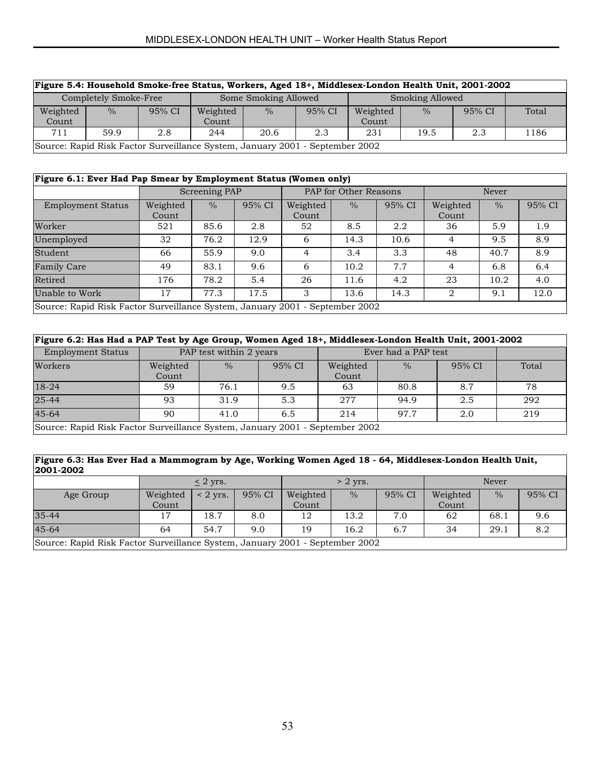| Figure 5.4: Household Smoke-free Status, Workers, Aged 18+, Middlesex-London Health Unit, 2001-2002 |                                                                              |        |                      |               |        |                        |               |        |       |  |  |
|-----------------------------------------------------------------------------------------------------|------------------------------------------------------------------------------|--------|----------------------|---------------|--------|------------------------|---------------|--------|-------|--|--|
|                                                                                                     | Completely Smoke-Free                                                        |        | Some Smoking Allowed |               |        | <b>Smoking Allowed</b> |               |        |       |  |  |
| Weighted                                                                                            | $\frac{0}{0}$                                                                | 95% CI | Weighted             | $\frac{0}{2}$ | 95% CI | Weighted               | $\frac{0}{0}$ | 95% CI | Total |  |  |
| Count                                                                                               |                                                                              |        | Count                |               |        | Count                  |               |        |       |  |  |
| 231<br>711<br>59.9<br>20.6<br>19.5<br>244<br>2.3<br>2.8<br>2.3                                      |                                                                              |        |                      |               |        |                        |               |        | 1186  |  |  |
|                                                                                                     | Source: Rapid Risk Factor Surveillance System, January 2001 - September 2002 |        |                      |               |        |                        |               |        |       |  |  |

% 95% CI

| Figure 6.1: Ever Had Pap Smear by Employment Status (Women only) |                   |               |        |                   |                       |        |                   |       |     |  |
|------------------------------------------------------------------|-------------------|---------------|--------|-------------------|-----------------------|--------|-------------------|-------|-----|--|
|                                                                  |                   | Screening PAP |        |                   | PAP for Other Reasons |        |                   | Never |     |  |
| <b>Employment Status</b>                                         | Weighted<br>Count | $\%$          | 95% CI | Weighted<br>Count | $\%$                  | 95% CI | Weighted<br>Count | $\%$  | 95% |  |
| Worker                                                           | 521               | 85.6          | 2.8    | 52                | 8.5                   | 2.2    | 36                | 5.9   | 1.9 |  |
| Unemployed                                                       | 32                | 76.2          | 12.9   | 6                 | 14.3                  | 10.6   | 4                 | 9.5   | 8.9 |  |
| Student                                                          | 66                | 55.9          | 9.0    | 4                 | 3.4                   | 3.3    | 48                | 40.7  | 8.9 |  |
| <b>Family Care</b>                                               | 49                | 83.1          | 9.6    | 6                 | 10.2                  | 7.7    | 4                 | 6.8   | 6.4 |  |

Source: Rapid Risk Factor Surveillance System, January 2001 - September 2002

| Figure 6.2: Has Had a PAP Test by Age Group, Women Aged 18+, Middlesex-London Health Unit, 2001-2002 |                         |               |        |                     |               |        |       |
|------------------------------------------------------------------------------------------------------|-------------------------|---------------|--------|---------------------|---------------|--------|-------|
| <b>Employment Status</b>                                                                             | PAP test within 2 years |               |        | Ever had a PAP test |               |        |       |
| Workers                                                                                              | Weighted<br>Count       | $\frac{0}{0}$ | 95% CI | Weighted<br>Count   | $\frac{0}{0}$ | 95% CI | Total |
| 18-24                                                                                                | 59                      | 76.1          | 9.5    | 63                  | 80.8          | 8.7    | 78    |
| $25 - 44$                                                                                            | 93                      | 31.9          | 5.3    | 2.77                | 94.9          | 2.5    | 292   |
| $45 - 64$                                                                                            | 90                      | 41.0          | 6.5    | 214                 | 97.7          | 2.0    | 219   |
| Source: Rapid Risk Factor Surveillance System, January 2001 - September 2002                         |                         |               |        |                     |               |        |       |

Retired | 176 | 78.2 | 5.4 | 26 | 11.6 | 4.2 | 23 | 10.2 | 4.0 Unable to Work 17 17.3 17.5 3 13.6 14.3 2 9.1 12.0

#### **Figure 6.3: Has Ever Had a Mammogram by Age, Working Women Aged 18 - 64, Middlesex-London Health Unit, 2001-2002**

|                                                                              | $\leq$ 2 yrs. |               |        | $> 2$ yrs. |               |        | <b>Never</b> |               |        |
|------------------------------------------------------------------------------|---------------|---------------|--------|------------|---------------|--------|--------------|---------------|--------|
| Age Group                                                                    | Weighted      | $\leq$ 2 yrs. | 95% CI | Weighted   | $\frac{0}{0}$ | 95% CI | Weighted     | $\frac{0}{0}$ | 95% CI |
|                                                                              | Count         |               |        | Count      |               |        | Count        |               |        |
| $35 - 44$                                                                    | 17            | 18.7          | 8.0    | 12         | 13.2          | 7.0    | 62           | 68.1          | 9.6    |
| $45 - 64$                                                                    | 64            | 54.7          | 9.0    | 19         | 16.2          | 6.7    | 34           | 29.1          | 8.2    |
| Source: Rapid Risk Factor Surveillance System, January 2001 - September 2002 |               |               |        |            |               |        |              |               |        |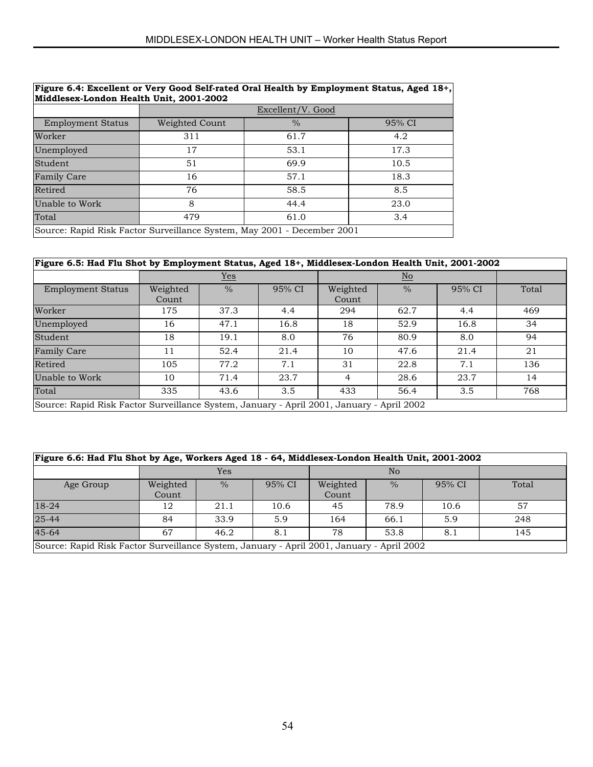| Figure 6.4: Excellent or Very Good Self-rated Oral Health by Employment Status, Aged 18+,<br>Middlesex-London Health Unit, 2001-2002 |                   |               |        |  |  |  |  |
|--------------------------------------------------------------------------------------------------------------------------------------|-------------------|---------------|--------|--|--|--|--|
|                                                                                                                                      | Excellent/V. Good |               |        |  |  |  |  |
| <b>Employment Status</b>                                                                                                             | Weighted Count    | $\frac{0}{0}$ | 95% CI |  |  |  |  |
| Worker                                                                                                                               | 311               | 61.7          | 4.2    |  |  |  |  |
| Unemployed                                                                                                                           | 17                | 53.1          | 17.3   |  |  |  |  |
| Student                                                                                                                              | 51                | 69.9          | 10.5   |  |  |  |  |
| <b>Family Care</b>                                                                                                                   | 16                | 57.1          | 18.3   |  |  |  |  |
| Retired                                                                                                                              | 76                | 58.5          | 8.5    |  |  |  |  |
| Unable to Work                                                                                                                       | 8                 | 44.4          | 23.0   |  |  |  |  |
| Total                                                                                                                                | 479               | 61.0          | 3.4    |  |  |  |  |
| Source: Rapid Risk Factor Surveillance System, May 2001 - December 2001                                                              |                   |               |        |  |  |  |  |

| Figure 6.5: Had Flu Shot by Employment Status, Aged 18+, Middlesex-London Health Unit, 2001-2002 |                   |               |        |                   |               |        |       |
|--------------------------------------------------------------------------------------------------|-------------------|---------------|--------|-------------------|---------------|--------|-------|
|                                                                                                  | $Yes$             |               |        |                   |               |        |       |
| <b>Employment Status</b>                                                                         | Weighted<br>Count | $\frac{0}{0}$ | 95% CI | Weighted<br>Count | $\frac{0}{0}$ | 95% CI | Total |
| Worker                                                                                           | 175               | 37.3          | 4.4    | 294               | 62.7          | 4.4    | 469   |
| Unemployed                                                                                       | 16                | 47.1          | 16.8   | 18                | 52.9          | 16.8   | 34    |
| Student                                                                                          | 18                | 19.1          | 8.0    | 76                | 80.9          | 8.0    | 94    |
| <b>Family Care</b>                                                                               | 11                | 52.4          | 21.4   | 10                | 47.6          | 21.4   | 21    |
| Retired                                                                                          | 105               | 77.2          | 7.1    | 31                | 22.8          | 7.1    | 136   |
| Unable to Work                                                                                   | 10                | 71.4          | 23.7   | 4                 | 28.6          | 23.7   | 14    |
| Total                                                                                            | 335               | 43.6          | 3.5    | 433               | 56.4          | 3.5    | 768   |
| Source: Rapid Risk Factor Surveillance System, January - April 2001, January - April 2002        |                   |               |        |                   |               |        |       |

| Figure 6.6: Had Flu Shot by Age, Workers Aged 18 - 64, Middlesex-London Health Unit, 2001-2002 |                   |      |        |                   |                |        |       |
|------------------------------------------------------------------------------------------------|-------------------|------|--------|-------------------|----------------|--------|-------|
|                                                                                                | Yes               |      |        |                   | N <sub>o</sub> |        |       |
| Age Group                                                                                      | Weighted<br>Count | $\%$ | 95% CI | Weighted<br>Count | $\frac{0}{0}$  | 95% CI | Total |
| $18-24$                                                                                        | 12                | 21.1 | 10.6   | 45                | 78.9           | 10.6   | 57    |
| 25-44                                                                                          | 84                | 33.9 | 5.9    | 164               | 66.1           | 5.9    | 248   |
| $45 - 64$                                                                                      | 67                | 46.2 | 8.1    | 78                | 53.8           | 8.1    | 145   |
| Source: Rapid Risk Factor Surveillance System, January - April 2001, January - April 2002      |                   |      |        |                   |                |        |       |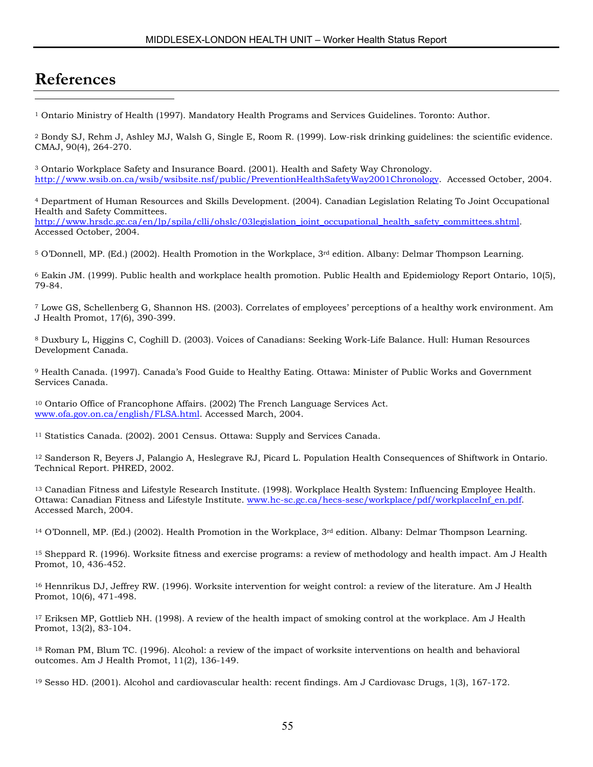# **References**

 $\overline{a}$ 

1 Ontario Ministry of Health (1997). Mandatory Health Programs and Services Guidelines. Toronto: Author.

2 Bondy SJ, Rehm J, Ashley MJ, Walsh G, Single E, Room R. (1999). Low-risk drinking guidelines: the scientific evidence. CMAJ, 90(4), 264-270.

3 Ontario Workplace Safety and Insurance Board. (2001). Health and Safety Way Chronology. http://www.wsib.on.ca/wsib/wsibsite.nsf/public/PreventionHealthSafetyWay2001Chronology. Accessed October, 2004.

4 Department of Human Resources and Skills Development. (2004). Canadian Legislation Relating To Joint Occupational Health and Safety Committees. http://www.hrsdc.gc.ca/en/lp/spila/clli/ohslc/03legislation\_joint\_occupational\_health\_safety\_committees.shtml. Accessed October, 2004.

5 O'Donnell, MP. (Ed.) (2002). Health Promotion in the Workplace, 3rd edition. Albany: Delmar Thompson Learning.

6 Eakin JM. (1999). Public health and workplace health promotion. Public Health and Epidemiology Report Ontario, 10(5), 79-84.

7 Lowe GS, Schellenberg G, Shannon HS. (2003). Correlates of employees' perceptions of a healthy work environment. Am J Health Promot, 17(6), 390-399.

8 Duxbury L, Higgins C, Coghill D. (2003). Voices of Canadians: Seeking Work-Life Balance. Hull: Human Resources Development Canada.

9 Health Canada. (1997). Canada's Food Guide to Healthy Eating. Ottawa: Minister of Public Works and Government Services Canada.

10 Ontario Office of Francophone Affairs. (2002) The French Language Services Act. www.ofa.gov.on.ca/english/FLSA.html. Accessed March, 2004.

11 Statistics Canada. (2002). 2001 Census. Ottawa: Supply and Services Canada.

12 Sanderson R, Beyers J, Palangio A, Heslegrave RJ, Picard L. Population Health Consequences of Shiftwork in Ontario. Technical Report. PHRED, 2002.

13 Canadian Fitness and Lifestyle Research Institute. (1998). Workplace Health System: Influencing Employee Health. Ottawa: Canadian Fitness and Lifestyle Institute. www.hc-sc.gc.ca/hecs-sesc/workplace/pdf/workplaceInf\_en.pdf. Accessed March, 2004.

 $14$  O'Donnell, MP. (Ed.) (2002). Health Promotion in the Workplace,  $3<sup>rd</sup>$  edition. Albany: Delmar Thompson Learning.

15 Sheppard R. (1996). Worksite fitness and exercise programs: a review of methodology and health impact. Am J Health Promot, 10, 436-452.

<sup>16</sup> Hennrikus DJ, Jeffrey RW. (1996). Worksite intervention for weight control: a review of the literature. Am J Health Promot, 10(6), 471-498.

17 Eriksen MP, Gottlieb NH. (1998). A review of the health impact of smoking control at the workplace. Am J Health Promot, 13(2), 83-104.

18 Roman PM, Blum TC. (1996). Alcohol: a review of the impact of worksite interventions on health and behavioral outcomes. Am J Health Promot, 11(2), 136-149.

19 Sesso HD. (2001). Alcohol and cardiovascular health: recent findings. Am J Cardiovasc Drugs, 1(3), 167-172.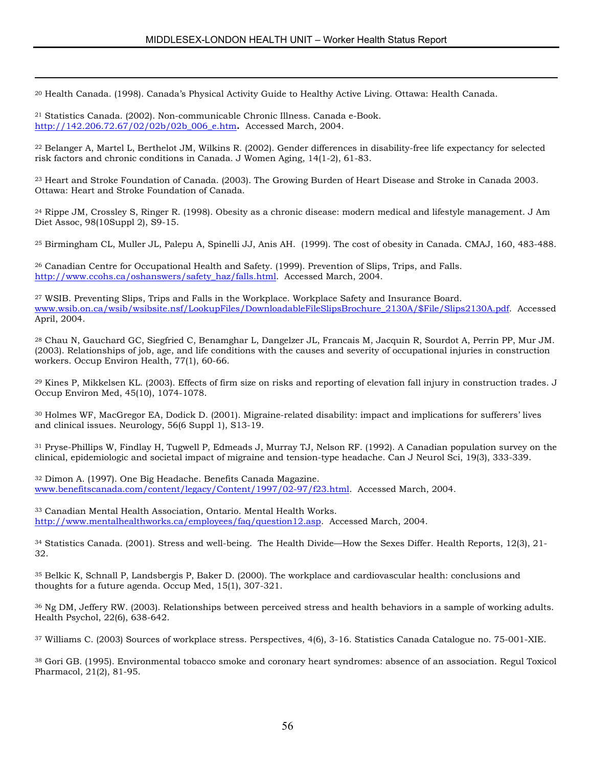20 Health Canada. (1998). Canada's Physical Activity Guide to Healthy Active Living. Ottawa: Health Canada.

|  | <sup>21</sup> Statistics Canada. (2002). Non-communicable Chronic Illness. Canada e-Book. |
|--|-------------------------------------------------------------------------------------------|
|  | http://142.206.72.67/02/02b/02b 006 e.htm. Accessed March, 2004.                          |

 $\overline{a}$ 

22 Belanger A, Martel L, Berthelot JM, Wilkins R. (2002). Gender differences in disability-free life expectancy for selected risk factors and chronic conditions in Canada. J Women Aging, 14(1-2), 61-83.

23 Heart and Stroke Foundation of Canada. (2003). The Growing Burden of Heart Disease and Stroke in Canada 2003. Ottawa: Heart and Stroke Foundation of Canada.

 $24$  Rippe JM, Crossley S, Ringer R, (1998). Obesity as a chronic disease: modern medical and lifestyle management. J Am Diet Assoc, 98(10Suppl 2), S9-15.

25 Birmingham CL, Muller JL, Palepu A, Spinelli JJ, Anis AH. (1999). The cost of obesity in Canada. CMAJ, 160, 483-488.

26 Canadian Centre for Occupational Health and Safety. (1999). Prevention of Slips, Trips, and Falls. http://www.ccohs.ca/oshanswers/safety\_haz/falls.html. Accessed March, 2004.

27 WSIB. Preventing Slips, Trips and Falls in the Workplace. Workplace Safety and Insurance Board. www.wsib.on.ca/wsib/wsibsite.nsf/LookupFiles/DownloadableFileSlipsBrochure\_2130A/\$File/Slips2130A.pdf. Accessed April, 2004.

28 Chau N, Gauchard GC, Siegfried C, Benamghar L, Dangelzer JL, Francais M, Jacquin R, Sourdot A, Perrin PP, Mur JM. (2003). Relationships of job, age, and life conditions with the causes and severity of occupational injuries in construction workers. Occup Environ Health, 77(1), 60-66.

29 Kines P, Mikkelsen KL. (2003). Effects of firm size on risks and reporting of elevation fall injury in construction trades. J Occup Environ Med, 45(10), 1074-1078.

30 Holmes WF, MacGregor EA, Dodick D. (2001). Migraine-related disability: impact and implications for sufferers' lives and clinical issues. Neurology, 56(6 Suppl 1), S13-19.

31 Pryse-Phillips W, Findlay H, Tugwell P, Edmeads J, Murray TJ, Nelson RF. (1992). A Canadian population survey on the clinical, epidemiologic and societal impact of migraine and tension-type headache. Can J Neurol Sci, 19(3), 333-339.

32 Dimon A. (1997). One Big Headache. Benefits Canada Magazine. www.benefitscanada.com/content/legacy/Content/1997/02-97/f23.html. Accessed March, 2004.

33 Canadian Mental Health Association, Ontario. Mental Health Works. http://www.mentalhealthworks.ca/employees/faq/question12.asp. Accessed March, 2004.

34 Statistics Canada. (2001). Stress and well-being. The Health Divide—How the Sexes Differ. Health Reports, 12(3), 21- 32.

35 Belkic K, Schnall P, Landsbergis P, Baker D. (2000). The workplace and cardiovascular health: conclusions and thoughts for a future agenda. Occup Med, 15(1), 307-321.

36 Ng DM, Jeffery RW. (2003). Relationships between perceived stress and health behaviors in a sample of working adults. Health Psychol, 22(6), 638-642.

37 Williams C. (2003) Sources of workplace stress. Perspectives, 4(6), 3-16. Statistics Canada Catalogue no. 75-001-XIE.

38 Gori GB. (1995). Environmental tobacco smoke and coronary heart syndromes: absence of an association. Regul Toxicol Pharmacol, 21(2), 81-95.